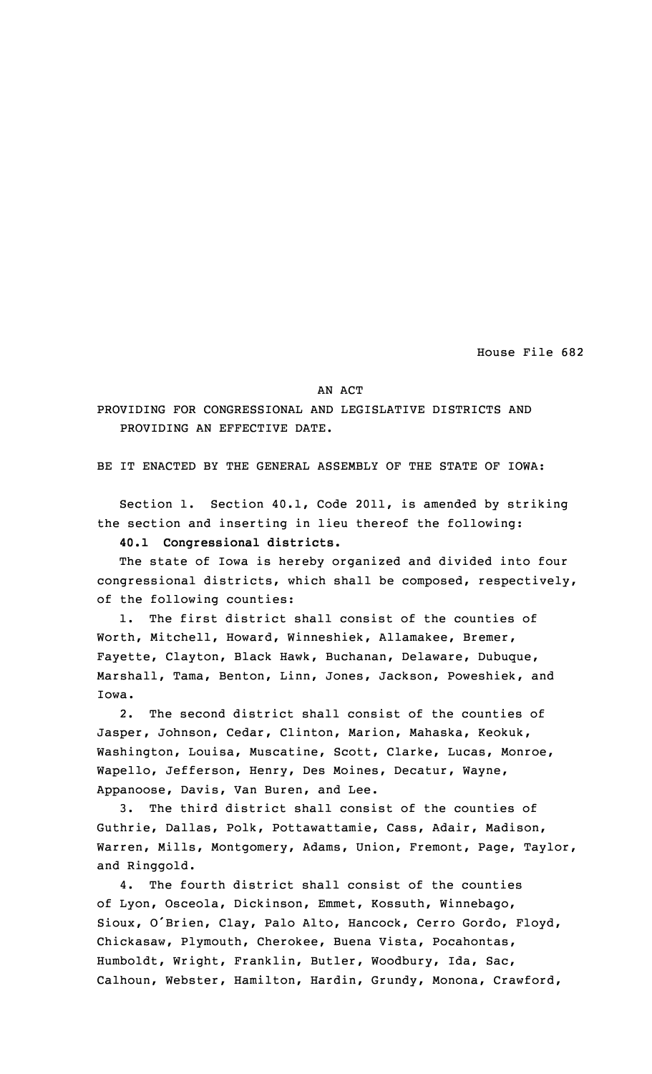House File 682

## AN ACT

PROVIDING FOR CONGRESSIONAL AND LEGISLATIVE DISTRICTS AND PROVIDING AN EFFECTIVE DATE.

BE IT ENACTED BY THE GENERAL ASSEMBLY OF THE STATE OF IOWA:

Section 1. Section 40.1, Code 2011, is amended by striking the section and inserting in lieu thereof the following:

**40.1 Congressional districts.**

The state of Iowa is hereby organized and divided into four congressional districts, which shall be composed, respectively, of the following counties:

1. The first district shall consist of the counties of Worth, Mitchell, Howard, Winneshiek, Allamakee, Bremer, Fayette, Clayton, Black Hawk, Buchanan, Delaware, Dubuque, Marshall, Tama, Benton, Linn, Jones, Jackson, Poweshiek, and Iowa.

2. The second district shall consist of the counties of Jasper, Johnson, Cedar, Clinton, Marion, Mahaska, Keokuk, Washington, Louisa, Muscatine, Scott, Clarke, Lucas, Monroe, Wapello, Jefferson, Henry, Des Moines, Decatur, Wayne, Appanoose, Davis, Van Buren, and Lee.

3. The third district shall consist of the counties of Guthrie, Dallas, Polk, Pottawattamie, Cass, Adair, Madison, Warren, Mills, Montgomery, Adams, Union, Fremont, Page, Taylor, and Ringgold.

4. The fourth district shall consist of the counties of Lyon, Osceola, Dickinson, Emmet, Kossuth, Winnebago, Sioux, <sup>O</sup>'Brien, Clay, Palo Alto, Hancock, Cerro Gordo, Floyd, Chickasaw, Plymouth, Cherokee, Buena Vista, Pocahontas, Humboldt, Wright, Franklin, Butler, Woodbury, Ida, Sac, Calhoun, Webster, Hamilton, Hardin, Grundy, Monona, Crawford,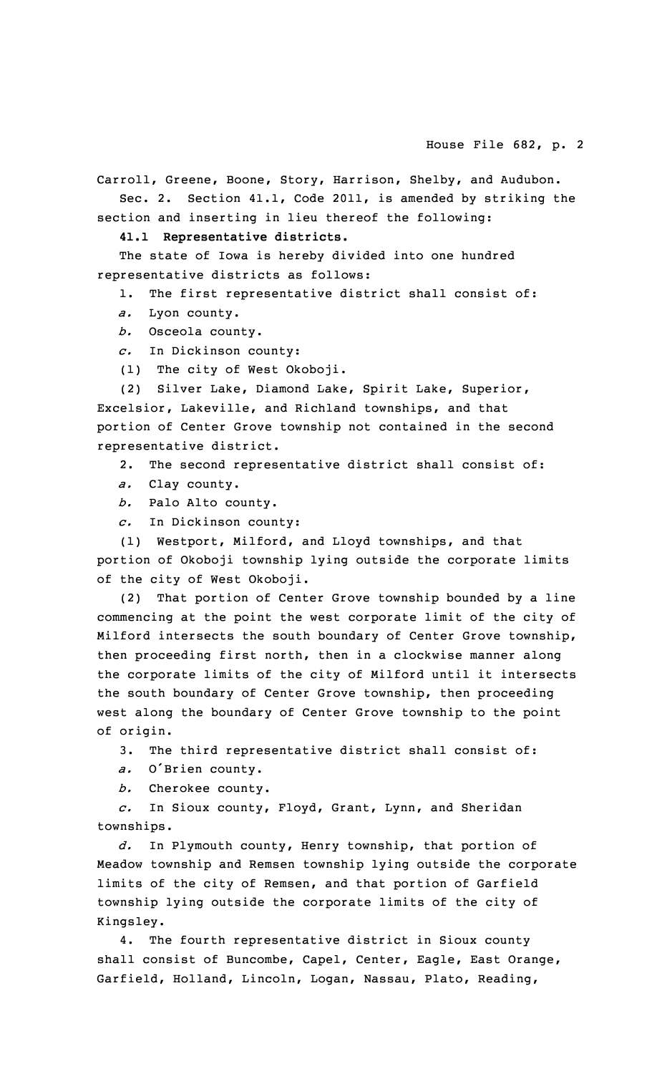Carroll, Greene, Boone, Story, Harrison, Shelby, and Audubon. Sec. 2. Section 41.1, Code 2011, is amended by striking the section and inserting in lieu thereof the following:

**41.1 Representative districts.**

The state of Iowa is hereby divided into one hundred representative districts as follows:

1. The first representative district shall consist of:

*a.* Lyon county.

*b.* Osceola county.

*c.* In Dickinson county:

(1) The city of West Okoboji.

(2) Silver Lake, Diamond Lake, Spirit Lake, Superior, Excelsior, Lakeville, and Richland townships, and that portion of Center Grove township not contained in the second representative district.

2. The second representative district shall consist of:

*a.* Clay county.

*b.* Palo Alto county.

*c.* In Dickinson county:

(1) Westport, Milford, and Lloyd townships, and that portion of Okoboji township lying outside the corporate limits of the city of West Okoboji.

(2) That portion of Center Grove township bounded by <sup>a</sup> line commencing at the point the west corporate limit of the city of Milford intersects the south boundary of Center Grove township, then proceeding first north, then in <sup>a</sup> clockwise manner along the corporate limits of the city of Milford until it intersects the south boundary of Center Grove township, then proceeding west along the boundary of Center Grove township to the point of origin.

3. The third representative district shall consist of:

*a.* <sup>O</sup>'Brien county.

*b.* Cherokee county.

*c.* In Sioux county, Floyd, Grant, Lynn, and Sheridan townships.

*d.* In Plymouth county, Henry township, that portion of Meadow township and Remsen township lying outside the corporate limits of the city of Remsen, and that portion of Garfield township lying outside the corporate limits of the city of Kingsley.

4. The fourth representative district in Sioux county shall consist of Buncombe, Capel, Center, Eagle, East Orange, Garfield, Holland, Lincoln, Logan, Nassau, Plato, Reading,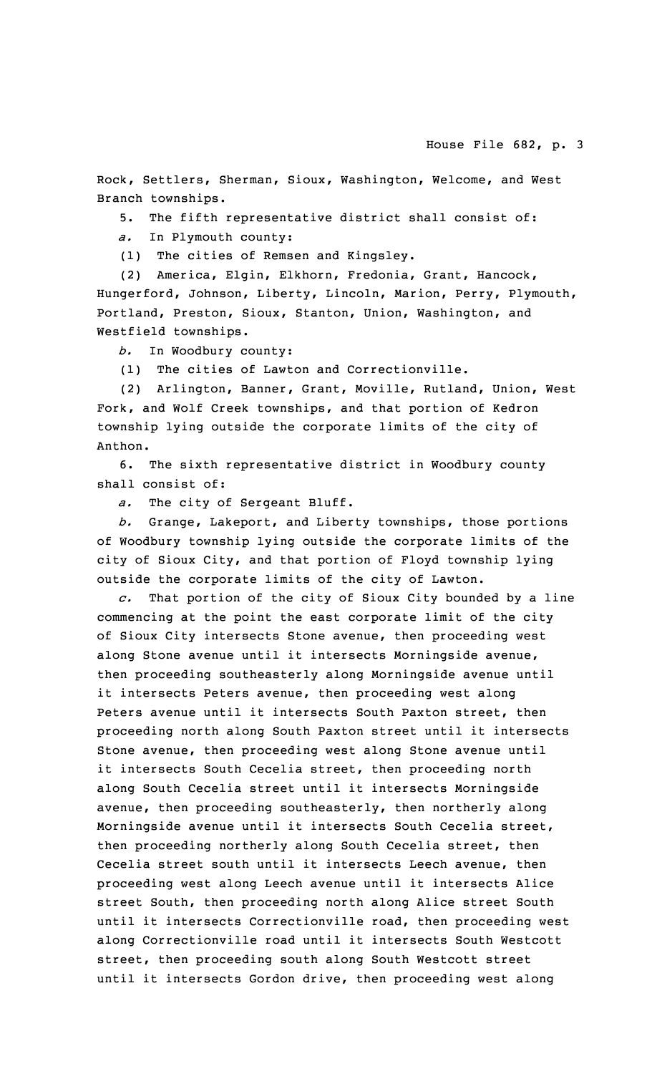Rock, Settlers, Sherman, Sioux, Washington, Welcome, and West Branch townships.

5. The fifth representative district shall consist of:

*a.* In Plymouth county:

(1) The cities of Remsen and Kingsley.

(2) America, Elgin, Elkhorn, Fredonia, Grant, Hancock, Hungerford, Johnson, Liberty, Lincoln, Marion, Perry, Plymouth, Portland, Preston, Sioux, Stanton, Union, Washington, and Westfield townships.

*b.* In Woodbury county:

(1) The cities of Lawton and Correctionville.

(2) Arlington, Banner, Grant, Moville, Rutland, Union, West Fork, and Wolf Creek townships, and that portion of Kedron township lying outside the corporate limits of the city of Anthon.

6. The sixth representative district in Woodbury county shall consist of:

*a.* The city of Sergeant Bluff.

*b.* Grange, Lakeport, and Liberty townships, those portions of Woodbury township lying outside the corporate limits of the city of Sioux City, and that portion of Floyd township lying outside the corporate limits of the city of Lawton.

*c.* That portion of the city of Sioux City bounded by <sup>a</sup> line commencing at the point the east corporate limit of the city of Sioux City intersects Stone avenue, then proceeding west along Stone avenue until it intersects Morningside avenue, then proceeding southeasterly along Morningside avenue until it intersects Peters avenue, then proceeding west along Peters avenue until it intersects South Paxton street, then proceeding north along South Paxton street until it intersects Stone avenue, then proceeding west along Stone avenue until it intersects South Cecelia street, then proceeding north along South Cecelia street until it intersects Morningside avenue, then proceeding southeasterly, then northerly along Morningside avenue until it intersects South Cecelia street, then proceeding northerly along South Cecelia street, then Cecelia street south until it intersects Leech avenue, then proceeding west along Leech avenue until it intersects Alice street South, then proceeding north along Alice street South until it intersects Correctionville road, then proceeding west along Correctionville road until it intersects South Westcott street, then proceeding south along South Westcott street until it intersects Gordon drive, then proceeding west along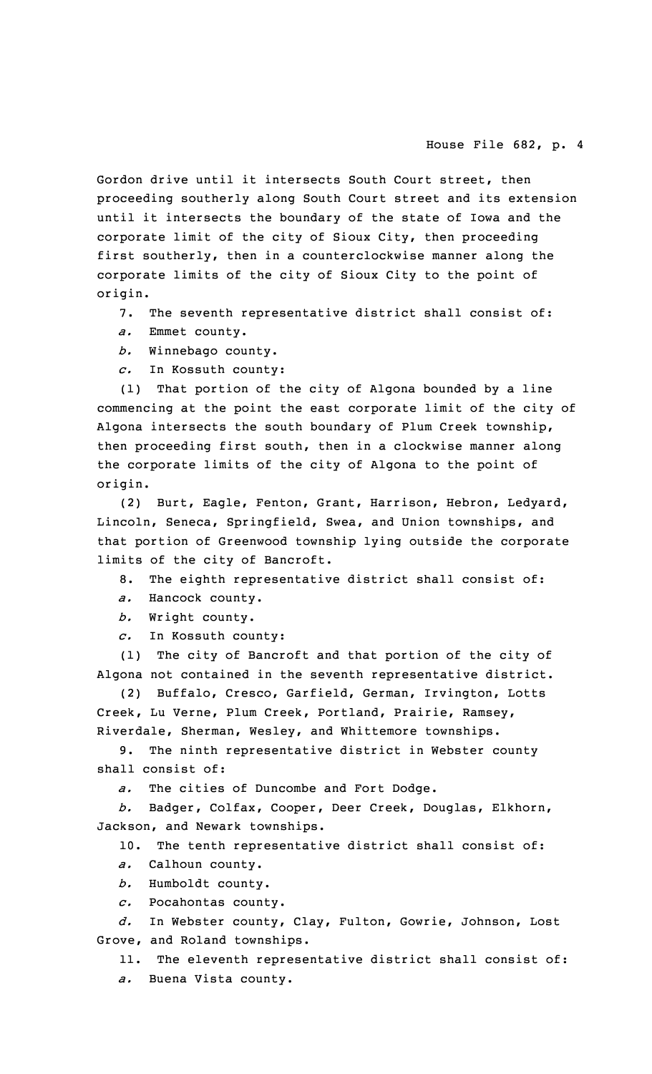Gordon drive until it intersects South Court street, then proceeding southerly along South Court street and its extension until it intersects the boundary of the state of Iowa and the corporate limit of the city of Sioux City, then proceeding first southerly, then in <sup>a</sup> counterclockwise manner along the corporate limits of the city of Sioux City to the point of origin.

7. The seventh representative district shall consist of:

- *a.* Emmet county.
- *b.* Winnebago county.
- *c.* In Kossuth county:

(1) That portion of the city of Algona bounded by <sup>a</sup> line commencing at the point the east corporate limit of the city of Algona intersects the south boundary of Plum Creek township, then proceeding first south, then in <sup>a</sup> clockwise manner along the corporate limits of the city of Algona to the point of origin.

(2) Burt, Eagle, Fenton, Grant, Harrison, Hebron, Ledyard, Lincoln, Seneca, Springfield, Swea, and Union townships, and that portion of Greenwood township lying outside the corporate limits of the city of Bancroft.

8. The eighth representative district shall consist of:

- *a.* Hancock county.
- *b.* Wright county.
- *c.* In Kossuth county:

(1) The city of Bancroft and that portion of the city of Algona not contained in the seventh representative district.

(2) Buffalo, Cresco, Garfield, German, Irvington, Lotts Creek, Lu Verne, Plum Creek, Portland, Prairie, Ramsey, Riverdale, Sherman, Wesley, and Whittemore townships.

9. The ninth representative district in Webster county shall consist of:

*a.* The cities of Duncombe and Fort Dodge.

*b.* Badger, Colfax, Cooper, Deer Creek, Douglas, Elkhorn, Jackson, and Newark townships.

10. The tenth representative district shall consist of:

- *a.* Calhoun county.
- *b.* Humboldt county.
- *c.* Pocahontas county.

*d.* In Webster county, Clay, Fulton, Gowrie, Johnson, Lost Grove, and Roland townships.

11. The eleventh representative district shall consist of:

*a.* Buena Vista county.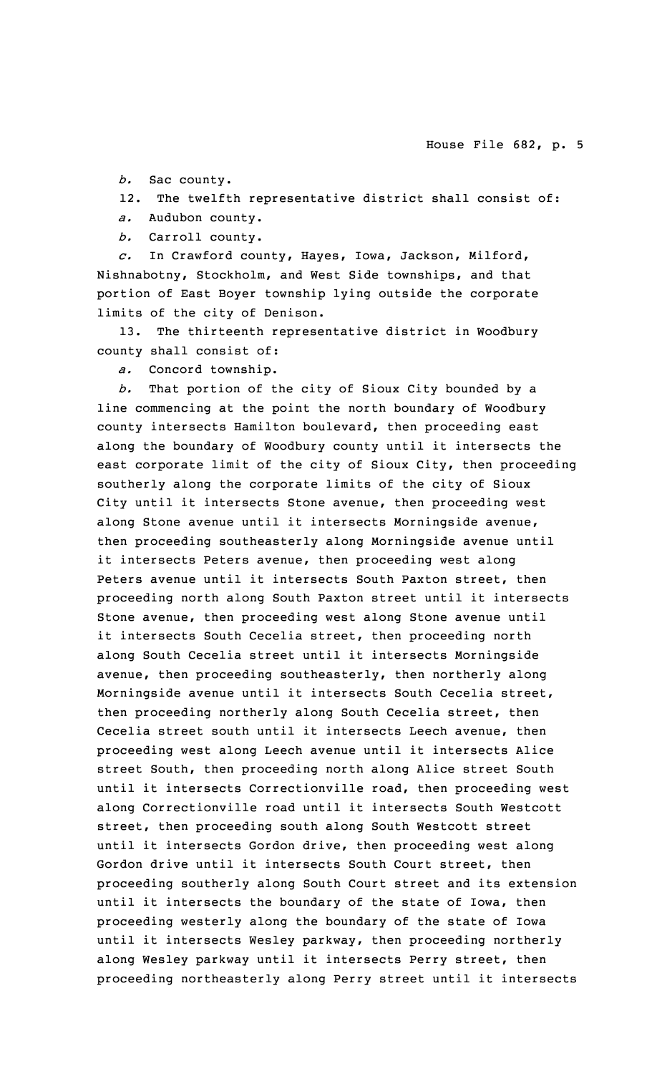*b.* Sac county.

12. The twelfth representative district shall consist of:

*a.* Audubon county.

*b.* Carroll county.

*c.* In Crawford county, Hayes, Iowa, Jackson, Milford, Nishnabotny, Stockholm, and West Side townships, and that portion of East Boyer township lying outside the corporate limits of the city of Denison.

13. The thirteenth representative district in Woodbury county shall consist of:

*a.* Concord township.

*b.* That portion of the city of Sioux City bounded by <sup>a</sup> line commencing at the point the north boundary of Woodbury county intersects Hamilton boulevard, then proceeding east along the boundary of Woodbury county until it intersects the east corporate limit of the city of Sioux City, then proceeding southerly along the corporate limits of the city of Sioux City until it intersects Stone avenue, then proceeding west along Stone avenue until it intersects Morningside avenue, then proceeding southeasterly along Morningside avenue until it intersects Peters avenue, then proceeding west along Peters avenue until it intersects South Paxton street, then proceeding north along South Paxton street until it intersects Stone avenue, then proceeding west along Stone avenue until it intersects South Cecelia street, then proceeding north along South Cecelia street until it intersects Morningside avenue, then proceeding southeasterly, then northerly along Morningside avenue until it intersects South Cecelia street, then proceeding northerly along South Cecelia street, then Cecelia street south until it intersects Leech avenue, then proceeding west along Leech avenue until it intersects Alice street South, then proceeding north along Alice street South until it intersects Correctionville road, then proceeding west along Correctionville road until it intersects South Westcott street, then proceeding south along South Westcott street until it intersects Gordon drive, then proceeding west along Gordon drive until it intersects South Court street, then proceeding southerly along South Court street and its extension until it intersects the boundary of the state of Iowa, then proceeding westerly along the boundary of the state of Iowa until it intersects Wesley parkway, then proceeding northerly along Wesley parkway until it intersects Perry street, then proceeding northeasterly along Perry street until it intersects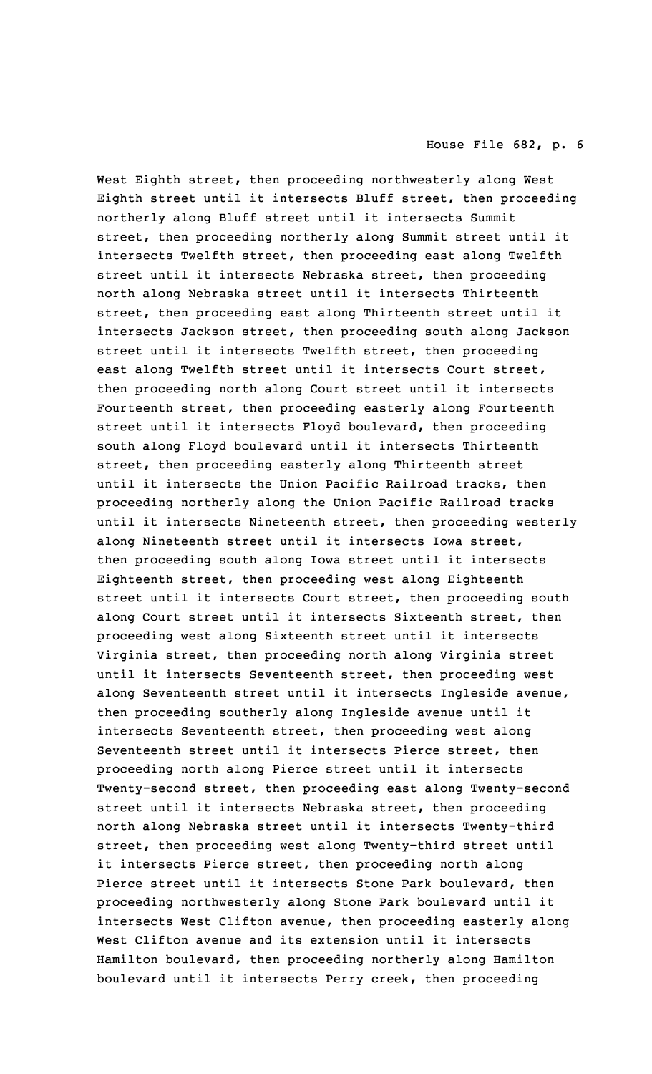West Eighth street, then proceeding northwesterly along West Eighth street until it intersects Bluff street, then proceeding northerly along Bluff street until it intersects Summit street, then proceeding northerly along Summit street until it intersects Twelfth street, then proceeding east along Twelfth street until it intersects Nebraska street, then proceeding north along Nebraska street until it intersects Thirteenth street, then proceeding east along Thirteenth street until it intersects Jackson street, then proceeding south along Jackson street until it intersects Twelfth street, then proceeding east along Twelfth street until it intersects Court street, then proceeding north along Court street until it intersects Fourteenth street, then proceeding easterly along Fourteenth street until it intersects Floyd boulevard, then proceeding south along Floyd boulevard until it intersects Thirteenth street, then proceeding easterly along Thirteenth street until it intersects the Union Pacific Railroad tracks, then proceeding northerly along the Union Pacific Railroad tracks until it intersects Nineteenth street, then proceeding westerly along Nineteenth street until it intersects Iowa street, then proceeding south along Iowa street until it intersects Eighteenth street, then proceeding west along Eighteenth street until it intersects Court street, then proceeding south along Court street until it intersects Sixteenth street, then proceeding west along Sixteenth street until it intersects Virginia street, then proceeding north along Virginia street until it intersects Seventeenth street, then proceeding west along Seventeenth street until it intersects Ingleside avenue, then proceeding southerly along Ingleside avenue until it intersects Seventeenth street, then proceeding west along Seventeenth street until it intersects Pierce street, then proceeding north along Pierce street until it intersects Twenty-second street, then proceeding east along Twenty-second street until it intersects Nebraska street, then proceeding north along Nebraska street until it intersects Twenty-third street, then proceeding west along Twenty-third street until it intersects Pierce street, then proceeding north along Pierce street until it intersects Stone Park boulevard, then proceeding northwesterly along Stone Park boulevard until it intersects West Clifton avenue, then proceeding easterly along West Clifton avenue and its extension until it intersects Hamilton boulevard, then proceeding northerly along Hamilton boulevard until it intersects Perry creek, then proceeding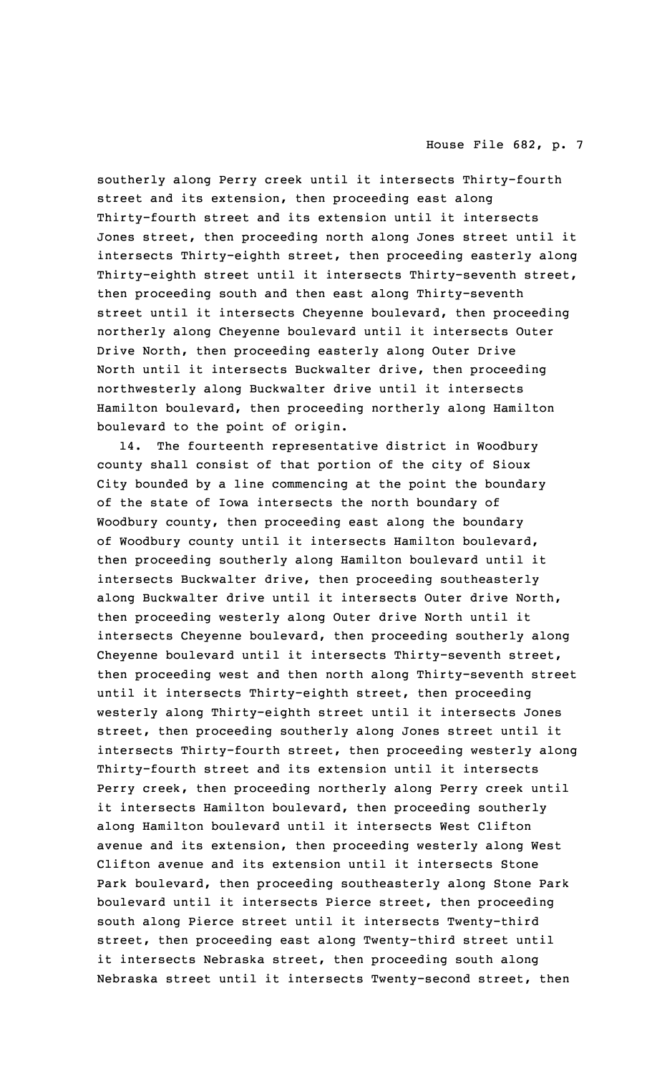southerly along Perry creek until it intersects Thirty-fourth street and its extension, then proceeding east along Thirty-fourth street and its extension until it intersects Jones street, then proceeding north along Jones street until it intersects Thirty-eighth street, then proceeding easterly along Thirty-eighth street until it intersects Thirty-seventh street, then proceeding south and then east along Thirty-seventh street until it intersects Cheyenne boulevard, then proceeding northerly along Cheyenne boulevard until it intersects Outer Drive North, then proceeding easterly along Outer Drive North until it intersects Buckwalter drive, then proceeding northwesterly along Buckwalter drive until it intersects Hamilton boulevard, then proceeding northerly along Hamilton boulevard to the point of origin.

14. The fourteenth representative district in Woodbury county shall consist of that portion of the city of Sioux City bounded by <sup>a</sup> line commencing at the point the boundary of the state of Iowa intersects the north boundary of Woodbury county, then proceeding east along the boundary of Woodbury county until it intersects Hamilton boulevard, then proceeding southerly along Hamilton boulevard until it intersects Buckwalter drive, then proceeding southeasterly along Buckwalter drive until it intersects Outer drive North, then proceeding westerly along Outer drive North until it intersects Cheyenne boulevard, then proceeding southerly along Cheyenne boulevard until it intersects Thirty-seventh street, then proceeding west and then north along Thirty-seventh street until it intersects Thirty-eighth street, then proceeding westerly along Thirty-eighth street until it intersects Jones street, then proceeding southerly along Jones street until it intersects Thirty-fourth street, then proceeding westerly along Thirty-fourth street and its extension until it intersects Perry creek, then proceeding northerly along Perry creek until it intersects Hamilton boulevard, then proceeding southerly along Hamilton boulevard until it intersects West Clifton avenue and its extension, then proceeding westerly along West Clifton avenue and its extension until it intersects Stone Park boulevard, then proceeding southeasterly along Stone Park boulevard until it intersects Pierce street, then proceeding south along Pierce street until it intersects Twenty-third street, then proceeding east along Twenty-third street until it intersects Nebraska street, then proceeding south along Nebraska street until it intersects Twenty-second street, then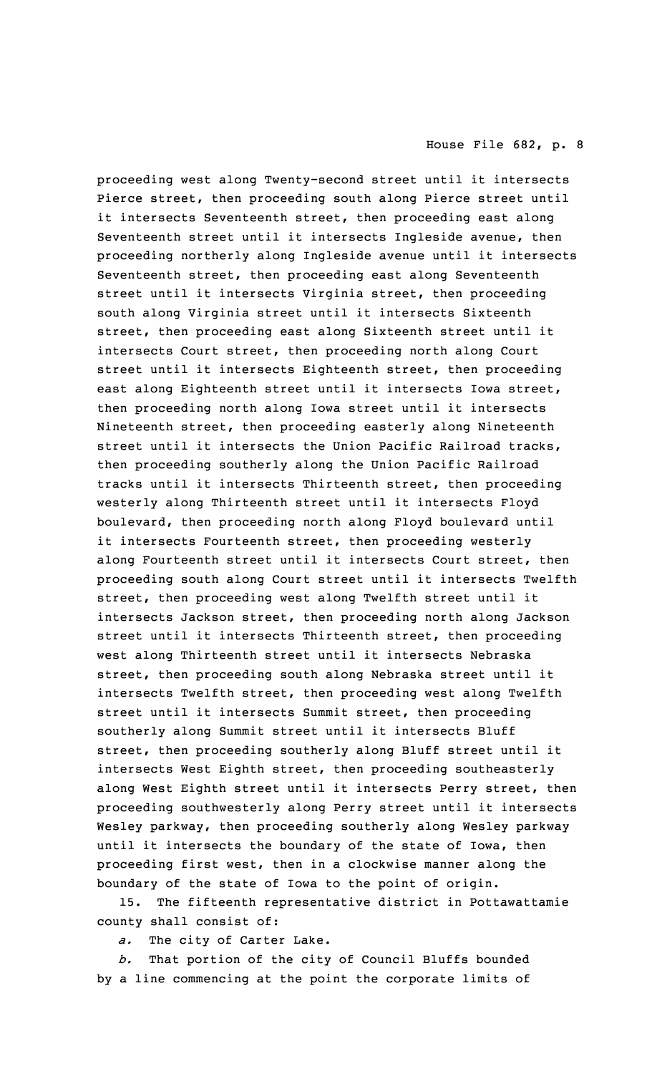proceeding west along Twenty-second street until it intersects Pierce street, then proceeding south along Pierce street until it intersects Seventeenth street, then proceeding east along Seventeenth street until it intersects Ingleside avenue, then proceeding northerly along Ingleside avenue until it intersects Seventeenth street, then proceeding east along Seventeenth street until it intersects Virginia street, then proceeding south along Virginia street until it intersects Sixteenth street, then proceeding east along Sixteenth street until it intersects Court street, then proceeding north along Court street until it intersects Eighteenth street, then proceeding east along Eighteenth street until it intersects Iowa street, then proceeding north along Iowa street until it intersects Nineteenth street, then proceeding easterly along Nineteenth street until it intersects the Union Pacific Railroad tracks, then proceeding southerly along the Union Pacific Railroad tracks until it intersects Thirteenth street, then proceeding westerly along Thirteenth street until it intersects Floyd boulevard, then proceeding north along Floyd boulevard until it intersects Fourteenth street, then proceeding westerly along Fourteenth street until it intersects Court street, then proceeding south along Court street until it intersects Twelfth street, then proceeding west along Twelfth street until it intersects Jackson street, then proceeding north along Jackson street until it intersects Thirteenth street, then proceeding west along Thirteenth street until it intersects Nebraska street, then proceeding south along Nebraska street until it intersects Twelfth street, then proceeding west along Twelfth street until it intersects Summit street, then proceeding southerly along Summit street until it intersects Bluff street, then proceeding southerly along Bluff street until it intersects West Eighth street, then proceeding southeasterly along West Eighth street until it intersects Perry street, then proceeding southwesterly along Perry street until it intersects Wesley parkway, then proceeding southerly along Wesley parkway until it intersects the boundary of the state of Iowa, then proceeding first west, then in <sup>a</sup> clockwise manner along the boundary of the state of Iowa to the point of origin.

15. The fifteenth representative district in Pottawattamie county shall consist of:

*a.* The city of Carter Lake.

*b.* That portion of the city of Council Bluffs bounded by <sup>a</sup> line commencing at the point the corporate limits of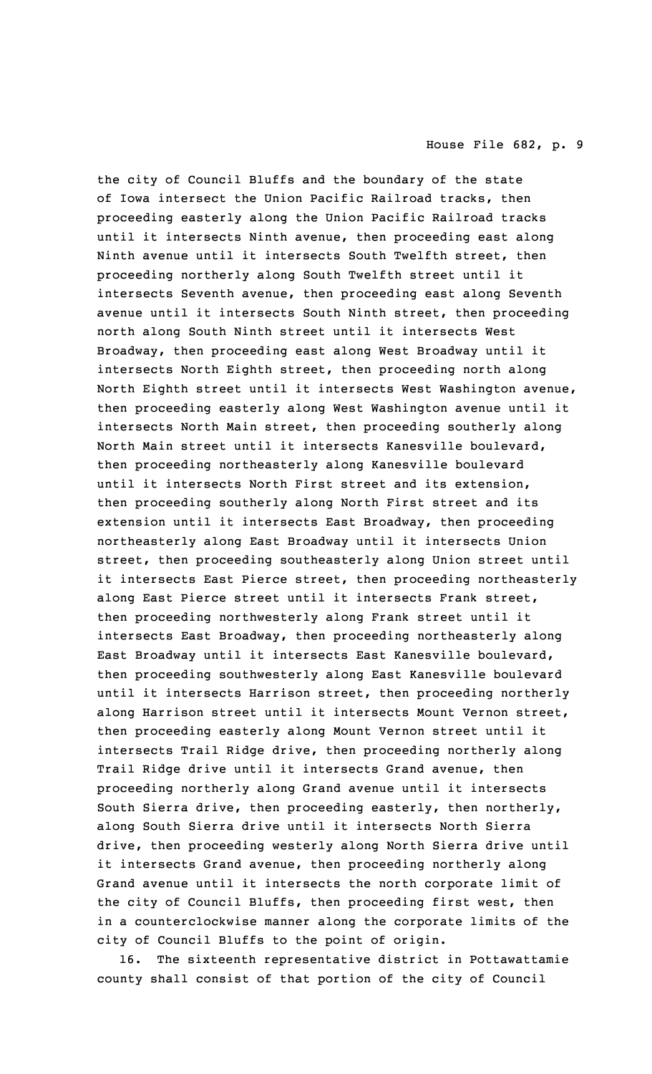the city of Council Bluffs and the boundary of the state of Iowa intersect the Union Pacific Railroad tracks, then proceeding easterly along the Union Pacific Railroad tracks until it intersects Ninth avenue, then proceeding east along Ninth avenue until it intersects South Twelfth street, then proceeding northerly along South Twelfth street until it intersects Seventh avenue, then proceeding east along Seventh avenue until it intersects South Ninth street, then proceeding north along South Ninth street until it intersects West Broadway, then proceeding east along West Broadway until it intersects North Eighth street, then proceeding north along North Eighth street until it intersects West Washington avenue, then proceeding easterly along West Washington avenue until it intersects North Main street, then proceeding southerly along North Main street until it intersects Kanesville boulevard, then proceeding northeasterly along Kanesville boulevard until it intersects North First street and its extension, then proceeding southerly along North First street and its extension until it intersects East Broadway, then proceeding northeasterly along East Broadway until it intersects Union street, then proceeding southeasterly along Union street until it intersects East Pierce street, then proceeding northeasterly along East Pierce street until it intersects Frank street, then proceeding northwesterly along Frank street until it intersects East Broadway, then proceeding northeasterly along East Broadway until it intersects East Kanesville boulevard, then proceeding southwesterly along East Kanesville boulevard until it intersects Harrison street, then proceeding northerly along Harrison street until it intersects Mount Vernon street, then proceeding easterly along Mount Vernon street until it intersects Trail Ridge drive, then proceeding northerly along Trail Ridge drive until it intersects Grand avenue, then proceeding northerly along Grand avenue until it intersects South Sierra drive, then proceeding easterly, then northerly, along South Sierra drive until it intersects North Sierra drive, then proceeding westerly along North Sierra drive until it intersects Grand avenue, then proceeding northerly along Grand avenue until it intersects the north corporate limit of the city of Council Bluffs, then proceeding first west, then in <sup>a</sup> counterclockwise manner along the corporate limits of the city of Council Bluffs to the point of origin.

16. The sixteenth representative district in Pottawattamie county shall consist of that portion of the city of Council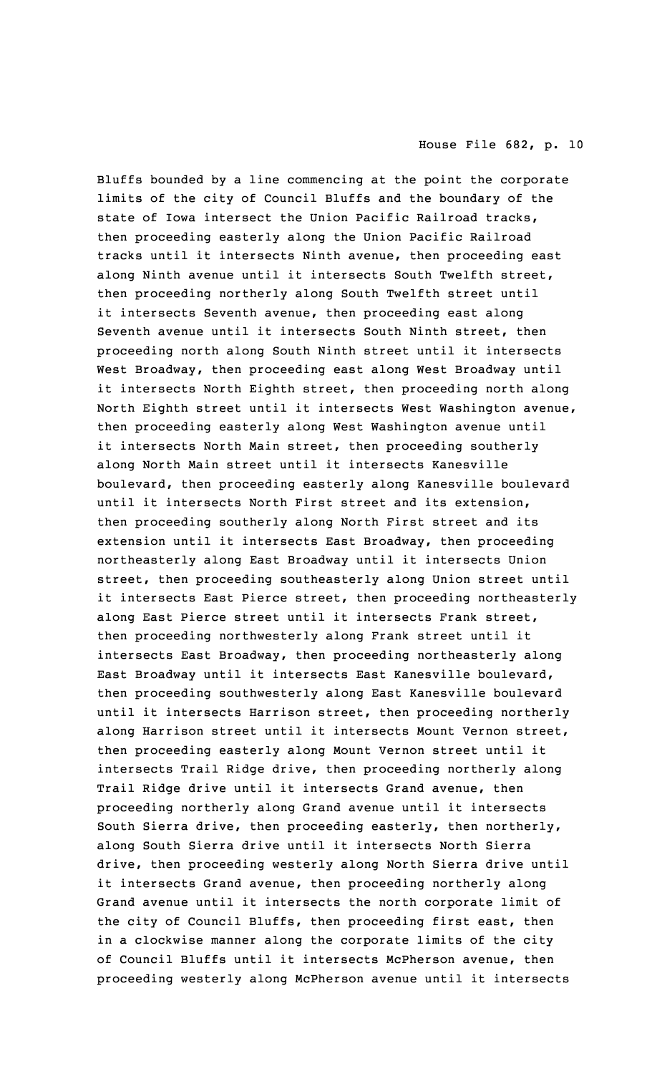Bluffs bounded by <sup>a</sup> line commencing at the point the corporate limits of the city of Council Bluffs and the boundary of the state of Iowa intersect the Union Pacific Railroad tracks, then proceeding easterly along the Union Pacific Railroad tracks until it intersects Ninth avenue, then proceeding east along Ninth avenue until it intersects South Twelfth street, then proceeding northerly along South Twelfth street until it intersects Seventh avenue, then proceeding east along Seventh avenue until it intersects South Ninth street, then proceeding north along South Ninth street until it intersects West Broadway, then proceeding east along West Broadway until it intersects North Eighth street, then proceeding north along North Eighth street until it intersects West Washington avenue, then proceeding easterly along West Washington avenue until it intersects North Main street, then proceeding southerly along North Main street until it intersects Kanesville boulevard, then proceeding easterly along Kanesville boulevard until it intersects North First street and its extension, then proceeding southerly along North First street and its extension until it intersects East Broadway, then proceeding northeasterly along East Broadway until it intersects Union street, then proceeding southeasterly along Union street until it intersects East Pierce street, then proceeding northeasterly along East Pierce street until it intersects Frank street, then proceeding northwesterly along Frank street until it intersects East Broadway, then proceeding northeasterly along East Broadway until it intersects East Kanesville boulevard, then proceeding southwesterly along East Kanesville boulevard until it intersects Harrison street, then proceeding northerly along Harrison street until it intersects Mount Vernon street, then proceeding easterly along Mount Vernon street until it intersects Trail Ridge drive, then proceeding northerly along Trail Ridge drive until it intersects Grand avenue, then proceeding northerly along Grand avenue until it intersects South Sierra drive, then proceeding easterly, then northerly, along South Sierra drive until it intersects North Sierra drive, then proceeding westerly along North Sierra drive until it intersects Grand avenue, then proceeding northerly along Grand avenue until it intersects the north corporate limit of the city of Council Bluffs, then proceeding first east, then in <sup>a</sup> clockwise manner along the corporate limits of the city of Council Bluffs until it intersects McPherson avenue, then proceeding westerly along McPherson avenue until it intersects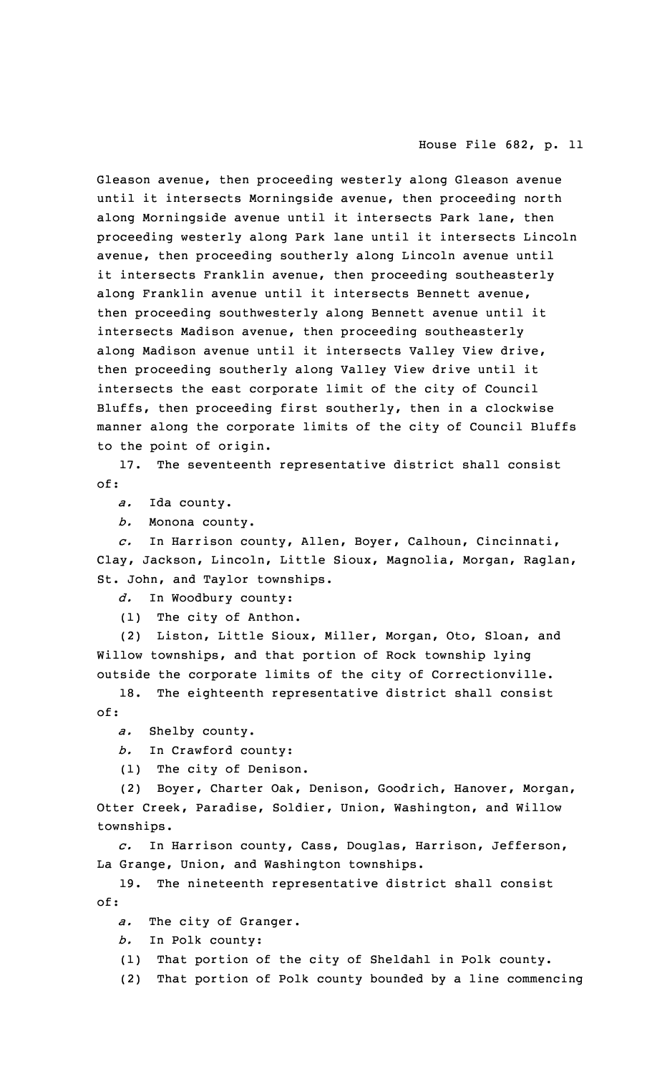Gleason avenue, then proceeding westerly along Gleason avenue until it intersects Morningside avenue, then proceeding north along Morningside avenue until it intersects Park lane, then proceeding westerly along Park lane until it intersects Lincoln avenue, then proceeding southerly along Lincoln avenue until it intersects Franklin avenue, then proceeding southeasterly along Franklin avenue until it intersects Bennett avenue, then proceeding southwesterly along Bennett avenue until it intersects Madison avenue, then proceeding southeasterly along Madison avenue until it intersects Valley View drive, then proceeding southerly along Valley View drive until it intersects the east corporate limit of the city of Council Bluffs, then proceeding first southerly, then in <sup>a</sup> clockwise manner along the corporate limits of the city of Council Bluffs to the point of origin.

17. The seventeenth representative district shall consist of:

*a.* Ida county.

*b.* Monona county.

*c.* In Harrison county, Allen, Boyer, Calhoun, Cincinnati, Clay, Jackson, Lincoln, Little Sioux, Magnolia, Morgan, Raglan, St. John, and Taylor townships.

*d.* In Woodbury county:

(1) The city of Anthon.

(2) Liston, Little Sioux, Miller, Morgan, Oto, Sloan, and Willow townships, and that portion of Rock township lying outside the corporate limits of the city of Correctionville.

18. The eighteenth representative district shall consist of:

*a.* Shelby county.

*b.* In Crawford county:

(1) The city of Denison.

(2) Boyer, Charter Oak, Denison, Goodrich, Hanover, Morgan, Otter Creek, Paradise, Soldier, Union, Washington, and Willow townships.

*c.* In Harrison county, Cass, Douglas, Harrison, Jefferson, La Grange, Union, and Washington townships.

19. The nineteenth representative district shall consist of:

*a.* The city of Granger.

*b.* In Polk county:

(1) That portion of the city of Sheldahl in Polk county.

(2) That portion of Polk county bounded by <sup>a</sup> line commencing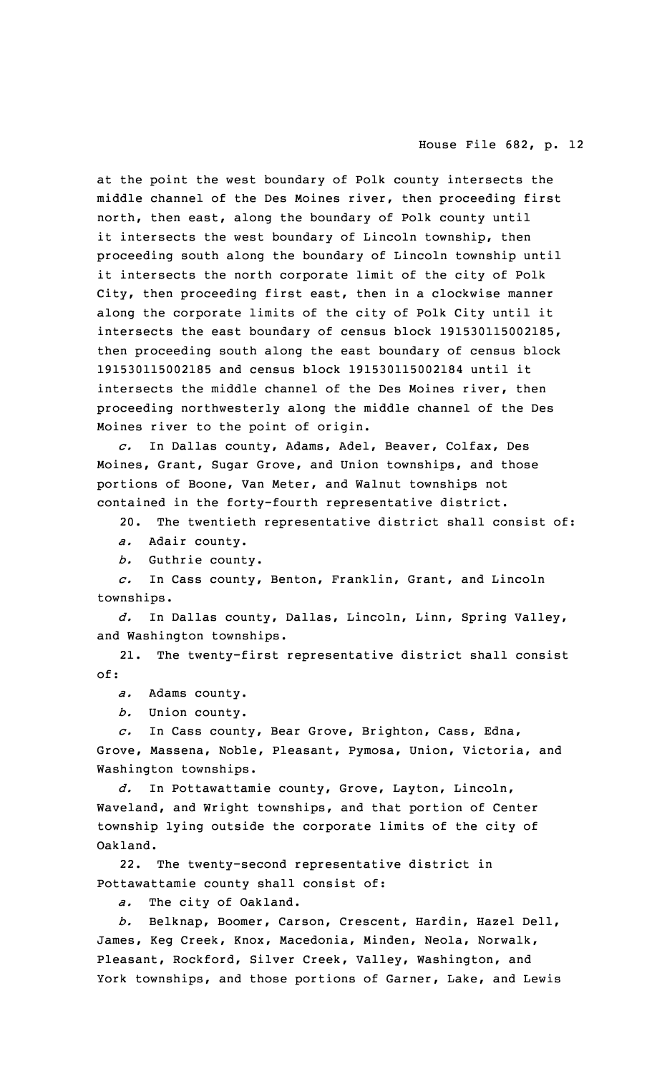at the point the west boundary of Polk county intersects the middle channel of the Des Moines river, then proceeding first north, then east, along the boundary of Polk county until it intersects the west boundary of Lincoln township, then proceeding south along the boundary of Lincoln township until it intersects the north corporate limit of the city of Polk City, then proceeding first east, then in <sup>a</sup> clockwise manner along the corporate limits of the city of Polk City until it intersects the east boundary of census block 191530115002185, then proceeding south along the east boundary of census block 191530115002185 and census block 191530115002184 until it intersects the middle channel of the Des Moines river, then proceeding northwesterly along the middle channel of the Des Moines river to the point of origin.

*c.* In Dallas county, Adams, Adel, Beaver, Colfax, Des Moines, Grant, Sugar Grove, and Union townships, and those portions of Boone, Van Meter, and Walnut townships not contained in the forty-fourth representative district.

20. The twentieth representative district shall consist of:

*a.* Adair county.

*b.* Guthrie county.

*c.* In Cass county, Benton, Franklin, Grant, and Lincoln townships.

*d.* In Dallas county, Dallas, Lincoln, Linn, Spring Valley, and Washington townships.

21. The twenty-first representative district shall consist of:

*a.* Adams county.

*b.* Union county.

*c.* In Cass county, Bear Grove, Brighton, Cass, Edna, Grove, Massena, Noble, Pleasant, Pymosa, Union, Victoria, and Washington townships.

*d.* In Pottawattamie county, Grove, Layton, Lincoln, Waveland, and Wright townships, and that portion of Center township lying outside the corporate limits of the city of Oakland.

22. The twenty-second representative district in Pottawattamie county shall consist of:

*a.* The city of Oakland.

*b.* Belknap, Boomer, Carson, Crescent, Hardin, Hazel Dell, James, Keg Creek, Knox, Macedonia, Minden, Neola, Norwalk, Pleasant, Rockford, Silver Creek, Valley, Washington, and York townships, and those portions of Garner, Lake, and Lewis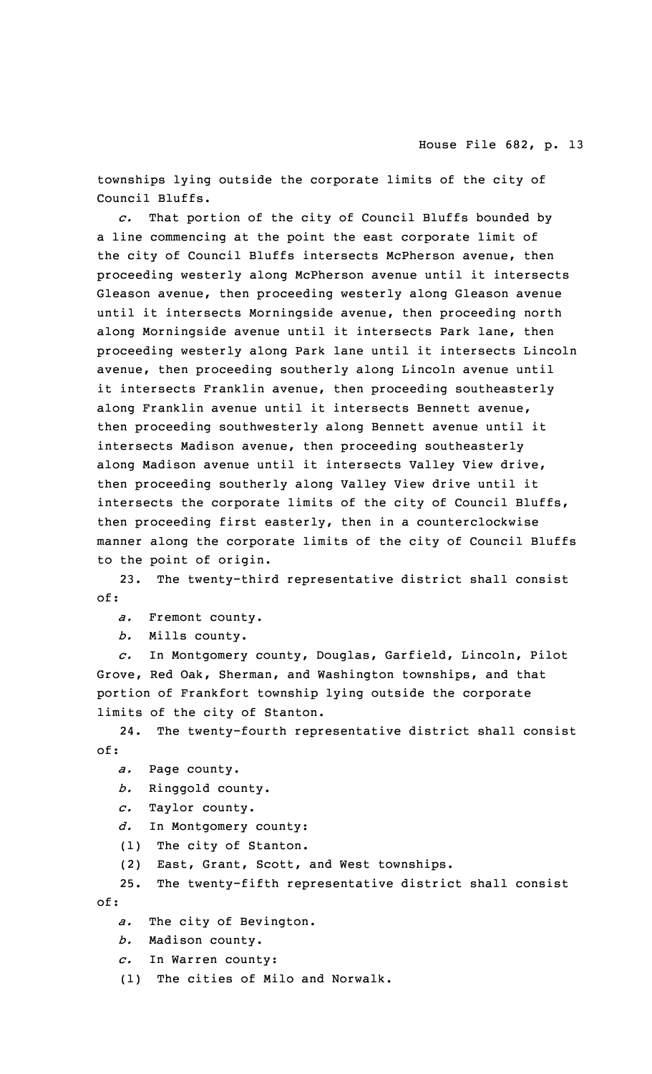townships lying outside the corporate limits of the city of Council Bluffs.

*c.* That portion of the city of Council Bluffs bounded by <sup>a</sup> line commencing at the point the east corporate limit of the city of Council Bluffs intersects McPherson avenue, then proceeding westerly along McPherson avenue until it intersects Gleason avenue, then proceeding westerly along Gleason avenue until it intersects Morningside avenue, then proceeding north along Morningside avenue until it intersects Park lane, then proceeding westerly along Park lane until it intersects Lincoln avenue, then proceeding southerly along Lincoln avenue until it intersects Franklin avenue, then proceeding southeasterly along Franklin avenue until it intersects Bennett avenue, then proceeding southwesterly along Bennett avenue until it intersects Madison avenue, then proceeding southeasterly along Madison avenue until it intersects Valley View drive, then proceeding southerly along Valley View drive until it intersects the corporate limits of the city of Council Bluffs, then proceeding first easterly, then in <sup>a</sup> counterclockwise manner along the corporate limits of the city of Council Bluffs to the point of origin.

23. The twenty-third representative district shall consist of:

*a.* Fremont county.

*b.* Mills county.

*c.* In Montgomery county, Douglas, Garfield, Lincoln, Pilot Grove, Red Oak, Sherman, and Washington townships, and that portion of Frankfort township lying outside the corporate limits of the city of Stanton.

24. The twenty-fourth representative district shall consist of:

*a.* Page county.

*b.* Ringgold county.

*c.* Taylor county.

*d.* In Montgomery county:

(1) The city of Stanton.

(2) East, Grant, Scott, and West townships.

25. The twenty-fifth representative district shall consist of:

*a.* The city of Bevington.

*b.* Madison county.

*c.* In Warren county:

(1) The cities of Milo and Norwalk.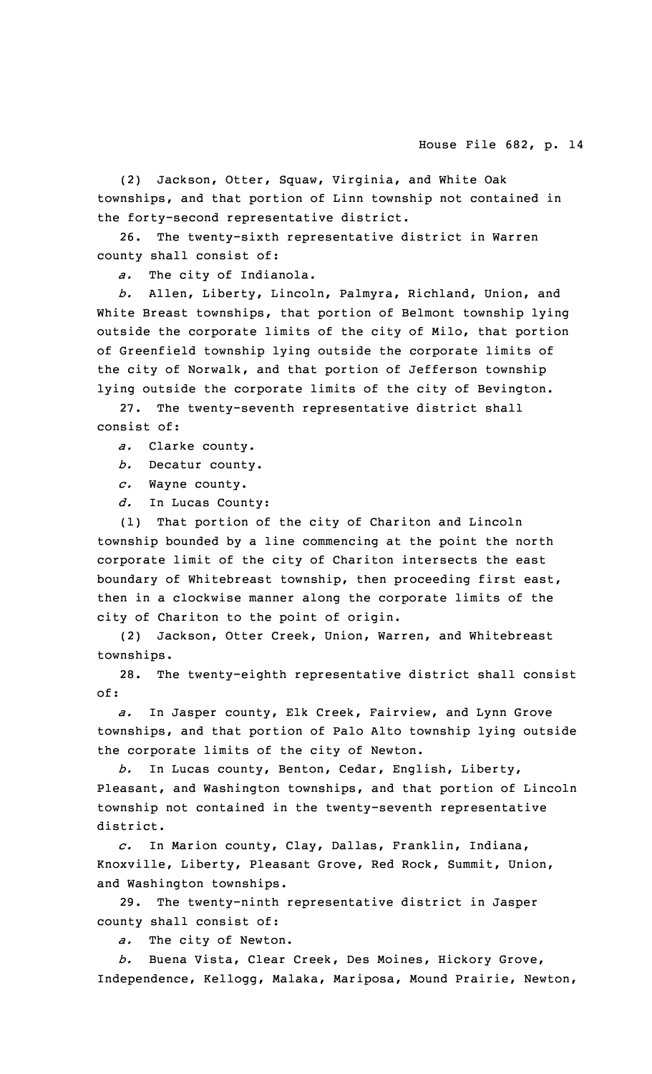(2) Jackson, Otter, Squaw, Virginia, and White Oak townships, and that portion of Linn township not contained in the forty-second representative district.

26. The twenty-sixth representative district in Warren county shall consist of:

*a.* The city of Indianola.

*b.* Allen, Liberty, Lincoln, Palmyra, Richland, Union, and White Breast townships, that portion of Belmont township lying outside the corporate limits of the city of Milo, that portion of Greenfield township lying outside the corporate limits of the city of Norwalk, and that portion of Jefferson township lying outside the corporate limits of the city of Bevington.

27. The twenty-seventh representative district shall consist of:

*a.* Clarke county.

*b.* Decatur county.

*c.* Wayne county.

*d.* In Lucas County:

(1) That portion of the city of Chariton and Lincoln township bounded by <sup>a</sup> line commencing at the point the north corporate limit of the city of Chariton intersects the east boundary of Whitebreast township, then proceeding first east, then in <sup>a</sup> clockwise manner along the corporate limits of the city of Chariton to the point of origin.

(2) Jackson, Otter Creek, Union, Warren, and Whitebreast townships.

28. The twenty-eighth representative district shall consist of:

*a.* In Jasper county, Elk Creek, Fairview, and Lynn Grove townships, and that portion of Palo Alto township lying outside the corporate limits of the city of Newton.

*b.* In Lucas county, Benton, Cedar, English, Liberty, Pleasant, and Washington townships, and that portion of Lincoln township not contained in the twenty-seventh representative district.

*c.* In Marion county, Clay, Dallas, Franklin, Indiana, Knoxville, Liberty, Pleasant Grove, Red Rock, Summit, Union, and Washington townships.

29. The twenty-ninth representative district in Jasper county shall consist of:

*a.* The city of Newton.

*b.* Buena Vista, Clear Creek, Des Moines, Hickory Grove, Independence, Kellogg, Malaka, Mariposa, Mound Prairie, Newton,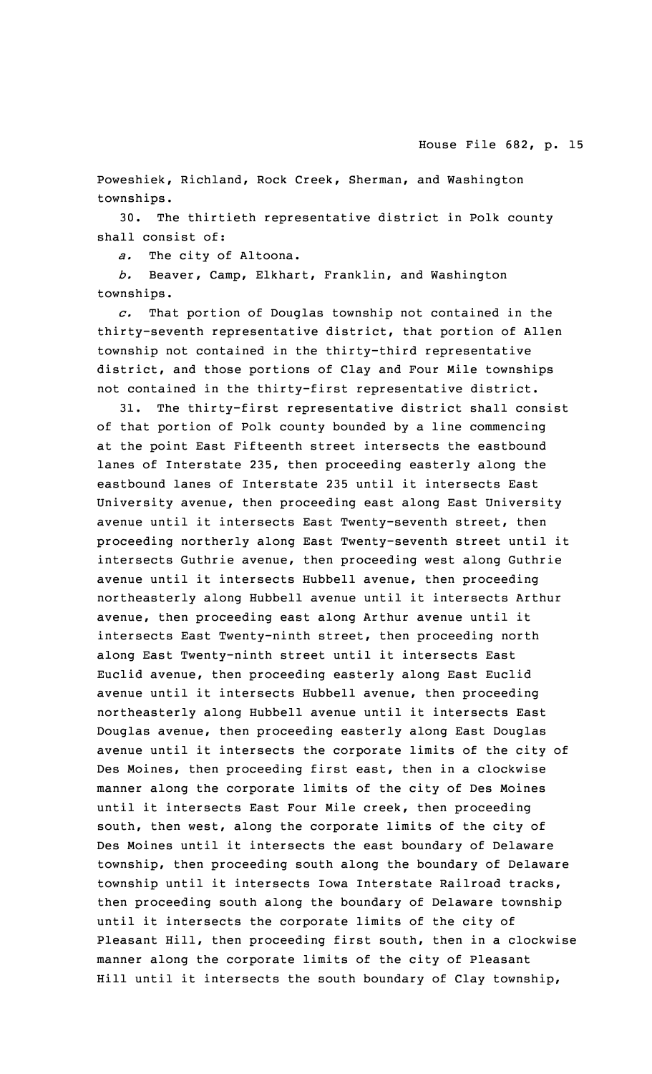Poweshiek, Richland, Rock Creek, Sherman, and Washington townships.

30. The thirtieth representative district in Polk county shall consist of:

*a.* The city of Altoona.

*b.* Beaver, Camp, Elkhart, Franklin, and Washington townships.

*c.* That portion of Douglas township not contained in the thirty-seventh representative district, that portion of Allen township not contained in the thirty-third representative district, and those portions of Clay and Four Mile townships not contained in the thirty-first representative district.

31. The thirty-first representative district shall consist of that portion of Polk county bounded by <sup>a</sup> line commencing at the point East Fifteenth street intersects the eastbound lanes of Interstate 235, then proceeding easterly along the eastbound lanes of Interstate 235 until it intersects East University avenue, then proceeding east along East University avenue until it intersects East Twenty-seventh street, then proceeding northerly along East Twenty-seventh street until it intersects Guthrie avenue, then proceeding west along Guthrie avenue until it intersects Hubbell avenue, then proceeding northeasterly along Hubbell avenue until it intersects Arthur avenue, then proceeding east along Arthur avenue until it intersects East Twenty-ninth street, then proceeding north along East Twenty-ninth street until it intersects East Euclid avenue, then proceeding easterly along East Euclid avenue until it intersects Hubbell avenue, then proceeding northeasterly along Hubbell avenue until it intersects East Douglas avenue, then proceeding easterly along East Douglas avenue until it intersects the corporate limits of the city of Des Moines, then proceeding first east, then in <sup>a</sup> clockwise manner along the corporate limits of the city of Des Moines until it intersects East Four Mile creek, then proceeding south, then west, along the corporate limits of the city of Des Moines until it intersects the east boundary of Delaware township, then proceeding south along the boundary of Delaware township until it intersects Iowa Interstate Railroad tracks, then proceeding south along the boundary of Delaware township until it intersects the corporate limits of the city of Pleasant Hill, then proceeding first south, then in <sup>a</sup> clockwise manner along the corporate limits of the city of Pleasant Hill until it intersects the south boundary of Clay township,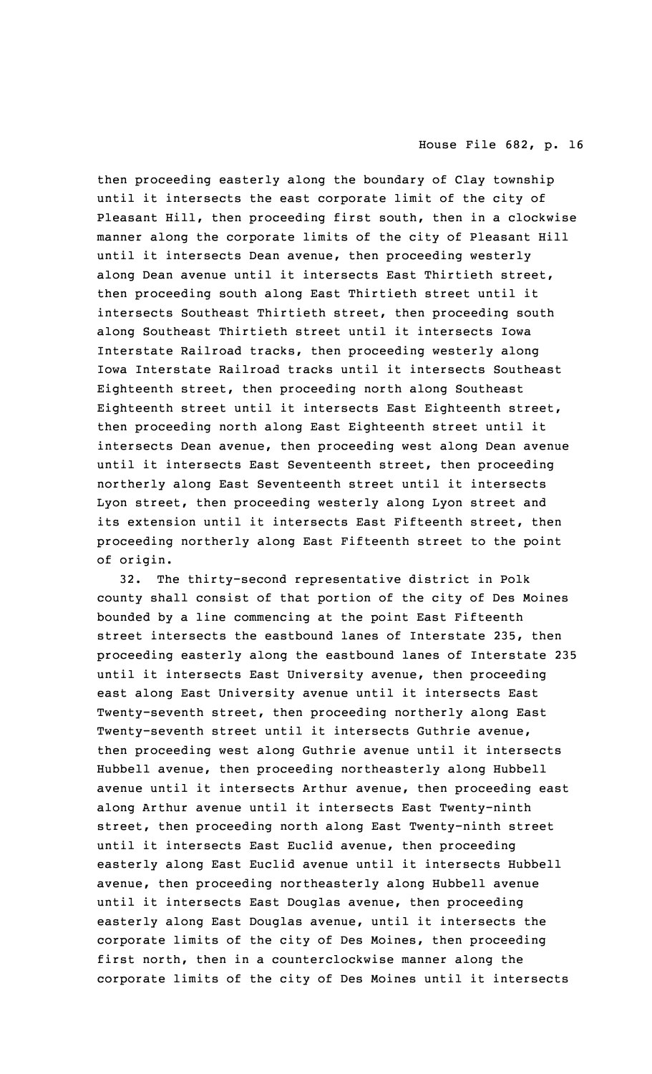then proceeding easterly along the boundary of Clay township until it intersects the east corporate limit of the city of Pleasant Hill, then proceeding first south, then in <sup>a</sup> clockwise manner along the corporate limits of the city of Pleasant Hill until it intersects Dean avenue, then proceeding westerly along Dean avenue until it intersects East Thirtieth street, then proceeding south along East Thirtieth street until it intersects Southeast Thirtieth street, then proceeding south along Southeast Thirtieth street until it intersects Iowa Interstate Railroad tracks, then proceeding westerly along Iowa Interstate Railroad tracks until it intersects Southeast Eighteenth street, then proceeding north along Southeast Eighteenth street until it intersects East Eighteenth street, then proceeding north along East Eighteenth street until it intersects Dean avenue, then proceeding west along Dean avenue until it intersects East Seventeenth street, then proceeding northerly along East Seventeenth street until it intersects Lyon street, then proceeding westerly along Lyon street and its extension until it intersects East Fifteenth street, then proceeding northerly along East Fifteenth street to the point of origin.

32. The thirty-second representative district in Polk county shall consist of that portion of the city of Des Moines bounded by <sup>a</sup> line commencing at the point East Fifteenth street intersects the eastbound lanes of Interstate 235, then proceeding easterly along the eastbound lanes of Interstate 235 until it intersects East University avenue, then proceeding east along East University avenue until it intersects East Twenty-seventh street, then proceeding northerly along East Twenty-seventh street until it intersects Guthrie avenue, then proceeding west along Guthrie avenue until it intersects Hubbell avenue, then proceeding northeasterly along Hubbell avenue until it intersects Arthur avenue, then proceeding east along Arthur avenue until it intersects East Twenty-ninth street, then proceeding north along East Twenty-ninth street until it intersects East Euclid avenue, then proceeding easterly along East Euclid avenue until it intersects Hubbell avenue, then proceeding northeasterly along Hubbell avenue until it intersects East Douglas avenue, then proceeding easterly along East Douglas avenue, until it intersects the corporate limits of the city of Des Moines, then proceeding first north, then in <sup>a</sup> counterclockwise manner along the corporate limits of the city of Des Moines until it intersects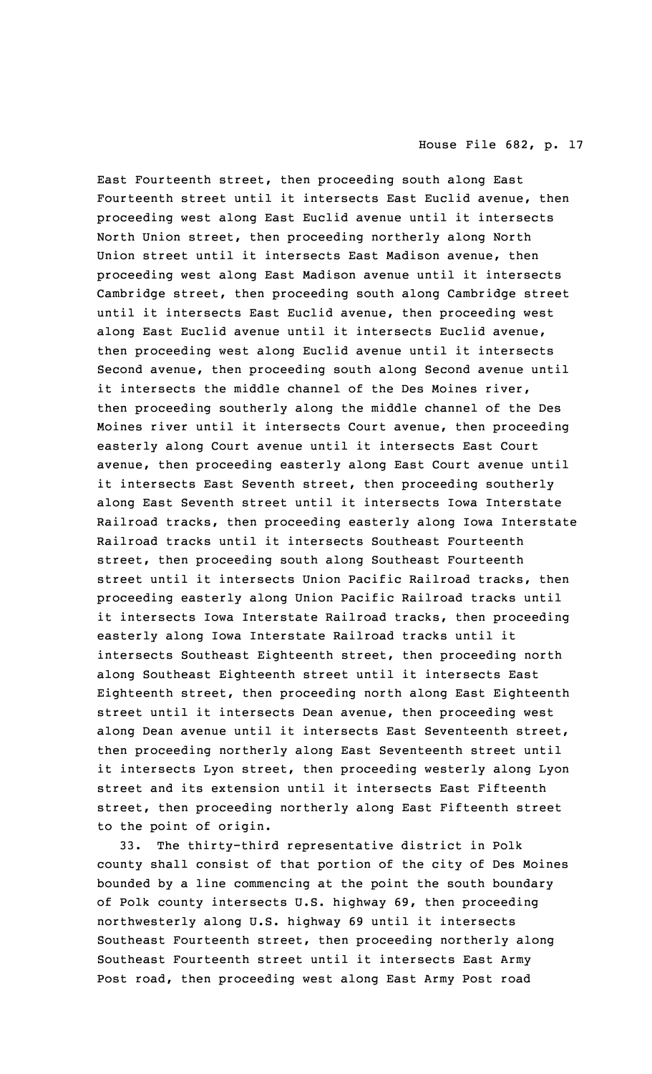East Fourteenth street, then proceeding south along East Fourteenth street until it intersects East Euclid avenue, then proceeding west along East Euclid avenue until it intersects North Union street, then proceeding northerly along North Union street until it intersects East Madison avenue, then proceeding west along East Madison avenue until it intersects Cambridge street, then proceeding south along Cambridge street until it intersects East Euclid avenue, then proceeding west along East Euclid avenue until it intersects Euclid avenue, then proceeding west along Euclid avenue until it intersects Second avenue, then proceeding south along Second avenue until it intersects the middle channel of the Des Moines river, then proceeding southerly along the middle channel of the Des Moines river until it intersects Court avenue, then proceeding easterly along Court avenue until it intersects East Court avenue, then proceeding easterly along East Court avenue until it intersects East Seventh street, then proceeding southerly along East Seventh street until it intersects Iowa Interstate Railroad tracks, then proceeding easterly along Iowa Interstate Railroad tracks until it intersects Southeast Fourteenth street, then proceeding south along Southeast Fourteenth street until it intersects Union Pacific Railroad tracks, then proceeding easterly along Union Pacific Railroad tracks until it intersects Iowa Interstate Railroad tracks, then proceeding easterly along Iowa Interstate Railroad tracks until it intersects Southeast Eighteenth street, then proceeding north along Southeast Eighteenth street until it intersects East Eighteenth street, then proceeding north along East Eighteenth street until it intersects Dean avenue, then proceeding west along Dean avenue until it intersects East Seventeenth street, then proceeding northerly along East Seventeenth street until it intersects Lyon street, then proceeding westerly along Lyon street and its extension until it intersects East Fifteenth street, then proceeding northerly along East Fifteenth street to the point of origin.

33. The thirty-third representative district in Polk county shall consist of that portion of the city of Des Moines bounded by <sup>a</sup> line commencing at the point the south boundary of Polk county intersects U.S. highway 69, then proceeding northwesterly along U.S. highway 69 until it intersects Southeast Fourteenth street, then proceeding northerly along Southeast Fourteenth street until it intersects East Army Post road, then proceeding west along East Army Post road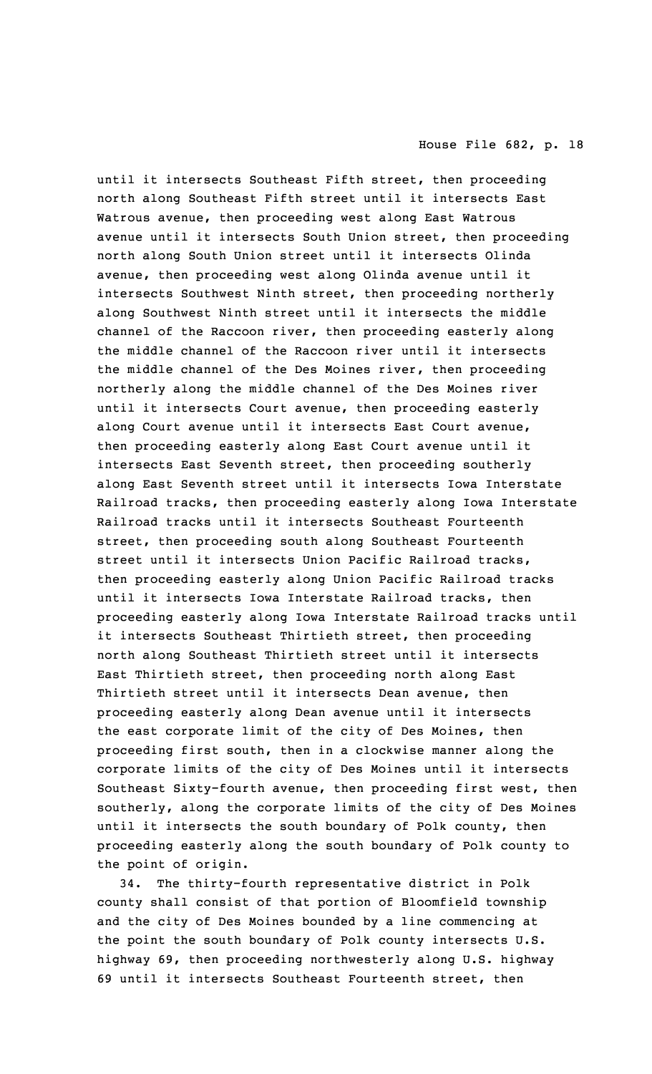until it intersects Southeast Fifth street, then proceeding north along Southeast Fifth street until it intersects East Watrous avenue, then proceeding west along East Watrous avenue until it intersects South Union street, then proceeding north along South Union street until it intersects Olinda avenue, then proceeding west along Olinda avenue until it intersects Southwest Ninth street, then proceeding northerly along Southwest Ninth street until it intersects the middle channel of the Raccoon river, then proceeding easterly along the middle channel of the Raccoon river until it intersects the middle channel of the Des Moines river, then proceeding northerly along the middle channel of the Des Moines river until it intersects Court avenue, then proceeding easterly along Court avenue until it intersects East Court avenue, then proceeding easterly along East Court avenue until it intersects East Seventh street, then proceeding southerly along East Seventh street until it intersects Iowa Interstate Railroad tracks, then proceeding easterly along Iowa Interstate Railroad tracks until it intersects Southeast Fourteenth street, then proceeding south along Southeast Fourteenth street until it intersects Union Pacific Railroad tracks, then proceeding easterly along Union Pacific Railroad tracks until it intersects Iowa Interstate Railroad tracks, then proceeding easterly along Iowa Interstate Railroad tracks until it intersects Southeast Thirtieth street, then proceeding north along Southeast Thirtieth street until it intersects East Thirtieth street, then proceeding north along East Thirtieth street until it intersects Dean avenue, then proceeding easterly along Dean avenue until it intersects the east corporate limit of the city of Des Moines, then proceeding first south, then in <sup>a</sup> clockwise manner along the corporate limits of the city of Des Moines until it intersects Southeast Sixty-fourth avenue, then proceeding first west, then southerly, along the corporate limits of the city of Des Moines until it intersects the south boundary of Polk county, then proceeding easterly along the south boundary of Polk county to the point of origin.

34. The thirty-fourth representative district in Polk county shall consist of that portion of Bloomfield township and the city of Des Moines bounded by <sup>a</sup> line commencing at the point the south boundary of Polk county intersects U.S. highway 69, then proceeding northwesterly along U.S. highway 69 until it intersects Southeast Fourteenth street, then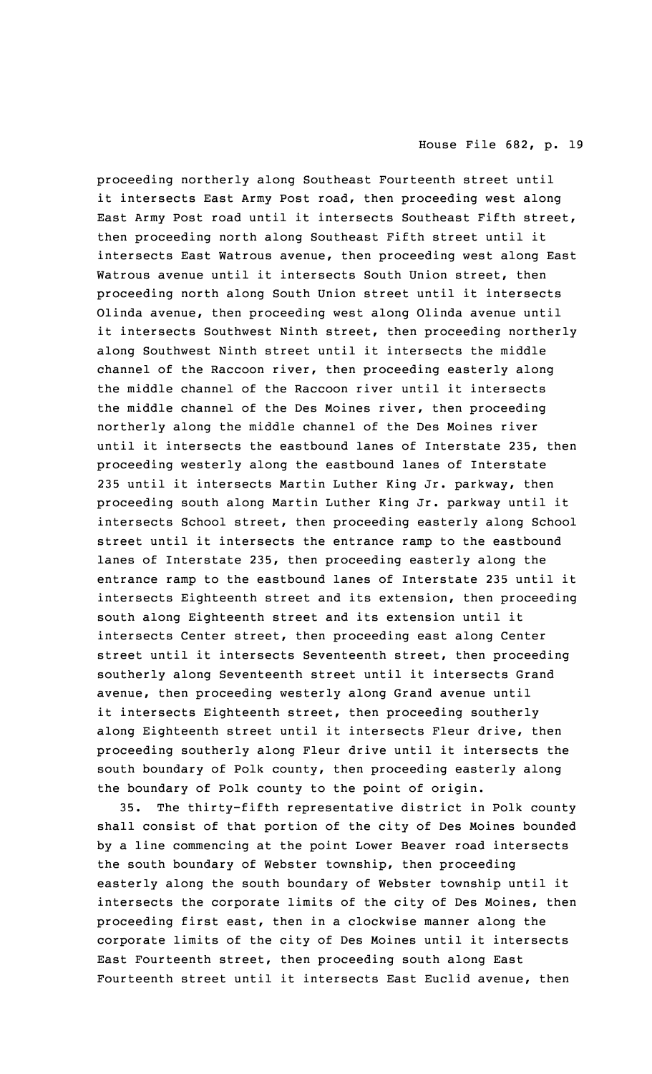proceeding northerly along Southeast Fourteenth street until it intersects East Army Post road, then proceeding west along East Army Post road until it intersects Southeast Fifth street, then proceeding north along Southeast Fifth street until it intersects East Watrous avenue, then proceeding west along East Watrous avenue until it intersects South Union street, then proceeding north along South Union street until it intersects Olinda avenue, then proceeding west along Olinda avenue until it intersects Southwest Ninth street, then proceeding northerly along Southwest Ninth street until it intersects the middle channel of the Raccoon river, then proceeding easterly along the middle channel of the Raccoon river until it intersects the middle channel of the Des Moines river, then proceeding northerly along the middle channel of the Des Moines river until it intersects the eastbound lanes of Interstate 235, then proceeding westerly along the eastbound lanes of Interstate 235 until it intersects Martin Luther King Jr. parkway, then proceeding south along Martin Luther King Jr. parkway until it intersects School street, then proceeding easterly along School street until it intersects the entrance ramp to the eastbound lanes of Interstate 235, then proceeding easterly along the entrance ramp to the eastbound lanes of Interstate 235 until it intersects Eighteenth street and its extension, then proceeding south along Eighteenth street and its extension until it intersects Center street, then proceeding east along Center street until it intersects Seventeenth street, then proceeding southerly along Seventeenth street until it intersects Grand avenue, then proceeding westerly along Grand avenue until it intersects Eighteenth street, then proceeding southerly along Eighteenth street until it intersects Fleur drive, then proceeding southerly along Fleur drive until it intersects the south boundary of Polk county, then proceeding easterly along the boundary of Polk county to the point of origin.

35. The thirty-fifth representative district in Polk county shall consist of that portion of the city of Des Moines bounded by <sup>a</sup> line commencing at the point Lower Beaver road intersects the south boundary of Webster township, then proceeding easterly along the south boundary of Webster township until it intersects the corporate limits of the city of Des Moines, then proceeding first east, then in <sup>a</sup> clockwise manner along the corporate limits of the city of Des Moines until it intersects East Fourteenth street, then proceeding south along East Fourteenth street until it intersects East Euclid avenue, then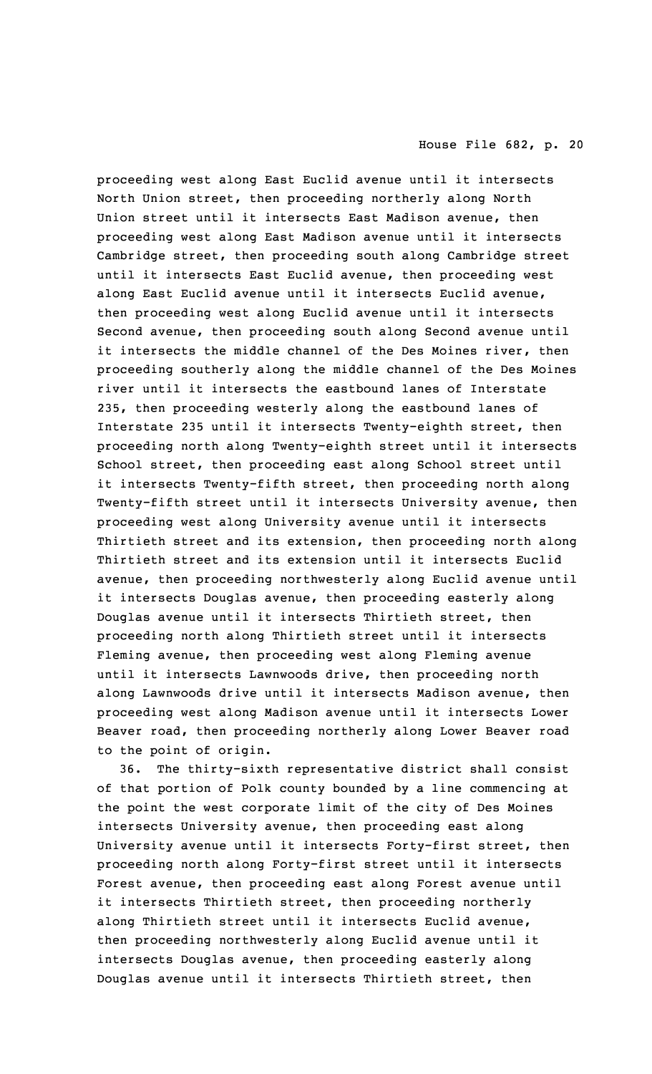proceeding west along East Euclid avenue until it intersects North Union street, then proceeding northerly along North Union street until it intersects East Madison avenue, then proceeding west along East Madison avenue until it intersects Cambridge street, then proceeding south along Cambridge street until it intersects East Euclid avenue, then proceeding west along East Euclid avenue until it intersects Euclid avenue, then proceeding west along Euclid avenue until it intersects Second avenue, then proceeding south along Second avenue until it intersects the middle channel of the Des Moines river, then proceeding southerly along the middle channel of the Des Moines river until it intersects the eastbound lanes of Interstate 235, then proceeding westerly along the eastbound lanes of Interstate 235 until it intersects Twenty-eighth street, then proceeding north along Twenty-eighth street until it intersects School street, then proceeding east along School street until it intersects Twenty-fifth street, then proceeding north along Twenty-fifth street until it intersects University avenue, then proceeding west along University avenue until it intersects Thirtieth street and its extension, then proceeding north along Thirtieth street and its extension until it intersects Euclid avenue, then proceeding northwesterly along Euclid avenue until it intersects Douglas avenue, then proceeding easterly along Douglas avenue until it intersects Thirtieth street, then proceeding north along Thirtieth street until it intersects Fleming avenue, then proceeding west along Fleming avenue until it intersects Lawnwoods drive, then proceeding north along Lawnwoods drive until it intersects Madison avenue, then proceeding west along Madison avenue until it intersects Lower Beaver road, then proceeding northerly along Lower Beaver road to the point of origin.

36. The thirty-sixth representative district shall consist of that portion of Polk county bounded by <sup>a</sup> line commencing at the point the west corporate limit of the city of Des Moines intersects University avenue, then proceeding east along University avenue until it intersects Forty-first street, then proceeding north along Forty-first street until it intersects Forest avenue, then proceeding east along Forest avenue until it intersects Thirtieth street, then proceeding northerly along Thirtieth street until it intersects Euclid avenue, then proceeding northwesterly along Euclid avenue until it intersects Douglas avenue, then proceeding easterly along Douglas avenue until it intersects Thirtieth street, then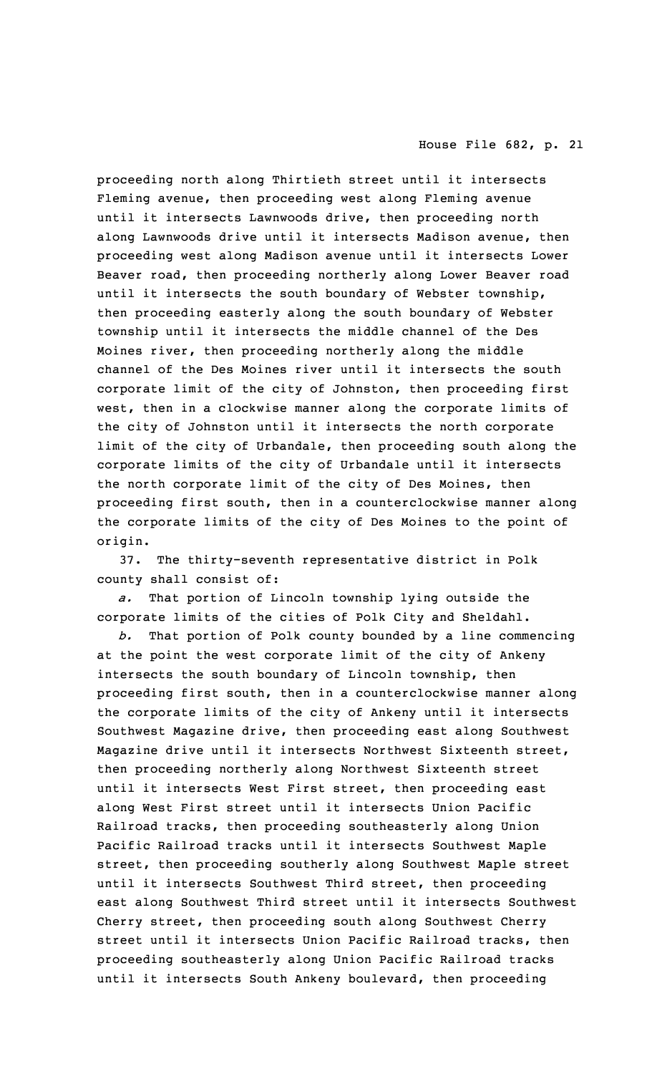proceeding north along Thirtieth street until it intersects Fleming avenue, then proceeding west along Fleming avenue until it intersects Lawnwoods drive, then proceeding north along Lawnwoods drive until it intersects Madison avenue, then proceeding west along Madison avenue until it intersects Lower Beaver road, then proceeding northerly along Lower Beaver road until it intersects the south boundary of Webster township, then proceeding easterly along the south boundary of Webster township until it intersects the middle channel of the Des Moines river, then proceeding northerly along the middle channel of the Des Moines river until it intersects the south corporate limit of the city of Johnston, then proceeding first west, then in <sup>a</sup> clockwise manner along the corporate limits of the city of Johnston until it intersects the north corporate limit of the city of Urbandale, then proceeding south along the corporate limits of the city of Urbandale until it intersects the north corporate limit of the city of Des Moines, then proceeding first south, then in <sup>a</sup> counterclockwise manner along the corporate limits of the city of Des Moines to the point of origin.

37. The thirty-seventh representative district in Polk county shall consist of:

*a.* That portion of Lincoln township lying outside the corporate limits of the cities of Polk City and Sheldahl.

*b.* That portion of Polk county bounded by <sup>a</sup> line commencing at the point the west corporate limit of the city of Ankeny intersects the south boundary of Lincoln township, then proceeding first south, then in <sup>a</sup> counterclockwise manner along the corporate limits of the city of Ankeny until it intersects Southwest Magazine drive, then proceeding east along Southwest Magazine drive until it intersects Northwest Sixteenth street, then proceeding northerly along Northwest Sixteenth street until it intersects West First street, then proceeding east along West First street until it intersects Union Pacific Railroad tracks, then proceeding southeasterly along Union Pacific Railroad tracks until it intersects Southwest Maple street, then proceeding southerly along Southwest Maple street until it intersects Southwest Third street, then proceeding east along Southwest Third street until it intersects Southwest Cherry street, then proceeding south along Southwest Cherry street until it intersects Union Pacific Railroad tracks, then proceeding southeasterly along Union Pacific Railroad tracks until it intersects South Ankeny boulevard, then proceeding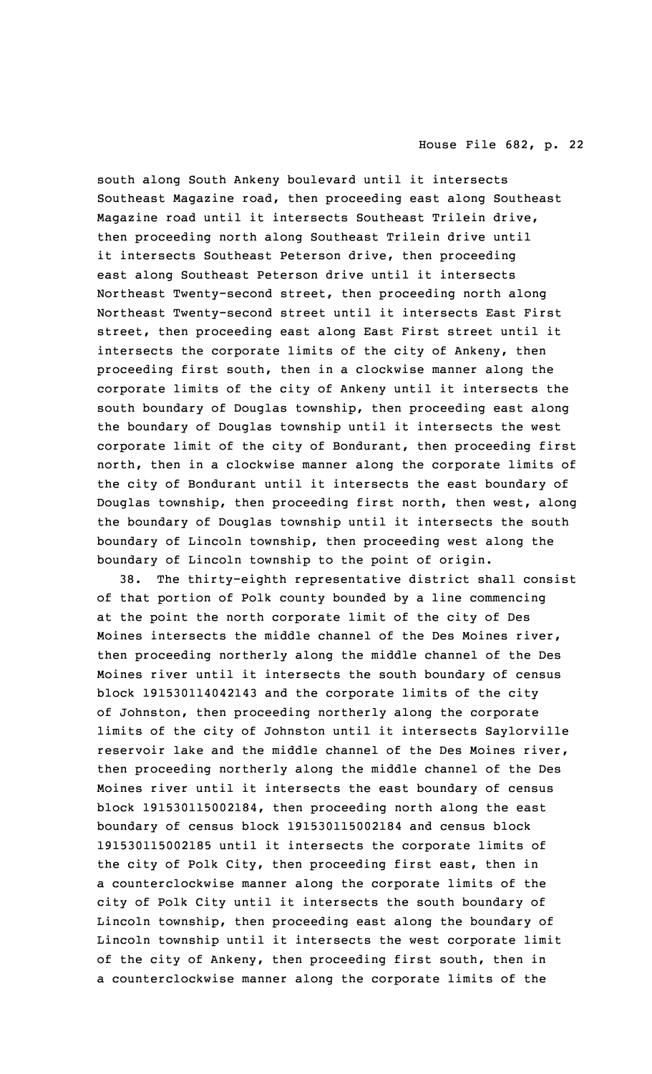south along South Ankeny boulevard until it intersects Southeast Magazine road, then proceeding east along Southeast Magazine road until it intersects Southeast Trilein drive, then proceeding north along Southeast Trilein drive until it intersects Southeast Peterson drive, then proceeding east along Southeast Peterson drive until it intersects Northeast Twenty-second street, then proceeding north along Northeast Twenty-second street until it intersects East First street, then proceeding east along East First street until it intersects the corporate limits of the city of Ankeny, then proceeding first south, then in <sup>a</sup> clockwise manner along the corporate limits of the city of Ankeny until it intersects the south boundary of Douglas township, then proceeding east along the boundary of Douglas township until it intersects the west corporate limit of the city of Bondurant, then proceeding first north, then in <sup>a</sup> clockwise manner along the corporate limits of the city of Bondurant until it intersects the east boundary of Douglas township, then proceeding first north, then west, along the boundary of Douglas township until it intersects the south boundary of Lincoln township, then proceeding west along the boundary of Lincoln township to the point of origin.

38. The thirty-eighth representative district shall consist of that portion of Polk county bounded by <sup>a</sup> line commencing at the point the north corporate limit of the city of Des Moines intersects the middle channel of the Des Moines river, then proceeding northerly along the middle channel of the Des Moines river until it intersects the south boundary of census block 191530114042143 and the corporate limits of the city of Johnston, then proceeding northerly along the corporate limits of the city of Johnston until it intersects Saylorville reservoir lake and the middle channel of the Des Moines river, then proceeding northerly along the middle channel of the Des Moines river until it intersects the east boundary of census block 191530115002184, then proceeding north along the east boundary of census block 191530115002184 and census block 191530115002185 until it intersects the corporate limits of the city of Polk City, then proceeding first east, then in <sup>a</sup> counterclockwise manner along the corporate limits of the city of Polk City until it intersects the south boundary of Lincoln township, then proceeding east along the boundary of Lincoln township until it intersects the west corporate limit of the city of Ankeny, then proceeding first south, then in <sup>a</sup> counterclockwise manner along the corporate limits of the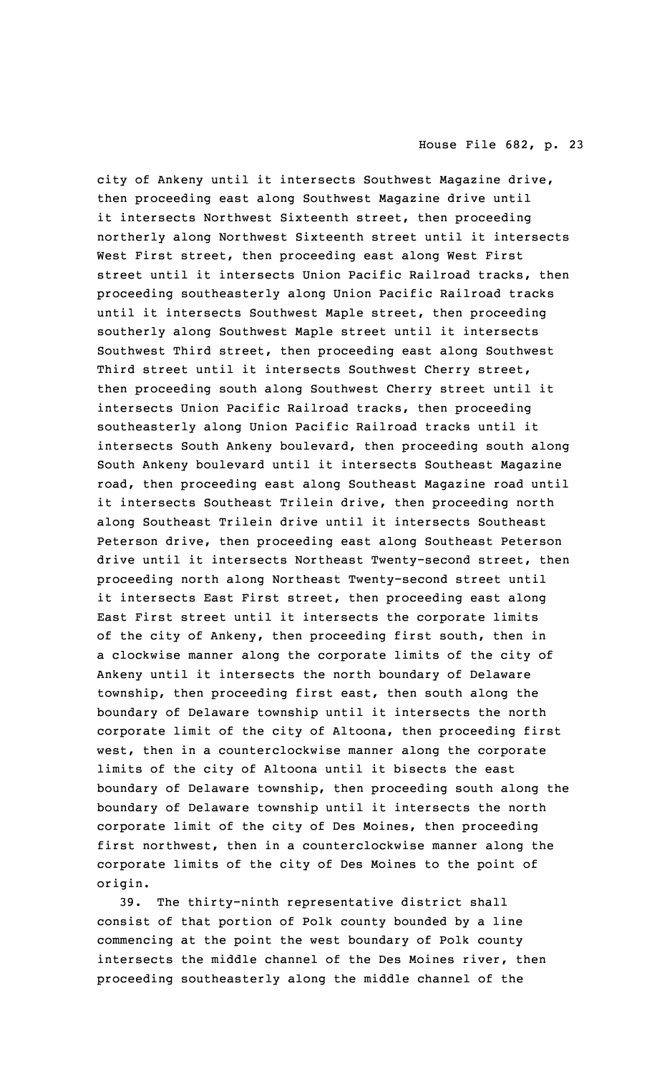city of Ankeny until it intersects Southwest Magazine drive, then proceeding east along Southwest Magazine drive until it intersects Northwest Sixteenth street, then proceeding northerly along Northwest Sixteenth street until it intersects West First street, then proceeding east along West First street until it intersects Union Pacific Railroad tracks, then proceeding southeasterly along Union Pacific Railroad tracks until it intersects Southwest Maple street, then proceeding southerly along Southwest Maple street until it intersects Southwest Third street, then proceeding east along Southwest Third street until it intersects Southwest Cherry street, then proceeding south along Southwest Cherry street until it intersects Union Pacific Railroad tracks, then proceeding southeasterly along Union Pacific Railroad tracks until it intersects South Ankeny boulevard, then proceeding south along South Ankeny boulevard until it intersects Southeast Magazine road, then proceeding east along Southeast Magazine road until it intersects Southeast Trilein drive, then proceeding north along Southeast Trilein drive until it intersects Southeast Peterson drive, then proceeding east along Southeast Peterson drive until it intersects Northeast Twenty-second street, then proceeding north along Northeast Twenty-second street until it intersects East First street, then proceeding east along East First street until it intersects the corporate limits of the city of Ankeny, then proceeding first south, then in <sup>a</sup> clockwise manner along the corporate limits of the city of Ankeny until it intersects the north boundary of Delaware township, then proceeding first east, then south along the boundary of Delaware township until it intersects the north corporate limit of the city of Altoona, then proceeding first west, then in <sup>a</sup> counterclockwise manner along the corporate limits of the city of Altoona until it bisects the east boundary of Delaware township, then proceeding south along the boundary of Delaware township until it intersects the north corporate limit of the city of Des Moines, then proceeding first northwest, then in <sup>a</sup> counterclockwise manner along the corporate limits of the city of Des Moines to the point of origin.

39. The thirty-ninth representative district shall consist of that portion of Polk county bounded by <sup>a</sup> line commencing at the point the west boundary of Polk county intersects the middle channel of the Des Moines river, then proceeding southeasterly along the middle channel of the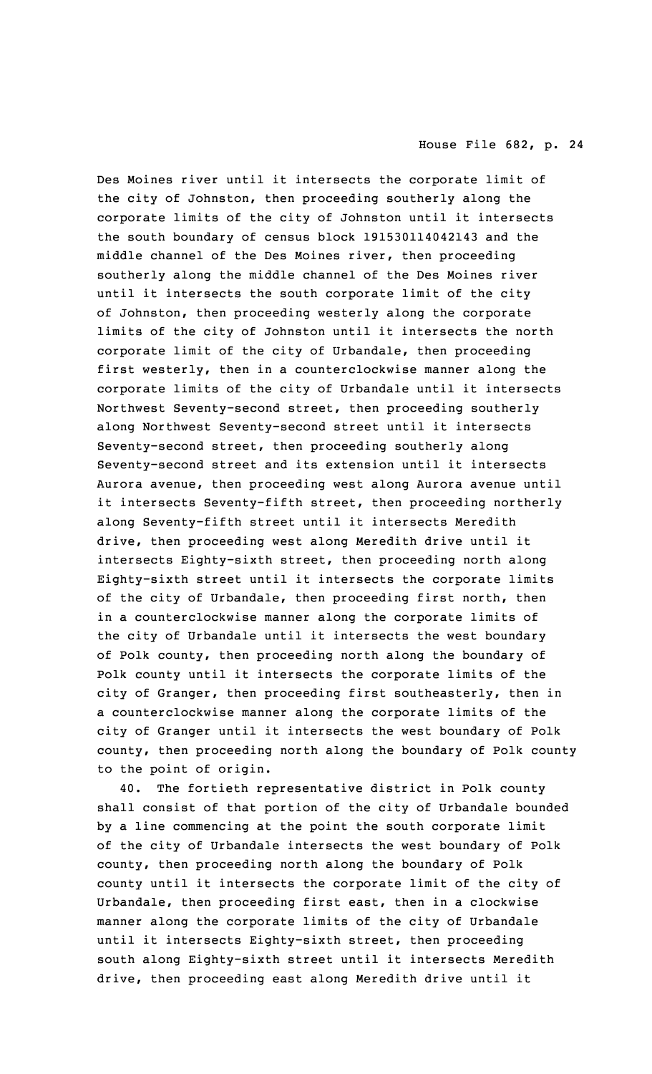Des Moines river until it intersects the corporate limit of the city of Johnston, then proceeding southerly along the corporate limits of the city of Johnston until it intersects the south boundary of census block 191530114042143 and the middle channel of the Des Moines river, then proceeding southerly along the middle channel of the Des Moines river until it intersects the south corporate limit of the city of Johnston, then proceeding westerly along the corporate limits of the city of Johnston until it intersects the north corporate limit of the city of Urbandale, then proceeding first westerly, then in <sup>a</sup> counterclockwise manner along the corporate limits of the city of Urbandale until it intersects Northwest Seventy-second street, then proceeding southerly along Northwest Seventy-second street until it intersects Seventy-second street, then proceeding southerly along Seventy-second street and its extension until it intersects Aurora avenue, then proceeding west along Aurora avenue until it intersects Seventy-fifth street, then proceeding northerly along Seventy-fifth street until it intersects Meredith drive, then proceeding west along Meredith drive until it intersects Eighty-sixth street, then proceeding north along Eighty-sixth street until it intersects the corporate limits of the city of Urbandale, then proceeding first north, then in <sup>a</sup> counterclockwise manner along the corporate limits of the city of Urbandale until it intersects the west boundary of Polk county, then proceeding north along the boundary of Polk county until it intersects the corporate limits of the city of Granger, then proceeding first southeasterly, then in <sup>a</sup> counterclockwise manner along the corporate limits of the city of Granger until it intersects the west boundary of Polk county, then proceeding north along the boundary of Polk county to the point of origin.

40. The fortieth representative district in Polk county shall consist of that portion of the city of Urbandale bounded by <sup>a</sup> line commencing at the point the south corporate limit of the city of Urbandale intersects the west boundary of Polk county, then proceeding north along the boundary of Polk county until it intersects the corporate limit of the city of Urbandale, then proceeding first east, then in <sup>a</sup> clockwise manner along the corporate limits of the city of Urbandale until it intersects Eighty-sixth street, then proceeding south along Eighty-sixth street until it intersects Meredith drive, then proceeding east along Meredith drive until it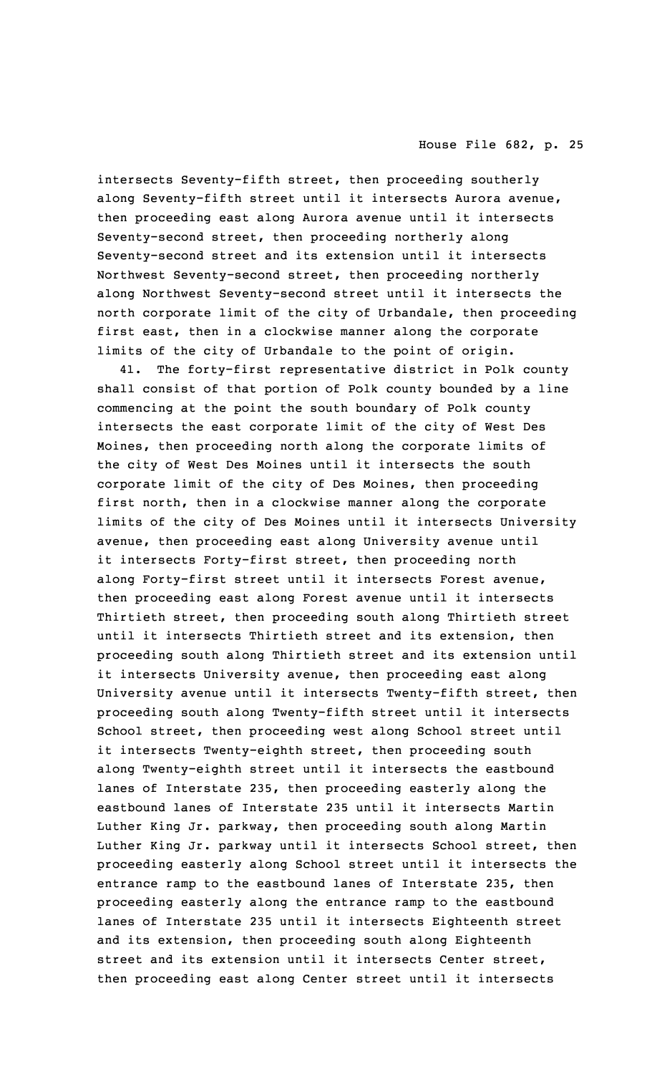intersects Seventy-fifth street, then proceeding southerly along Seventy-fifth street until it intersects Aurora avenue, then proceeding east along Aurora avenue until it intersects Seventy-second street, then proceeding northerly along Seventy-second street and its extension until it intersects Northwest Seventy-second street, then proceeding northerly along Northwest Seventy-second street until it intersects the north corporate limit of the city of Urbandale, then proceeding first east, then in <sup>a</sup> clockwise manner along the corporate limits of the city of Urbandale to the point of origin.

41. The forty-first representative district in Polk county shall consist of that portion of Polk county bounded by <sup>a</sup> line commencing at the point the south boundary of Polk county intersects the east corporate limit of the city of West Des Moines, then proceeding north along the corporate limits of the city of West Des Moines until it intersects the south corporate limit of the city of Des Moines, then proceeding first north, then in <sup>a</sup> clockwise manner along the corporate limits of the city of Des Moines until it intersects University avenue, then proceeding east along University avenue until it intersects Forty-first street, then proceeding north along Forty-first street until it intersects Forest avenue, then proceeding east along Forest avenue until it intersects Thirtieth street, then proceeding south along Thirtieth street until it intersects Thirtieth street and its extension, then proceeding south along Thirtieth street and its extension until it intersects University avenue, then proceeding east along University avenue until it intersects Twenty-fifth street, then proceeding south along Twenty-fifth street until it intersects School street, then proceeding west along School street until it intersects Twenty-eighth street, then proceeding south along Twenty-eighth street until it intersects the eastbound lanes of Interstate 235, then proceeding easterly along the eastbound lanes of Interstate 235 until it intersects Martin Luther King Jr. parkway, then proceeding south along Martin Luther King Jr. parkway until it intersects School street, then proceeding easterly along School street until it intersects the entrance ramp to the eastbound lanes of Interstate 235, then proceeding easterly along the entrance ramp to the eastbound lanes of Interstate 235 until it intersects Eighteenth street and its extension, then proceeding south along Eighteenth street and its extension until it intersects Center street, then proceeding east along Center street until it intersects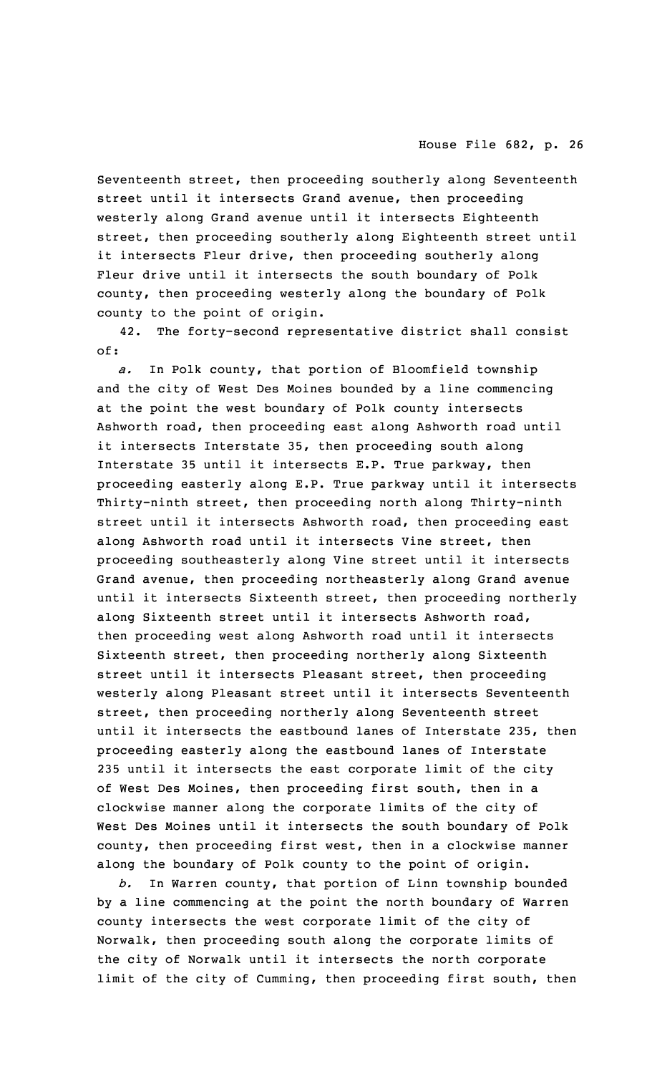Seventeenth street, then proceeding southerly along Seventeenth street until it intersects Grand avenue, then proceeding westerly along Grand avenue until it intersects Eighteenth street, then proceeding southerly along Eighteenth street until it intersects Fleur drive, then proceeding southerly along Fleur drive until it intersects the south boundary of Polk county, then proceeding westerly along the boundary of Polk county to the point of origin.

42. The forty-second representative district shall consist of:

*a.* In Polk county, that portion of Bloomfield township and the city of West Des Moines bounded by <sup>a</sup> line commencing at the point the west boundary of Polk county intersects Ashworth road, then proceeding east along Ashworth road until it intersects Interstate 35, then proceeding south along Interstate 35 until it intersects E.P. True parkway, then proceeding easterly along E.P. True parkway until it intersects Thirty-ninth street, then proceeding north along Thirty-ninth street until it intersects Ashworth road, then proceeding east along Ashworth road until it intersects Vine street, then proceeding southeasterly along Vine street until it intersects Grand avenue, then proceeding northeasterly along Grand avenue until it intersects Sixteenth street, then proceeding northerly along Sixteenth street until it intersects Ashworth road, then proceeding west along Ashworth road until it intersects Sixteenth street, then proceeding northerly along Sixteenth street until it intersects Pleasant street, then proceeding westerly along Pleasant street until it intersects Seventeenth street, then proceeding northerly along Seventeenth street until it intersects the eastbound lanes of Interstate 235, then proceeding easterly along the eastbound lanes of Interstate 235 until it intersects the east corporate limit of the city of West Des Moines, then proceeding first south, then in <sup>a</sup> clockwise manner along the corporate limits of the city of West Des Moines until it intersects the south boundary of Polk county, then proceeding first west, then in <sup>a</sup> clockwise manner along the boundary of Polk county to the point of origin.

*b.* In Warren county, that portion of Linn township bounded by <sup>a</sup> line commencing at the point the north boundary of Warren county intersects the west corporate limit of the city of Norwalk, then proceeding south along the corporate limits of the city of Norwalk until it intersects the north corporate limit of the city of Cumming, then proceeding first south, then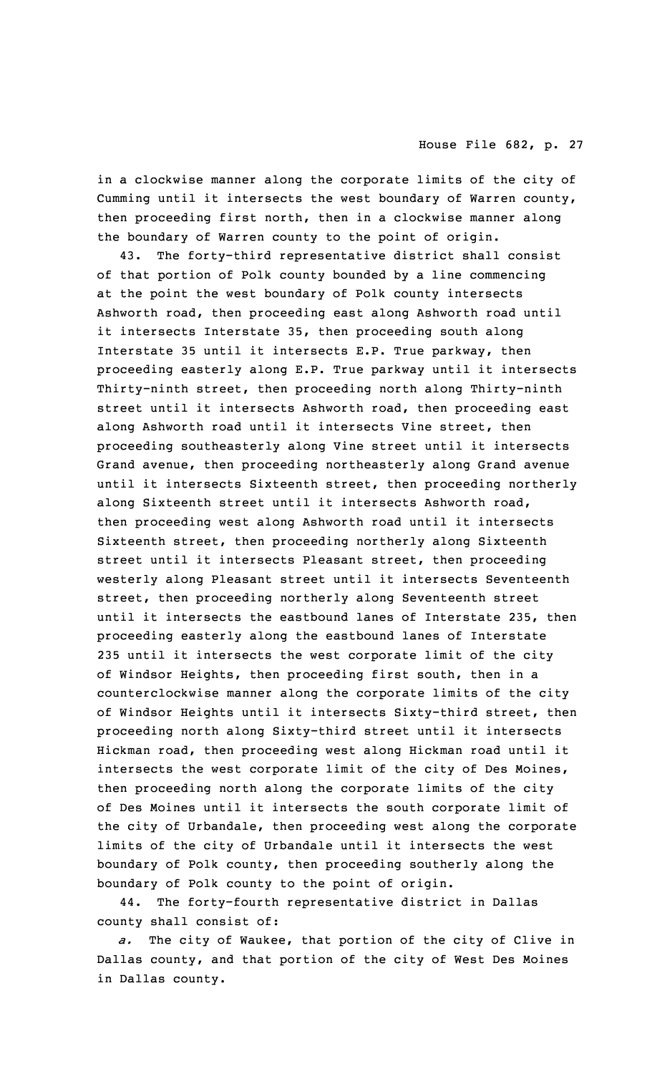in <sup>a</sup> clockwise manner along the corporate limits of the city of Cumming until it intersects the west boundary of Warren county, then proceeding first north, then in <sup>a</sup> clockwise manner along the boundary of Warren county to the point of origin.

43. The forty-third representative district shall consist of that portion of Polk county bounded by <sup>a</sup> line commencing at the point the west boundary of Polk county intersects Ashworth road, then proceeding east along Ashworth road until it intersects Interstate 35, then proceeding south along Interstate 35 until it intersects E.P. True parkway, then proceeding easterly along E.P. True parkway until it intersects Thirty-ninth street, then proceeding north along Thirty-ninth street until it intersects Ashworth road, then proceeding east along Ashworth road until it intersects Vine street, then proceeding southeasterly along Vine street until it intersects Grand avenue, then proceeding northeasterly along Grand avenue until it intersects Sixteenth street, then proceeding northerly along Sixteenth street until it intersects Ashworth road, then proceeding west along Ashworth road until it intersects Sixteenth street, then proceeding northerly along Sixteenth street until it intersects Pleasant street, then proceeding westerly along Pleasant street until it intersects Seventeenth street, then proceeding northerly along Seventeenth street until it intersects the eastbound lanes of Interstate 235, then proceeding easterly along the eastbound lanes of Interstate 235 until it intersects the west corporate limit of the city of Windsor Heights, then proceeding first south, then in <sup>a</sup> counterclockwise manner along the corporate limits of the city of Windsor Heights until it intersects Sixty-third street, then proceeding north along Sixty-third street until it intersects Hickman road, then proceeding west along Hickman road until it intersects the west corporate limit of the city of Des Moines, then proceeding north along the corporate limits of the city of Des Moines until it intersects the south corporate limit of the city of Urbandale, then proceeding west along the corporate limits of the city of Urbandale until it intersects the west boundary of Polk county, then proceeding southerly along the boundary of Polk county to the point of origin.

44. The forty-fourth representative district in Dallas county shall consist of:

*a.* The city of Waukee, that portion of the city of Clive in Dallas county, and that portion of the city of West Des Moines in Dallas county.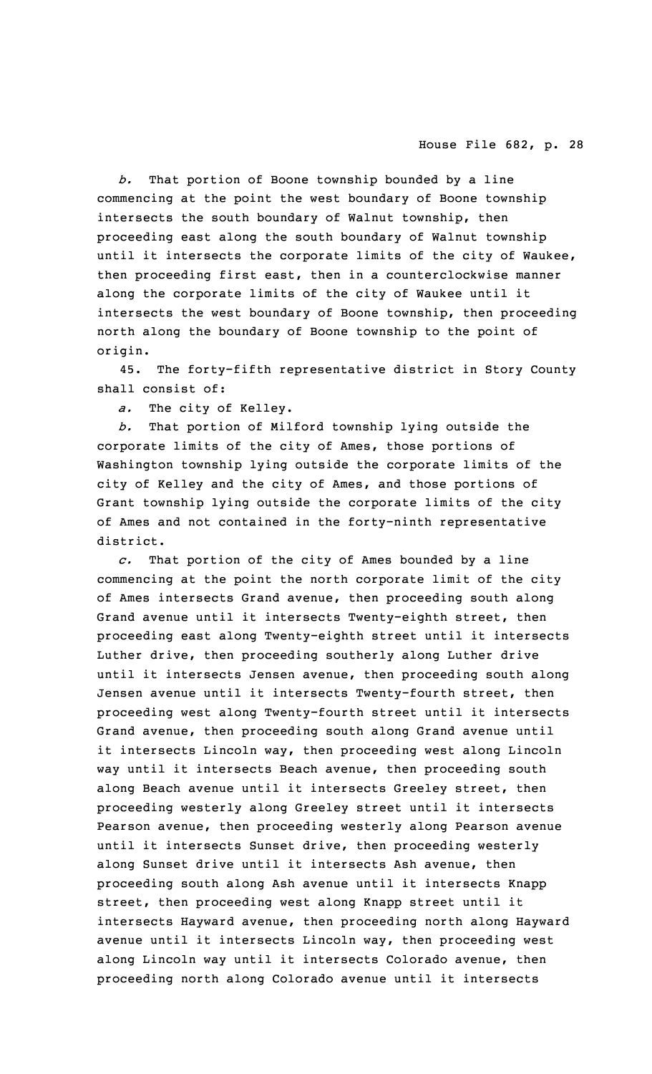*b.* That portion of Boone township bounded by <sup>a</sup> line commencing at the point the west boundary of Boone township intersects the south boundary of Walnut township, then proceeding east along the south boundary of Walnut township until it intersects the corporate limits of the city of Waukee, then proceeding first east, then in <sup>a</sup> counterclockwise manner along the corporate limits of the city of Waukee until it intersects the west boundary of Boone township, then proceeding north along the boundary of Boone township to the point of origin.

45. The forty-fifth representative district in Story County shall consist of:

*a.* The city of Kelley.

*b.* That portion of Milford township lying outside the corporate limits of the city of Ames, those portions of Washington township lying outside the corporate limits of the city of Kelley and the city of Ames, and those portions of Grant township lying outside the corporate limits of the city of Ames and not contained in the forty-ninth representative district.

*c.* That portion of the city of Ames bounded by <sup>a</sup> line commencing at the point the north corporate limit of the city of Ames intersects Grand avenue, then proceeding south along Grand avenue until it intersects Twenty-eighth street, then proceeding east along Twenty-eighth street until it intersects Luther drive, then proceeding southerly along Luther drive until it intersects Jensen avenue, then proceeding south along Jensen avenue until it intersects Twenty-fourth street, then proceeding west along Twenty-fourth street until it intersects Grand avenue, then proceeding south along Grand avenue until it intersects Lincoln way, then proceeding west along Lincoln way until it intersects Beach avenue, then proceeding south along Beach avenue until it intersects Greeley street, then proceeding westerly along Greeley street until it intersects Pearson avenue, then proceeding westerly along Pearson avenue until it intersects Sunset drive, then proceeding westerly along Sunset drive until it intersects Ash avenue, then proceeding south along Ash avenue until it intersects Knapp street, then proceeding west along Knapp street until it intersects Hayward avenue, then proceeding north along Hayward avenue until it intersects Lincoln way, then proceeding west along Lincoln way until it intersects Colorado avenue, then proceeding north along Colorado avenue until it intersects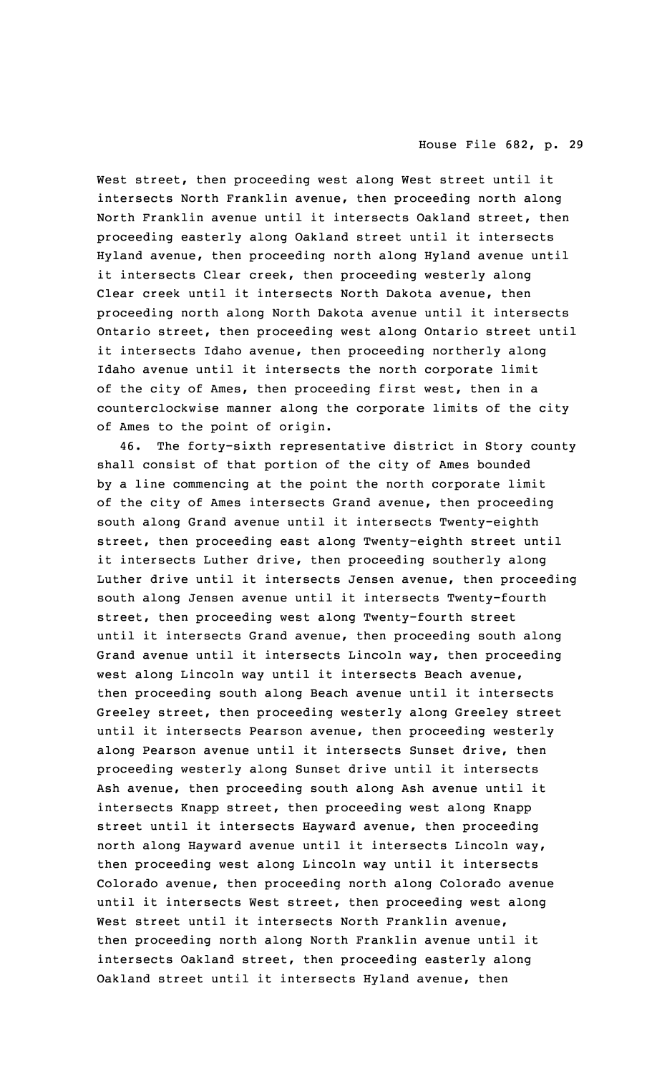West street, then proceeding west along West street until it intersects North Franklin avenue, then proceeding north along North Franklin avenue until it intersects Oakland street, then proceeding easterly along Oakland street until it intersects Hyland avenue, then proceeding north along Hyland avenue until it intersects Clear creek, then proceeding westerly along Clear creek until it intersects North Dakota avenue, then proceeding north along North Dakota avenue until it intersects Ontario street, then proceeding west along Ontario street until it intersects Idaho avenue, then proceeding northerly along Idaho avenue until it intersects the north corporate limit of the city of Ames, then proceeding first west, then in <sup>a</sup> counterclockwise manner along the corporate limits of the city of Ames to the point of origin.

46. The forty-sixth representative district in Story county shall consist of that portion of the city of Ames bounded by <sup>a</sup> line commencing at the point the north corporate limit of the city of Ames intersects Grand avenue, then proceeding south along Grand avenue until it intersects Twenty-eighth street, then proceeding east along Twenty-eighth street until it intersects Luther drive, then proceeding southerly along Luther drive until it intersects Jensen avenue, then proceeding south along Jensen avenue until it intersects Twenty-fourth street, then proceeding west along Twenty-fourth street until it intersects Grand avenue, then proceeding south along Grand avenue until it intersects Lincoln way, then proceeding west along Lincoln way until it intersects Beach avenue, then proceeding south along Beach avenue until it intersects Greeley street, then proceeding westerly along Greeley street until it intersects Pearson avenue, then proceeding westerly along Pearson avenue until it intersects Sunset drive, then proceeding westerly along Sunset drive until it intersects Ash avenue, then proceeding south along Ash avenue until it intersects Knapp street, then proceeding west along Knapp street until it intersects Hayward avenue, then proceeding north along Hayward avenue until it intersects Lincoln way, then proceeding west along Lincoln way until it intersects Colorado avenue, then proceeding north along Colorado avenue until it intersects West street, then proceeding west along West street until it intersects North Franklin avenue, then proceeding north along North Franklin avenue until it intersects Oakland street, then proceeding easterly along Oakland street until it intersects Hyland avenue, then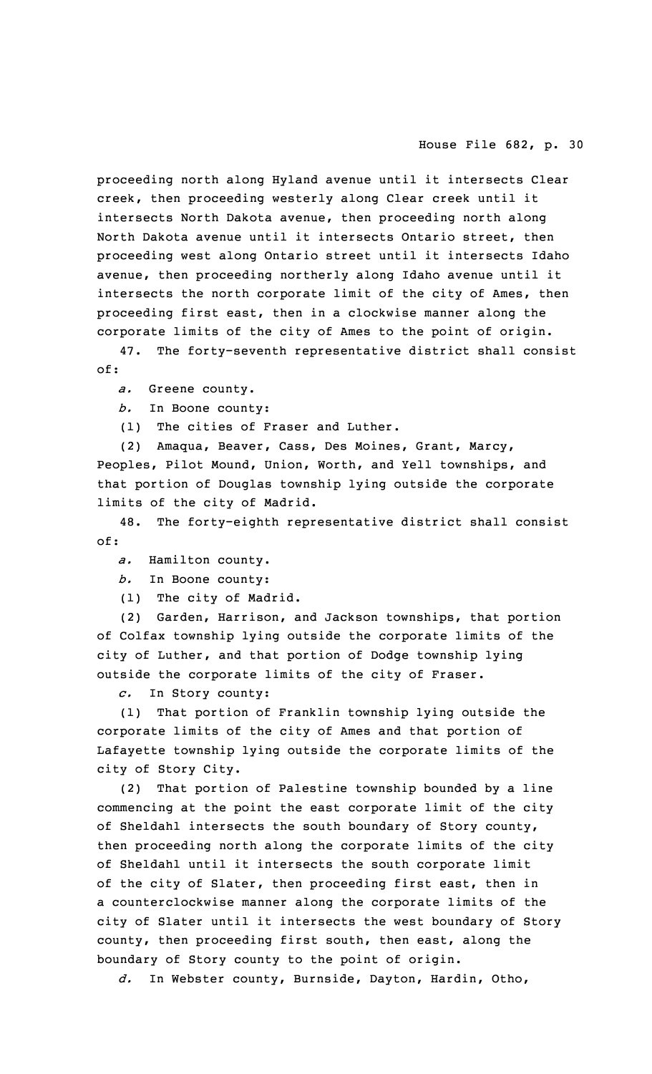proceeding north along Hyland avenue until it intersects Clear creek, then proceeding westerly along Clear creek until it intersects North Dakota avenue, then proceeding north along North Dakota avenue until it intersects Ontario street, then proceeding west along Ontario street until it intersects Idaho avenue, then proceeding northerly along Idaho avenue until it intersects the north corporate limit of the city of Ames, then proceeding first east, then in <sup>a</sup> clockwise manner along the corporate limits of the city of Ames to the point of origin.

47. The forty-seventh representative district shall consist of:

*a.* Greene county.

*b.* In Boone county:

(1) The cities of Fraser and Luther.

(2) Amaqua, Beaver, Cass, Des Moines, Grant, Marcy, Peoples, Pilot Mound, Union, Worth, and Yell townships, and that portion of Douglas township lying outside the corporate limits of the city of Madrid.

48. The forty-eighth representative district shall consist of:

*a.* Hamilton county.

*b.* In Boone county:

(1) The city of Madrid.

(2) Garden, Harrison, and Jackson townships, that portion of Colfax township lying outside the corporate limits of the city of Luther, and that portion of Dodge township lying outside the corporate limits of the city of Fraser.

*c.* In Story county:

(1) That portion of Franklin township lying outside the corporate limits of the city of Ames and that portion of Lafayette township lying outside the corporate limits of the city of Story City.

(2) That portion of Palestine township bounded by <sup>a</sup> line commencing at the point the east corporate limit of the city of Sheldahl intersects the south boundary of Story county, then proceeding north along the corporate limits of the city of Sheldahl until it intersects the south corporate limit of the city of Slater, then proceeding first east, then in <sup>a</sup> counterclockwise manner along the corporate limits of the city of Slater until it intersects the west boundary of Story county, then proceeding first south, then east, along the boundary of Story county to the point of origin.

*d.* In Webster county, Burnside, Dayton, Hardin, Otho,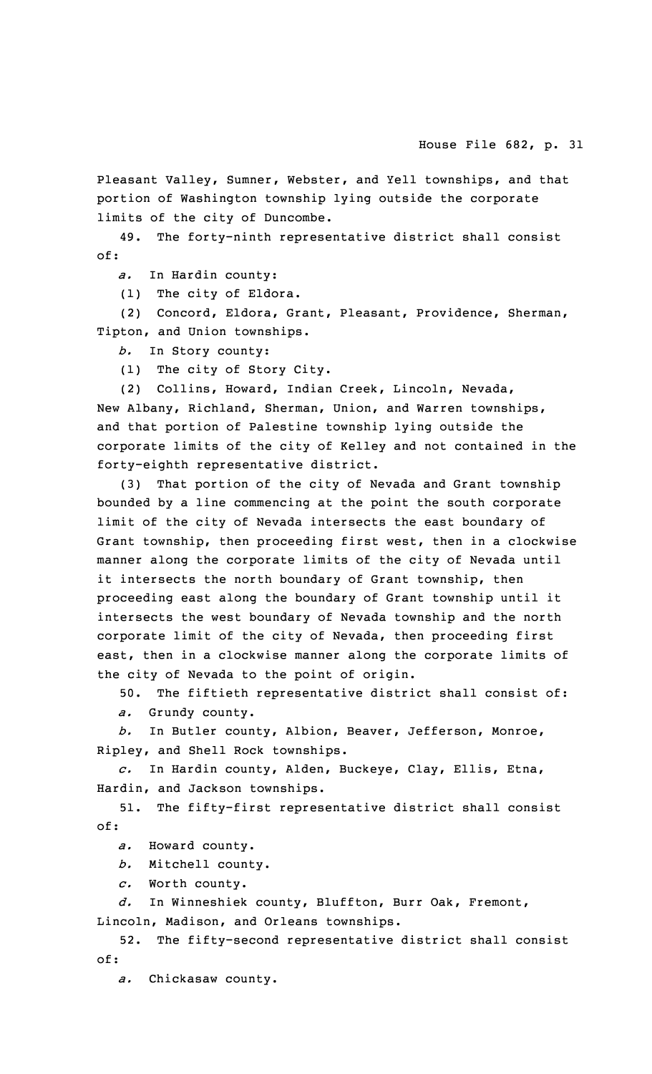Pleasant Valley, Sumner, Webster, and Yell townships, and that portion of Washington township lying outside the corporate limits of the city of Duncombe.

49. The forty-ninth representative district shall consist of:

*a.* In Hardin county:

(1) The city of Eldora.

(2) Concord, Eldora, Grant, Pleasant, Providence, Sherman, Tipton, and Union townships.

*b.* In Story county:

(1) The city of Story City.

(2) Collins, Howard, Indian Creek, Lincoln, Nevada, New Albany, Richland, Sherman, Union, and Warren townships, and that portion of Palestine township lying outside the corporate limits of the city of Kelley and not contained in the forty-eighth representative district.

(3) That portion of the city of Nevada and Grant township bounded by <sup>a</sup> line commencing at the point the south corporate limit of the city of Nevada intersects the east boundary of Grant township, then proceeding first west, then in <sup>a</sup> clockwise manner along the corporate limits of the city of Nevada until it intersects the north boundary of Grant township, then proceeding east along the boundary of Grant township until it intersects the west boundary of Nevada township and the north corporate limit of the city of Nevada, then proceeding first east, then in <sup>a</sup> clockwise manner along the corporate limits of the city of Nevada to the point of origin.

50. The fiftieth representative district shall consist of:

*a.* Grundy county.

*b.* In Butler county, Albion, Beaver, Jefferson, Monroe, Ripley, and Shell Rock townships.

*c.* In Hardin county, Alden, Buckeye, Clay, Ellis, Etna, Hardin, and Jackson townships.

51. The fifty-first representative district shall consist of:

*a.* Howard county.

*b.* Mitchell county.

*c.* Worth county.

*d.* In Winneshiek county, Bluffton, Burr Oak, Fremont, Lincoln, Madison, and Orleans townships.

52. The fifty-second representative district shall consist of:

*a.* Chickasaw county.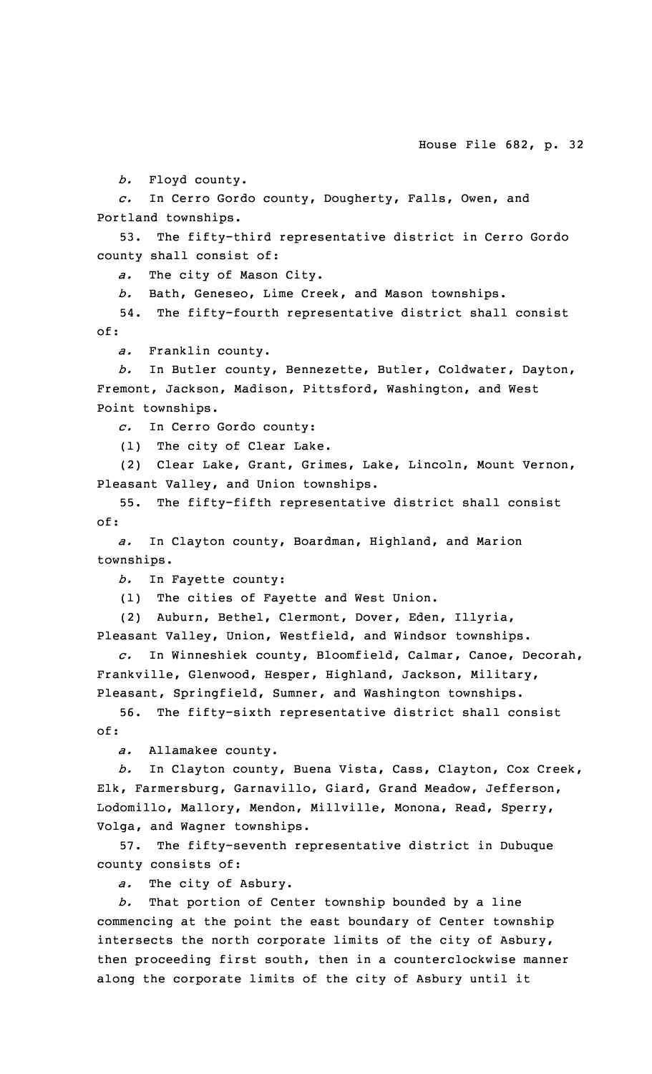*b.* Floyd county.

*c.* In Cerro Gordo county, Dougherty, Falls, Owen, and Portland townships.

53. The fifty-third representative district in Cerro Gordo county shall consist of:

*a.* The city of Mason City.

*b.* Bath, Geneseo, Lime Creek, and Mason townships.

54. The fifty-fourth representative district shall consist of:

*a.* Franklin county.

*b.* In Butler county, Bennezette, Butler, Coldwater, Dayton, Fremont, Jackson, Madison, Pittsford, Washington, and West Point townships.

*c.* In Cerro Gordo county:

(1) The city of Clear Lake.

(2) Clear Lake, Grant, Grimes, Lake, Lincoln, Mount Vernon, Pleasant Valley, and Union townships.

55. The fifty-fifth representative district shall consist of:

*a.* In Clayton county, Boardman, Highland, and Marion townships.

*b.* In Fayette county:

(1) The cities of Fayette and West Union.

(2) Auburn, Bethel, Clermont, Dover, Eden, Illyria, Pleasant Valley, Union, Westfield, and Windsor townships.

*c.* In Winneshiek county, Bloomfield, Calmar, Canoe, Decorah, Frankville, Glenwood, Hesper, Highland, Jackson, Military, Pleasant, Springfield, Sumner, and Washington townships.

56. The fifty-sixth representative district shall consist of:

*a.* Allamakee county.

*b.* In Clayton county, Buena Vista, Cass, Clayton, Cox Creek, Elk, Farmersburg, Garnavillo, Giard, Grand Meadow, Jefferson, Lodomillo, Mallory, Mendon, Millville, Monona, Read, Sperry, Volga, and Wagner townships.

57. The fifty-seventh representative district in Dubuque county consists of:

*a.* The city of Asbury.

*b.* That portion of Center township bounded by <sup>a</sup> line commencing at the point the east boundary of Center township intersects the north corporate limits of the city of Asbury, then proceeding first south, then in <sup>a</sup> counterclockwise manner along the corporate limits of the city of Asbury until it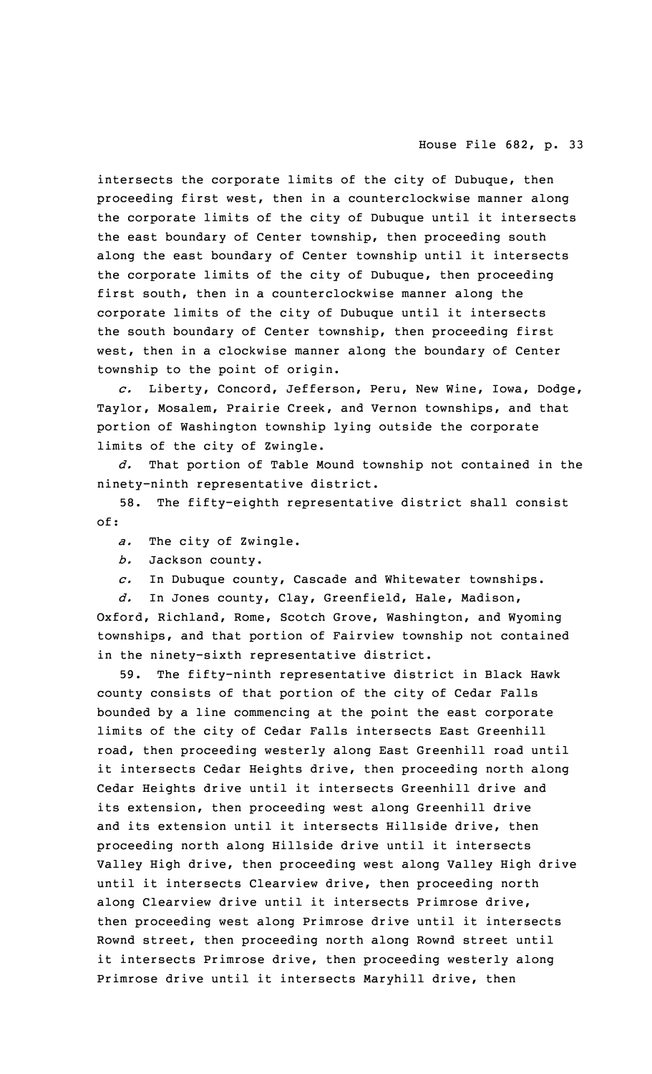intersects the corporate limits of the city of Dubuque, then proceeding first west, then in <sup>a</sup> counterclockwise manner along the corporate limits of the city of Dubuque until it intersects the east boundary of Center township, then proceeding south along the east boundary of Center township until it intersects the corporate limits of the city of Dubuque, then proceeding first south, then in <sup>a</sup> counterclockwise manner along the corporate limits of the city of Dubuque until it intersects the south boundary of Center township, then proceeding first west, then in <sup>a</sup> clockwise manner along the boundary of Center township to the point of origin.

*c.* Liberty, Concord, Jefferson, Peru, New Wine, Iowa, Dodge, Taylor, Mosalem, Prairie Creek, and Vernon townships, and that portion of Washington township lying outside the corporate limits of the city of Zwingle.

*d.* That portion of Table Mound township not contained in the ninety-ninth representative district.

58. The fifty-eighth representative district shall consist of:

*a.* The city of Zwingle.

*b.* Jackson county.

*c.* In Dubuque county, Cascade and Whitewater townships.

*d.* In Jones county, Clay, Greenfield, Hale, Madison, Oxford, Richland, Rome, Scotch Grove, Washington, and Wyoming townships, and that portion of Fairview township not contained in the ninety-sixth representative district.

59. The fifty-ninth representative district in Black Hawk county consists of that portion of the city of Cedar Falls bounded by <sup>a</sup> line commencing at the point the east corporate limits of the city of Cedar Falls intersects East Greenhill road, then proceeding westerly along East Greenhill road until it intersects Cedar Heights drive, then proceeding north along Cedar Heights drive until it intersects Greenhill drive and its extension, then proceeding west along Greenhill drive and its extension until it intersects Hillside drive, then proceeding north along Hillside drive until it intersects Valley High drive, then proceeding west along Valley High drive until it intersects Clearview drive, then proceeding north along Clearview drive until it intersects Primrose drive, then proceeding west along Primrose drive until it intersects Rownd street, then proceeding north along Rownd street until it intersects Primrose drive, then proceeding westerly along Primrose drive until it intersects Maryhill drive, then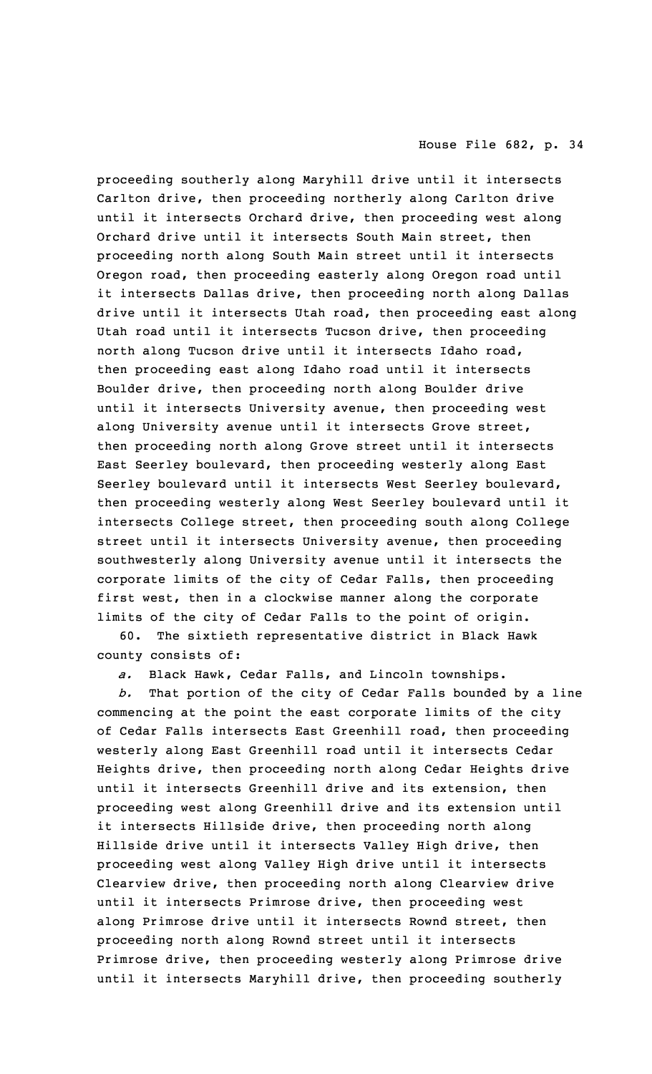proceeding southerly along Maryhill drive until it intersects Carlton drive, then proceeding northerly along Carlton drive until it intersects Orchard drive, then proceeding west along Orchard drive until it intersects South Main street, then proceeding north along South Main street until it intersects Oregon road, then proceeding easterly along Oregon road until it intersects Dallas drive, then proceeding north along Dallas drive until it intersects Utah road, then proceeding east along Utah road until it intersects Tucson drive, then proceeding north along Tucson drive until it intersects Idaho road, then proceeding east along Idaho road until it intersects Boulder drive, then proceeding north along Boulder drive until it intersects University avenue, then proceeding west along University avenue until it intersects Grove street, then proceeding north along Grove street until it intersects East Seerley boulevard, then proceeding westerly along East Seerley boulevard until it intersects West Seerley boulevard, then proceeding westerly along West Seerley boulevard until it intersects College street, then proceeding south along College street until it intersects University avenue, then proceeding southwesterly along University avenue until it intersects the corporate limits of the city of Cedar Falls, then proceeding first west, then in <sup>a</sup> clockwise manner along the corporate limits of the city of Cedar Falls to the point of origin.

60. The sixtieth representative district in Black Hawk county consists of:

*a.* Black Hawk, Cedar Falls, and Lincoln townships.

*b.* That portion of the city of Cedar Falls bounded by <sup>a</sup> line commencing at the point the east corporate limits of the city of Cedar Falls intersects East Greenhill road, then proceeding westerly along East Greenhill road until it intersects Cedar Heights drive, then proceeding north along Cedar Heights drive until it intersects Greenhill drive and its extension, then proceeding west along Greenhill drive and its extension until it intersects Hillside drive, then proceeding north along Hillside drive until it intersects Valley High drive, then proceeding west along Valley High drive until it intersects Clearview drive, then proceeding north along Clearview drive until it intersects Primrose drive, then proceeding west along Primrose drive until it intersects Rownd street, then proceeding north along Rownd street until it intersects Primrose drive, then proceeding westerly along Primrose drive until it intersects Maryhill drive, then proceeding southerly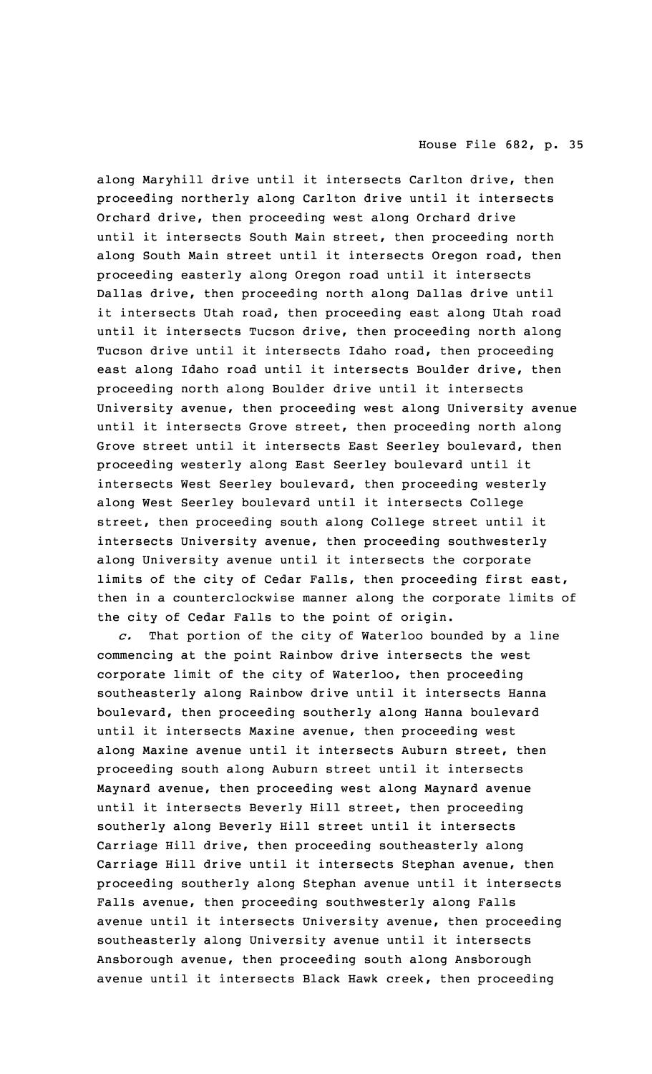along Maryhill drive until it intersects Carlton drive, then proceeding northerly along Carlton drive until it intersects Orchard drive, then proceeding west along Orchard drive until it intersects South Main street, then proceeding north along South Main street until it intersects Oregon road, then proceeding easterly along Oregon road until it intersects Dallas drive, then proceeding north along Dallas drive until it intersects Utah road, then proceeding east along Utah road until it intersects Tucson drive, then proceeding north along Tucson drive until it intersects Idaho road, then proceeding east along Idaho road until it intersects Boulder drive, then proceeding north along Boulder drive until it intersects University avenue, then proceeding west along University avenue until it intersects Grove street, then proceeding north along Grove street until it intersects East Seerley boulevard, then proceeding westerly along East Seerley boulevard until it intersects West Seerley boulevard, then proceeding westerly along West Seerley boulevard until it intersects College street, then proceeding south along College street until it intersects University avenue, then proceeding southwesterly along University avenue until it intersects the corporate limits of the city of Cedar Falls, then proceeding first east, then in <sup>a</sup> counterclockwise manner along the corporate limits of the city of Cedar Falls to the point of origin.

*c.* That portion of the city of Waterloo bounded by <sup>a</sup> line commencing at the point Rainbow drive intersects the west corporate limit of the city of Waterloo, then proceeding southeasterly along Rainbow drive until it intersects Hanna boulevard, then proceeding southerly along Hanna boulevard until it intersects Maxine avenue, then proceeding west along Maxine avenue until it intersects Auburn street, then proceeding south along Auburn street until it intersects Maynard avenue, then proceeding west along Maynard avenue until it intersects Beverly Hill street, then proceeding southerly along Beverly Hill street until it intersects Carriage Hill drive, then proceeding southeasterly along Carriage Hill drive until it intersects Stephan avenue, then proceeding southerly along Stephan avenue until it intersects Falls avenue, then proceeding southwesterly along Falls avenue until it intersects University avenue, then proceeding southeasterly along University avenue until it intersects Ansborough avenue, then proceeding south along Ansborough avenue until it intersects Black Hawk creek, then proceeding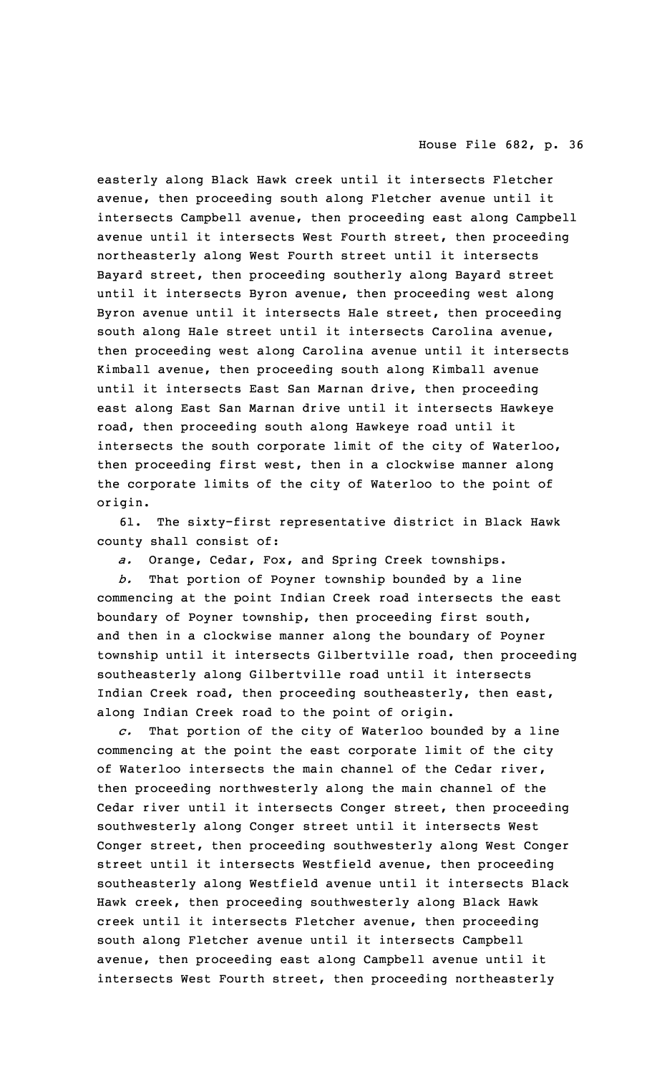easterly along Black Hawk creek until it intersects Fletcher avenue, then proceeding south along Fletcher avenue until it intersects Campbell avenue, then proceeding east along Campbell avenue until it intersects West Fourth street, then proceeding northeasterly along West Fourth street until it intersects Bayard street, then proceeding southerly along Bayard street until it intersects Byron avenue, then proceeding west along Byron avenue until it intersects Hale street, then proceeding south along Hale street until it intersects Carolina avenue, then proceeding west along Carolina avenue until it intersects Kimball avenue, then proceeding south along Kimball avenue until it intersects East San Marnan drive, then proceeding east along East San Marnan drive until it intersects Hawkeye road, then proceeding south along Hawkeye road until it intersects the south corporate limit of the city of Waterloo, then proceeding first west, then in <sup>a</sup> clockwise manner along the corporate limits of the city of Waterloo to the point of origin.

61. The sixty-first representative district in Black Hawk county shall consist of:

*a.* Orange, Cedar, Fox, and Spring Creek townships.

*b.* That portion of Poyner township bounded by <sup>a</sup> line commencing at the point Indian Creek road intersects the east boundary of Poyner township, then proceeding first south, and then in <sup>a</sup> clockwise manner along the boundary of Poyner township until it intersects Gilbertville road, then proceeding southeasterly along Gilbertville road until it intersects Indian Creek road, then proceeding southeasterly, then east, along Indian Creek road to the point of origin.

*c.* That portion of the city of Waterloo bounded by <sup>a</sup> line commencing at the point the east corporate limit of the city of Waterloo intersects the main channel of the Cedar river, then proceeding northwesterly along the main channel of the Cedar river until it intersects Conger street, then proceeding southwesterly along Conger street until it intersects West Conger street, then proceeding southwesterly along West Conger street until it intersects Westfield avenue, then proceeding southeasterly along Westfield avenue until it intersects Black Hawk creek, then proceeding southwesterly along Black Hawk creek until it intersects Fletcher avenue, then proceeding south along Fletcher avenue until it intersects Campbell avenue, then proceeding east along Campbell avenue until it intersects West Fourth street, then proceeding northeasterly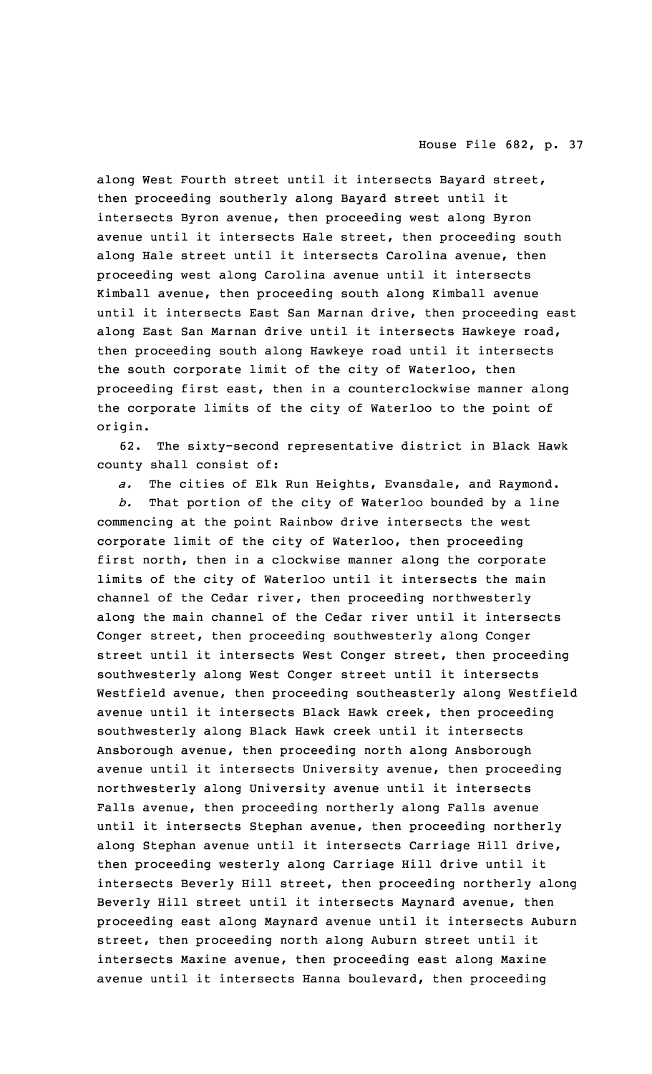along West Fourth street until it intersects Bayard street, then proceeding southerly along Bayard street until it intersects Byron avenue, then proceeding west along Byron avenue until it intersects Hale street, then proceeding south along Hale street until it intersects Carolina avenue, then proceeding west along Carolina avenue until it intersects Kimball avenue, then proceeding south along Kimball avenue until it intersects East San Marnan drive, then proceeding east along East San Marnan drive until it intersects Hawkeye road, then proceeding south along Hawkeye road until it intersects the south corporate limit of the city of Waterloo, then proceeding first east, then in <sup>a</sup> counterclockwise manner along the corporate limits of the city of Waterloo to the point of origin.

62. The sixty-second representative district in Black Hawk county shall consist of:

*a.* The cities of Elk Run Heights, Evansdale, and Raymond.

*b.* That portion of the city of Waterloo bounded by <sup>a</sup> line commencing at the point Rainbow drive intersects the west corporate limit of the city of Waterloo, then proceeding first north, then in <sup>a</sup> clockwise manner along the corporate limits of the city of Waterloo until it intersects the main channel of the Cedar river, then proceeding northwesterly along the main channel of the Cedar river until it intersects Conger street, then proceeding southwesterly along Conger street until it intersects West Conger street, then proceeding southwesterly along West Conger street until it intersects Westfield avenue, then proceeding southeasterly along Westfield avenue until it intersects Black Hawk creek, then proceeding southwesterly along Black Hawk creek until it intersects Ansborough avenue, then proceeding north along Ansborough avenue until it intersects University avenue, then proceeding northwesterly along University avenue until it intersects Falls avenue, then proceeding northerly along Falls avenue until it intersects Stephan avenue, then proceeding northerly along Stephan avenue until it intersects Carriage Hill drive, then proceeding westerly along Carriage Hill drive until it intersects Beverly Hill street, then proceeding northerly along Beverly Hill street until it intersects Maynard avenue, then proceeding east along Maynard avenue until it intersects Auburn street, then proceeding north along Auburn street until it intersects Maxine avenue, then proceeding east along Maxine avenue until it intersects Hanna boulevard, then proceeding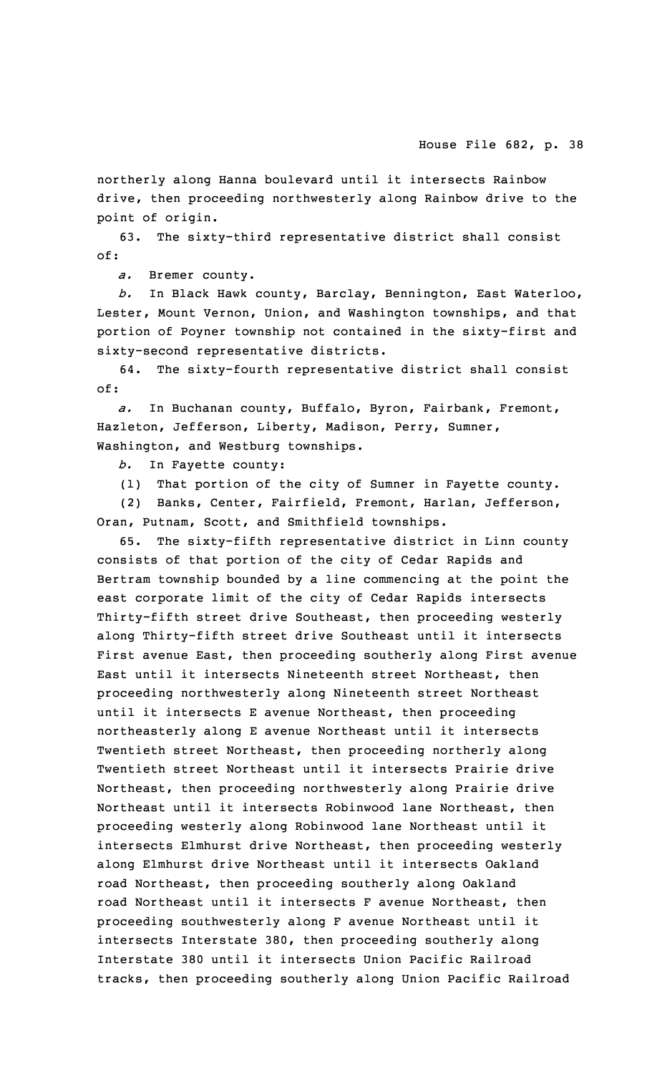northerly along Hanna boulevard until it intersects Rainbow drive, then proceeding northwesterly along Rainbow drive to the point of origin.

63. The sixty-third representative district shall consist of:

*a.* Bremer county.

*b.* In Black Hawk county, Barclay, Bennington, East Waterloo, Lester, Mount Vernon, Union, and Washington townships, and that portion of Poyner township not contained in the sixty-first and sixty-second representative districts.

64. The sixty-fourth representative district shall consist of:

*a.* In Buchanan county, Buffalo, Byron, Fairbank, Fremont, Hazleton, Jefferson, Liberty, Madison, Perry, Sumner, Washington, and Westburg townships.

*b.* In Fayette county:

(1) That portion of the city of Sumner in Fayette county.

(2) Banks, Center, Fairfield, Fremont, Harlan, Jefferson, Oran, Putnam, Scott, and Smithfield townships.

65. The sixty-fifth representative district in Linn county consists of that portion of the city of Cedar Rapids and Bertram township bounded by <sup>a</sup> line commencing at the point the east corporate limit of the city of Cedar Rapids intersects Thirty-fifth street drive Southeast, then proceeding westerly along Thirty-fifth street drive Southeast until it intersects First avenue East, then proceeding southerly along First avenue East until it intersects Nineteenth street Northeast, then proceeding northwesterly along Nineteenth street Northeast until it intersects <sup>E</sup> avenue Northeast, then proceeding northeasterly along <sup>E</sup> avenue Northeast until it intersects Twentieth street Northeast, then proceeding northerly along Twentieth street Northeast until it intersects Prairie drive Northeast, then proceeding northwesterly along Prairie drive Northeast until it intersects Robinwood lane Northeast, then proceeding westerly along Robinwood lane Northeast until it intersects Elmhurst drive Northeast, then proceeding westerly along Elmhurst drive Northeast until it intersects Oakland road Northeast, then proceeding southerly along Oakland road Northeast until it intersects F avenue Northeast, then proceeding southwesterly along <sup>F</sup> avenue Northeast until it intersects Interstate 380, then proceeding southerly along Interstate 380 until it intersects Union Pacific Railroad tracks, then proceeding southerly along Union Pacific Railroad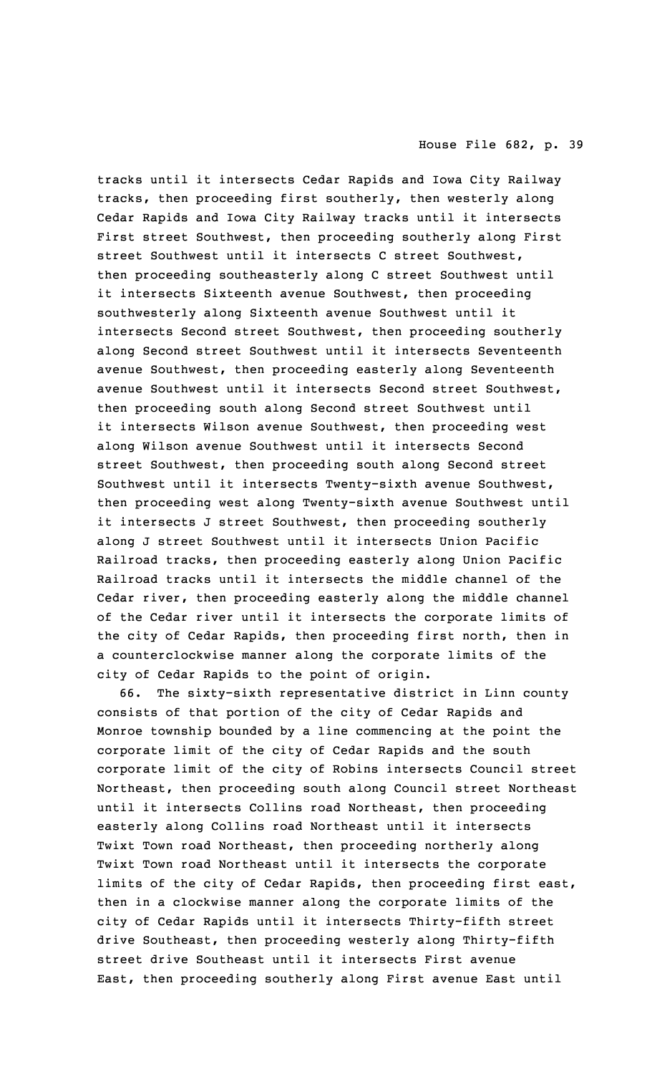tracks until it intersects Cedar Rapids and Iowa City Railway tracks, then proceeding first southerly, then westerly along Cedar Rapids and Iowa City Railway tracks until it intersects First street Southwest, then proceeding southerly along First street Southwest until it intersects C street Southwest, then proceeding southeasterly along C street Southwest until it intersects Sixteenth avenue Southwest, then proceeding southwesterly along Sixteenth avenue Southwest until it intersects Second street Southwest, then proceeding southerly along Second street Southwest until it intersects Seventeenth avenue Southwest, then proceeding easterly along Seventeenth avenue Southwest until it intersects Second street Southwest, then proceeding south along Second street Southwest until it intersects Wilson avenue Southwest, then proceeding west along Wilson avenue Southwest until it intersects Second street Southwest, then proceeding south along Second street Southwest until it intersects Twenty-sixth avenue Southwest, then proceeding west along Twenty-sixth avenue Southwest until it intersects J street Southwest, then proceeding southerly along J street Southwest until it intersects Union Pacific Railroad tracks, then proceeding easterly along Union Pacific Railroad tracks until it intersects the middle channel of the Cedar river, then proceeding easterly along the middle channel of the Cedar river until it intersects the corporate limits of the city of Cedar Rapids, then proceeding first north, then in <sup>a</sup> counterclockwise manner along the corporate limits of the city of Cedar Rapids to the point of origin.

66. The sixty-sixth representative district in Linn county consists of that portion of the city of Cedar Rapids and Monroe township bounded by <sup>a</sup> line commencing at the point the corporate limit of the city of Cedar Rapids and the south corporate limit of the city of Robins intersects Council street Northeast, then proceeding south along Council street Northeast until it intersects Collins road Northeast, then proceeding easterly along Collins road Northeast until it intersects Twixt Town road Northeast, then proceeding northerly along Twixt Town road Northeast until it intersects the corporate limits of the city of Cedar Rapids, then proceeding first east, then in <sup>a</sup> clockwise manner along the corporate limits of the city of Cedar Rapids until it intersects Thirty-fifth street drive Southeast, then proceeding westerly along Thirty-fifth street drive Southeast until it intersects First avenue East, then proceeding southerly along First avenue East until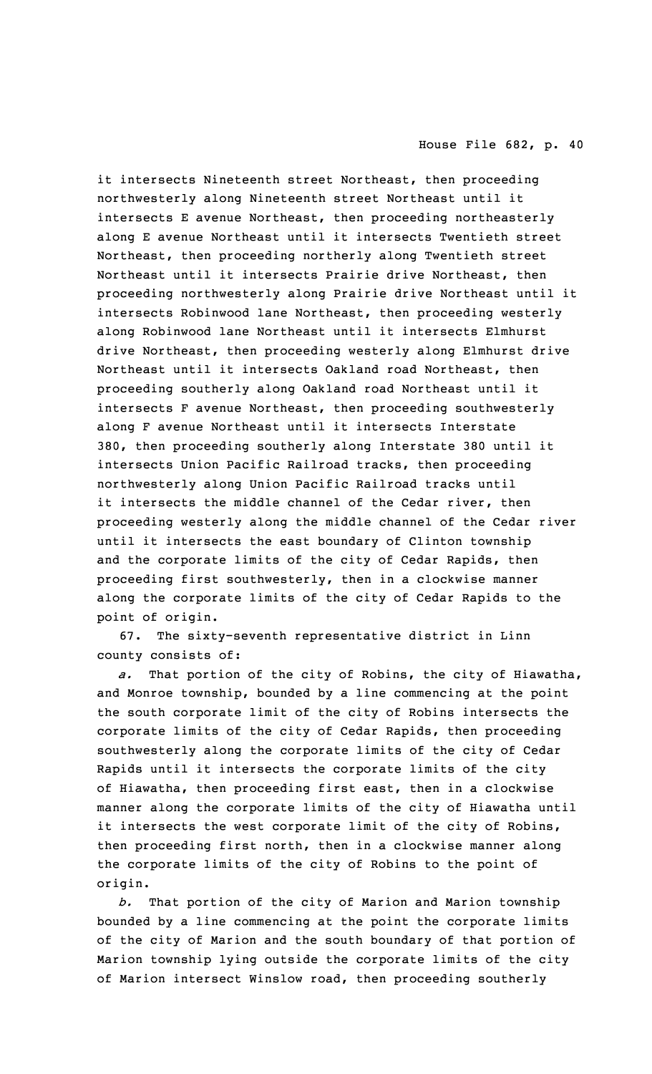it intersects Nineteenth street Northeast, then proceeding northwesterly along Nineteenth street Northeast until it intersects <sup>E</sup> avenue Northeast, then proceeding northeasterly along <sup>E</sup> avenue Northeast until it intersects Twentieth street Northeast, then proceeding northerly along Twentieth street Northeast until it intersects Prairie drive Northeast, then proceeding northwesterly along Prairie drive Northeast until it intersects Robinwood lane Northeast, then proceeding westerly along Robinwood lane Northeast until it intersects Elmhurst drive Northeast, then proceeding westerly along Elmhurst drive Northeast until it intersects Oakland road Northeast, then proceeding southerly along Oakland road Northeast until it intersects <sup>F</sup> avenue Northeast, then proceeding southwesterly along <sup>F</sup> avenue Northeast until it intersects Interstate 380, then proceeding southerly along Interstate 380 until it intersects Union Pacific Railroad tracks, then proceeding northwesterly along Union Pacific Railroad tracks until it intersects the middle channel of the Cedar river, then proceeding westerly along the middle channel of the Cedar river until it intersects the east boundary of Clinton township and the corporate limits of the city of Cedar Rapids, then proceeding first southwesterly, then in <sup>a</sup> clockwise manner along the corporate limits of the city of Cedar Rapids to the point of origin.

67. The sixty-seventh representative district in Linn county consists of:

*a.* That portion of the city of Robins, the city of Hiawatha, and Monroe township, bounded by <sup>a</sup> line commencing at the point the south corporate limit of the city of Robins intersects the corporate limits of the city of Cedar Rapids, then proceeding southwesterly along the corporate limits of the city of Cedar Rapids until it intersects the corporate limits of the city of Hiawatha, then proceeding first east, then in <sup>a</sup> clockwise manner along the corporate limits of the city of Hiawatha until it intersects the west corporate limit of the city of Robins, then proceeding first north, then in <sup>a</sup> clockwise manner along the corporate limits of the city of Robins to the point of origin.

*b.* That portion of the city of Marion and Marion township bounded by <sup>a</sup> line commencing at the point the corporate limits of the city of Marion and the south boundary of that portion of Marion township lying outside the corporate limits of the city of Marion intersect Winslow road, then proceeding southerly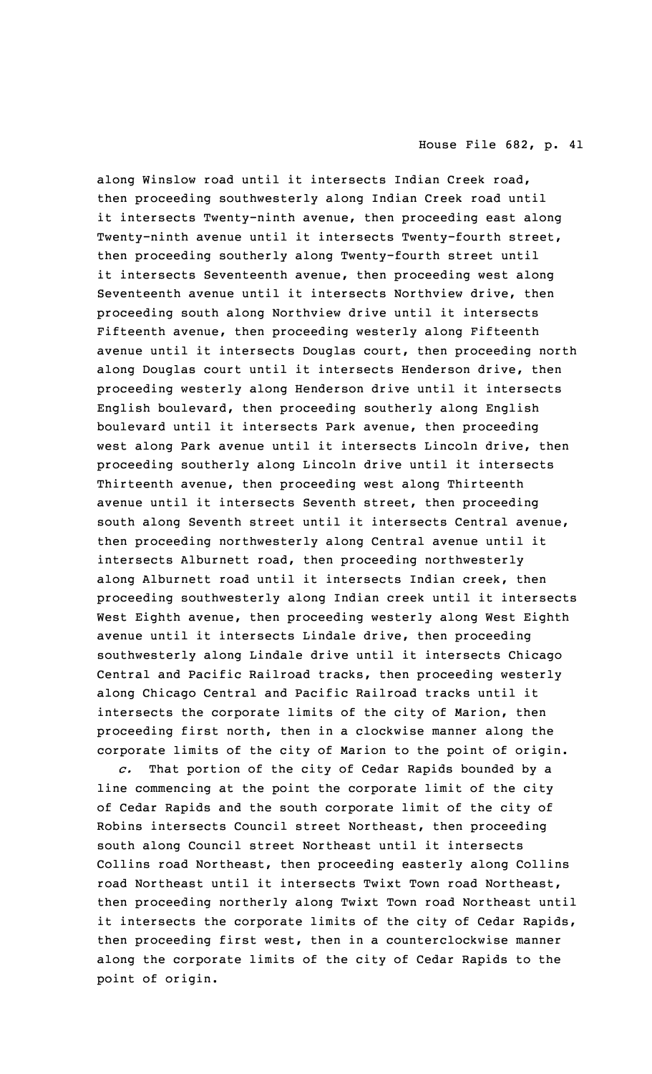along Winslow road until it intersects Indian Creek road, then proceeding southwesterly along Indian Creek road until it intersects Twenty-ninth avenue, then proceeding east along Twenty-ninth avenue until it intersects Twenty-fourth street, then proceeding southerly along Twenty-fourth street until it intersects Seventeenth avenue, then proceeding west along Seventeenth avenue until it intersects Northview drive, then proceeding south along Northview drive until it intersects Fifteenth avenue, then proceeding westerly along Fifteenth avenue until it intersects Douglas court, then proceeding north along Douglas court until it intersects Henderson drive, then proceeding westerly along Henderson drive until it intersects English boulevard, then proceeding southerly along English boulevard until it intersects Park avenue, then proceeding west along Park avenue until it intersects Lincoln drive, then proceeding southerly along Lincoln drive until it intersects Thirteenth avenue, then proceeding west along Thirteenth avenue until it intersects Seventh street, then proceeding south along Seventh street until it intersects Central avenue, then proceeding northwesterly along Central avenue until it intersects Alburnett road, then proceeding northwesterly along Alburnett road until it intersects Indian creek, then proceeding southwesterly along Indian creek until it intersects West Eighth avenue, then proceeding westerly along West Eighth avenue until it intersects Lindale drive, then proceeding southwesterly along Lindale drive until it intersects Chicago Central and Pacific Railroad tracks, then proceeding westerly along Chicago Central and Pacific Railroad tracks until it intersects the corporate limits of the city of Marion, then proceeding first north, then in <sup>a</sup> clockwise manner along the corporate limits of the city of Marion to the point of origin.

*c.* That portion of the city of Cedar Rapids bounded by <sup>a</sup> line commencing at the point the corporate limit of the city of Cedar Rapids and the south corporate limit of the city of Robins intersects Council street Northeast, then proceeding south along Council street Northeast until it intersects Collins road Northeast, then proceeding easterly along Collins road Northeast until it intersects Twixt Town road Northeast, then proceeding northerly along Twixt Town road Northeast until it intersects the corporate limits of the city of Cedar Rapids, then proceeding first west, then in <sup>a</sup> counterclockwise manner along the corporate limits of the city of Cedar Rapids to the point of origin.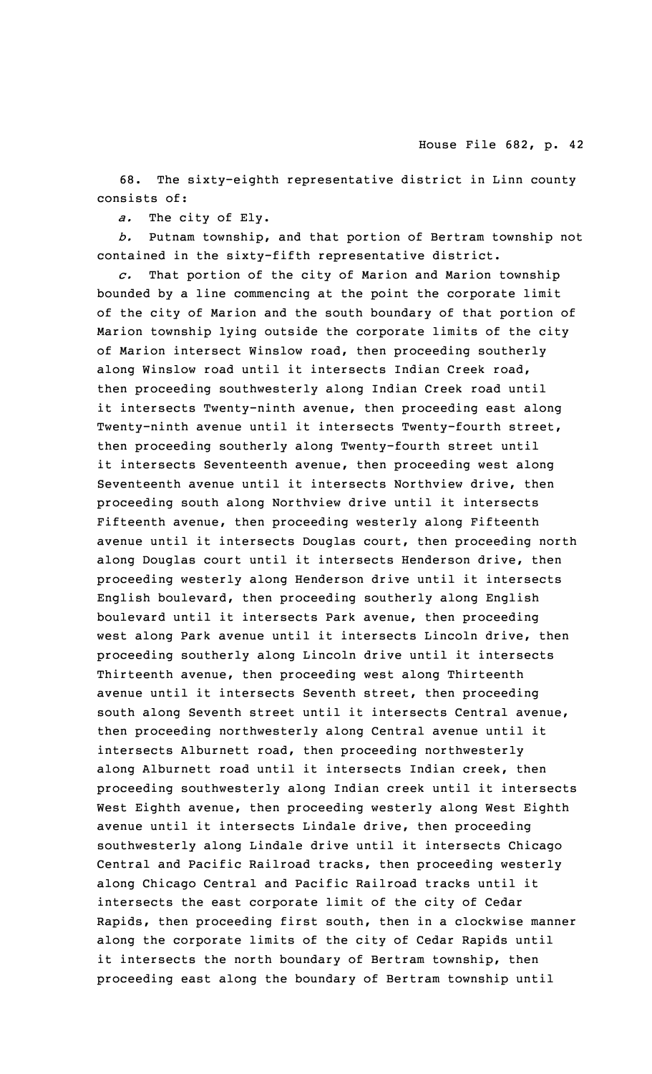68. The sixty-eighth representative district in Linn county consists of:

*a.* The city of Ely.

*b.* Putnam township, and that portion of Bertram township not contained in the sixty-fifth representative district.

*c.* That portion of the city of Marion and Marion township bounded by <sup>a</sup> line commencing at the point the corporate limit of the city of Marion and the south boundary of that portion of Marion township lying outside the corporate limits of the city of Marion intersect Winslow road, then proceeding southerly along Winslow road until it intersects Indian Creek road, then proceeding southwesterly along Indian Creek road until it intersects Twenty-ninth avenue, then proceeding east along Twenty-ninth avenue until it intersects Twenty-fourth street, then proceeding southerly along Twenty-fourth street until it intersects Seventeenth avenue, then proceeding west along Seventeenth avenue until it intersects Northview drive, then proceeding south along Northview drive until it intersects Fifteenth avenue, then proceeding westerly along Fifteenth avenue until it intersects Douglas court, then proceeding north along Douglas court until it intersects Henderson drive, then proceeding westerly along Henderson drive until it intersects English boulevard, then proceeding southerly along English boulevard until it intersects Park avenue, then proceeding west along Park avenue until it intersects Lincoln drive, then proceeding southerly along Lincoln drive until it intersects Thirteenth avenue, then proceeding west along Thirteenth avenue until it intersects Seventh street, then proceeding south along Seventh street until it intersects Central avenue, then proceeding northwesterly along Central avenue until it intersects Alburnett road, then proceeding northwesterly along Alburnett road until it intersects Indian creek, then proceeding southwesterly along Indian creek until it intersects West Eighth avenue, then proceeding westerly along West Eighth avenue until it intersects Lindale drive, then proceeding southwesterly along Lindale drive until it intersects Chicago Central and Pacific Railroad tracks, then proceeding westerly along Chicago Central and Pacific Railroad tracks until it intersects the east corporate limit of the city of Cedar Rapids, then proceeding first south, then in <sup>a</sup> clockwise manner along the corporate limits of the city of Cedar Rapids until it intersects the north boundary of Bertram township, then proceeding east along the boundary of Bertram township until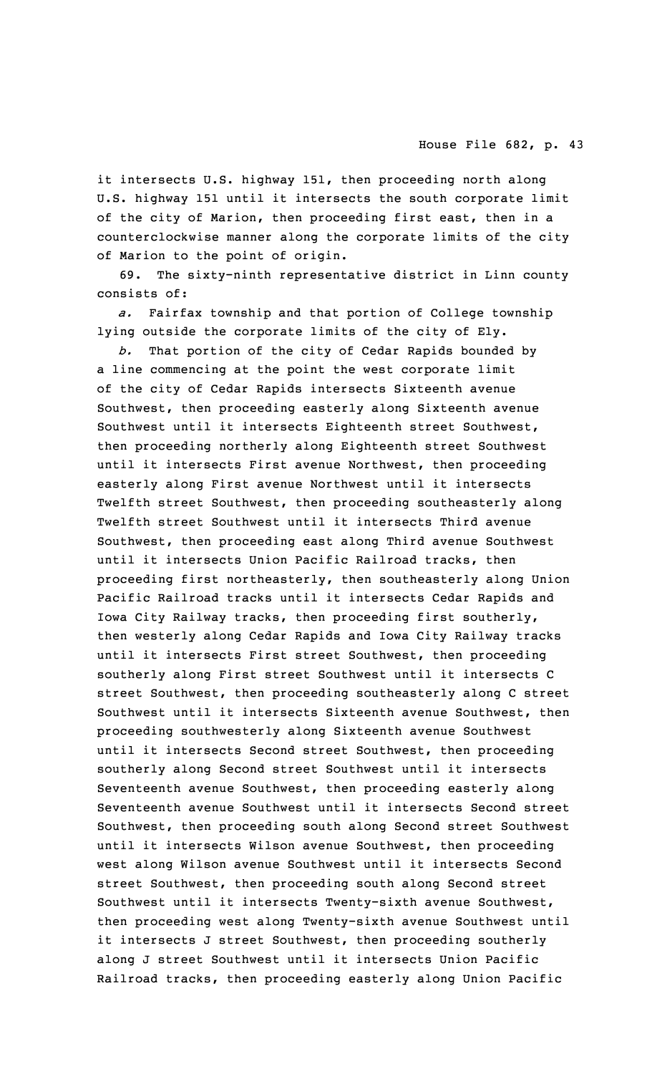it intersects U.S. highway 151, then proceeding north along U.S. highway 151 until it intersects the south corporate limit of the city of Marion, then proceeding first east, then in <sup>a</sup> counterclockwise manner along the corporate limits of the city of Marion to the point of origin.

69. The sixty-ninth representative district in Linn county consists of:

*a.* Fairfax township and that portion of College township lying outside the corporate limits of the city of Ely.

*b.* That portion of the city of Cedar Rapids bounded by <sup>a</sup> line commencing at the point the west corporate limit of the city of Cedar Rapids intersects Sixteenth avenue Southwest, then proceeding easterly along Sixteenth avenue Southwest until it intersects Eighteenth street Southwest, then proceeding northerly along Eighteenth street Southwest until it intersects First avenue Northwest, then proceeding easterly along First avenue Northwest until it intersects Twelfth street Southwest, then proceeding southeasterly along Twelfth street Southwest until it intersects Third avenue Southwest, then proceeding east along Third avenue Southwest until it intersects Union Pacific Railroad tracks, then proceeding first northeasterly, then southeasterly along Union Pacific Railroad tracks until it intersects Cedar Rapids and Iowa City Railway tracks, then proceeding first southerly, then westerly along Cedar Rapids and Iowa City Railway tracks until it intersects First street Southwest, then proceeding southerly along First street Southwest until it intersects C street Southwest, then proceeding southeasterly along C street Southwest until it intersects Sixteenth avenue Southwest, then proceeding southwesterly along Sixteenth avenue Southwest until it intersects Second street Southwest, then proceeding southerly along Second street Southwest until it intersects Seventeenth avenue Southwest, then proceeding easterly along Seventeenth avenue Southwest until it intersects Second street Southwest, then proceeding south along Second street Southwest until it intersects Wilson avenue Southwest, then proceeding west along Wilson avenue Southwest until it intersects Second street Southwest, then proceeding south along Second street Southwest until it intersects Twenty-sixth avenue Southwest, then proceeding west along Twenty-sixth avenue Southwest until it intersects J street Southwest, then proceeding southerly along J street Southwest until it intersects Union Pacific Railroad tracks, then proceeding easterly along Union Pacific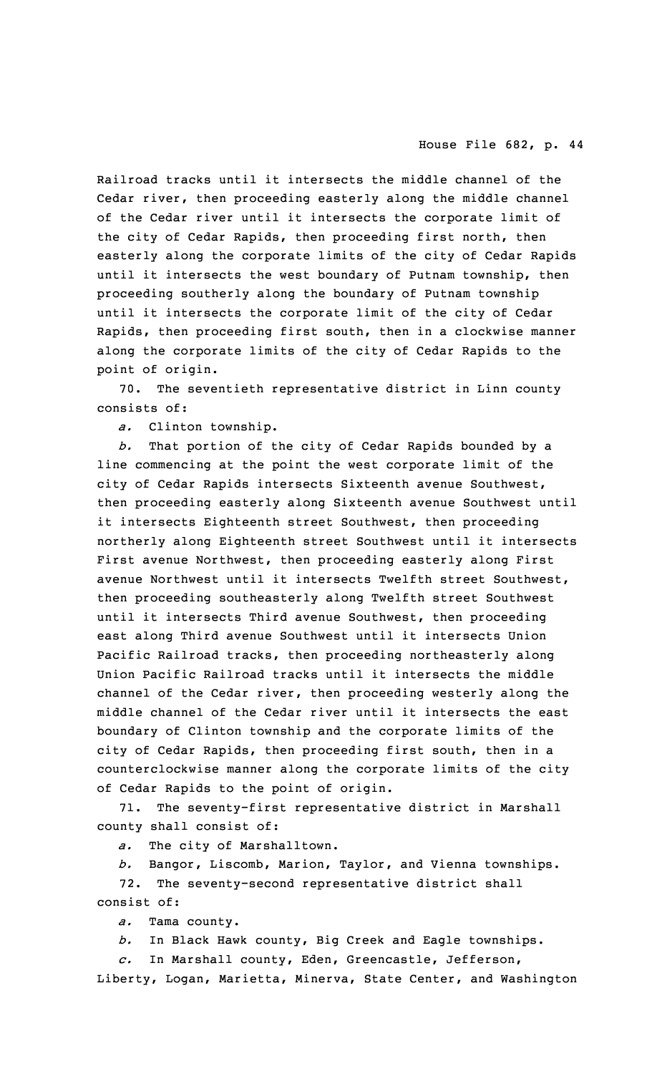Railroad tracks until it intersects the middle channel of the Cedar river, then proceeding easterly along the middle channel of the Cedar river until it intersects the corporate limit of the city of Cedar Rapids, then proceeding first north, then easterly along the corporate limits of the city of Cedar Rapids until it intersects the west boundary of Putnam township, then proceeding southerly along the boundary of Putnam township until it intersects the corporate limit of the city of Cedar Rapids, then proceeding first south, then in <sup>a</sup> clockwise manner along the corporate limits of the city of Cedar Rapids to the point of origin.

70. The seventieth representative district in Linn county consists of:

*a.* Clinton township.

*b.* That portion of the city of Cedar Rapids bounded by <sup>a</sup> line commencing at the point the west corporate limit of the city of Cedar Rapids intersects Sixteenth avenue Southwest, then proceeding easterly along Sixteenth avenue Southwest until it intersects Eighteenth street Southwest, then proceeding northerly along Eighteenth street Southwest until it intersects First avenue Northwest, then proceeding easterly along First avenue Northwest until it intersects Twelfth street Southwest, then proceeding southeasterly along Twelfth street Southwest until it intersects Third avenue Southwest, then proceeding east along Third avenue Southwest until it intersects Union Pacific Railroad tracks, then proceeding northeasterly along Union Pacific Railroad tracks until it intersects the middle channel of the Cedar river, then proceeding westerly along the middle channel of the Cedar river until it intersects the east boundary of Clinton township and the corporate limits of the city of Cedar Rapids, then proceeding first south, then in <sup>a</sup> counterclockwise manner along the corporate limits of the city of Cedar Rapids to the point of origin.

71. The seventy-first representative district in Marshall county shall consist of:

*a.* The city of Marshalltown.

*b.* Bangor, Liscomb, Marion, Taylor, and Vienna townships.

72. The seventy-second representative district shall consist of:

*a.* Tama county.

*b.* In Black Hawk county, Big Creek and Eagle townships.

*c.* In Marshall county, Eden, Greencastle, Jefferson,

Liberty, Logan, Marietta, Minerva, State Center, and Washington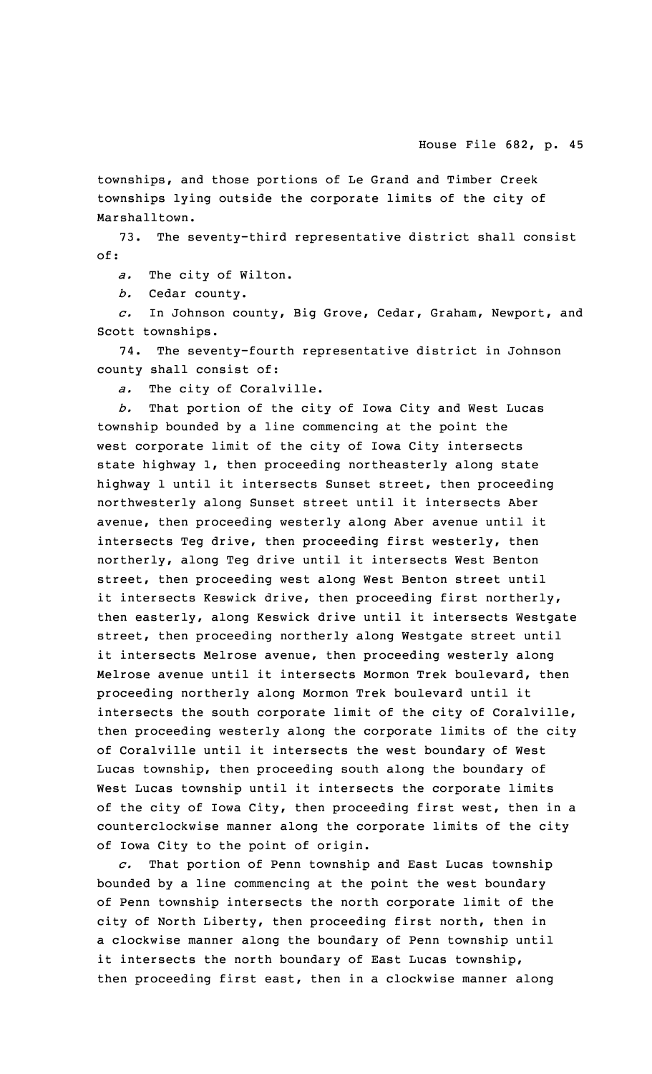townships, and those portions of Le Grand and Timber Creek townships lying outside the corporate limits of the city of Marshalltown.

73. The seventy-third representative district shall consist of:

*a.* The city of Wilton.

*b.* Cedar county.

*c.* In Johnson county, Big Grove, Cedar, Graham, Newport, and Scott townships.

74. The seventy-fourth representative district in Johnson county shall consist of:

*a.* The city of Coralville.

*b.* That portion of the city of Iowa City and West Lucas township bounded by <sup>a</sup> line commencing at the point the west corporate limit of the city of Iowa City intersects state highway 1, then proceeding northeasterly along state highway 1 until it intersects Sunset street, then proceeding northwesterly along Sunset street until it intersects Aber avenue, then proceeding westerly along Aber avenue until it intersects Teg drive, then proceeding first westerly, then northerly, along Teg drive until it intersects West Benton street, then proceeding west along West Benton street until it intersects Keswick drive, then proceeding first northerly, then easterly, along Keswick drive until it intersects Westgate street, then proceeding northerly along Westgate street until it intersects Melrose avenue, then proceeding westerly along Melrose avenue until it intersects Mormon Trek boulevard, then proceeding northerly along Mormon Trek boulevard until it intersects the south corporate limit of the city of Coralville, then proceeding westerly along the corporate limits of the city of Coralville until it intersects the west boundary of West Lucas township, then proceeding south along the boundary of West Lucas township until it intersects the corporate limits of the city of Iowa City, then proceeding first west, then in <sup>a</sup> counterclockwise manner along the corporate limits of the city of Iowa City to the point of origin.

*c.* That portion of Penn township and East Lucas township bounded by <sup>a</sup> line commencing at the point the west boundary of Penn township intersects the north corporate limit of the city of North Liberty, then proceeding first north, then in <sup>a</sup> clockwise manner along the boundary of Penn township until it intersects the north boundary of East Lucas township, then proceeding first east, then in <sup>a</sup> clockwise manner along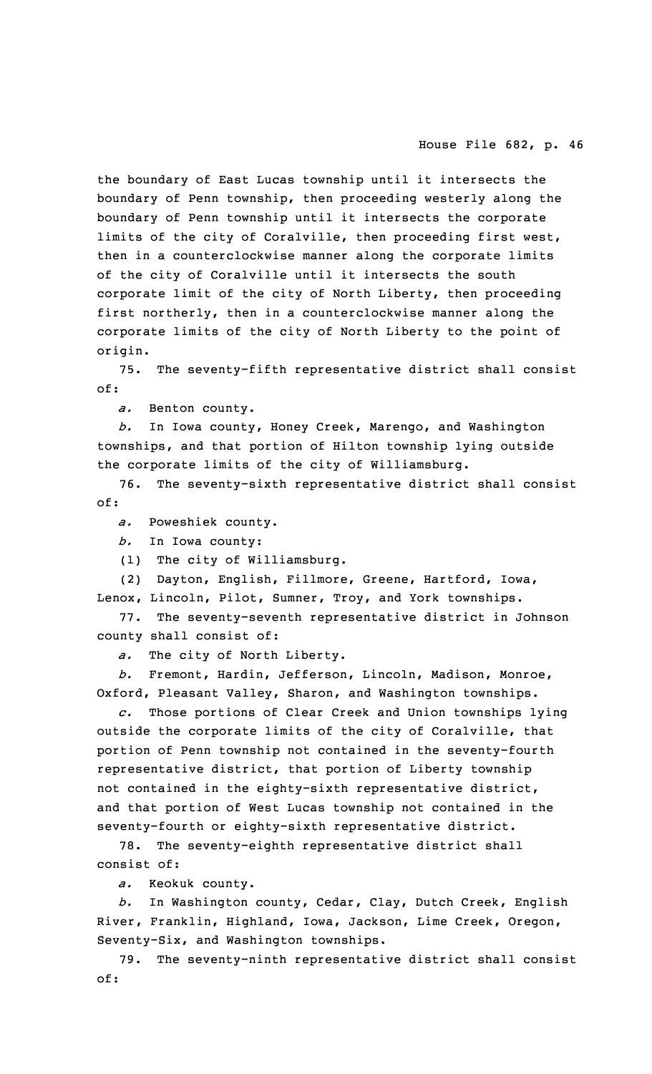the boundary of East Lucas township until it intersects the boundary of Penn township, then proceeding westerly along the boundary of Penn township until it intersects the corporate limits of the city of Coralville, then proceeding first west, then in <sup>a</sup> counterclockwise manner along the corporate limits of the city of Coralville until it intersects the south corporate limit of the city of North Liberty, then proceeding first northerly, then in <sup>a</sup> counterclockwise manner along the corporate limits of the city of North Liberty to the point of origin.

75. The seventy-fifth representative district shall consist of:

*a.* Benton county.

*b.* In Iowa county, Honey Creek, Marengo, and Washington townships, and that portion of Hilton township lying outside the corporate limits of the city of Williamsburg.

76. The seventy-sixth representative district shall consist of:

*a.* Poweshiek county.

*b.* In Iowa county:

(1) The city of Williamsburg.

(2) Dayton, English, Fillmore, Greene, Hartford, Iowa, Lenox, Lincoln, Pilot, Sumner, Troy, and York townships.

77. The seventy-seventh representative district in Johnson county shall consist of:

*a.* The city of North Liberty.

*b.* Fremont, Hardin, Jefferson, Lincoln, Madison, Monroe, Oxford, Pleasant Valley, Sharon, and Washington townships.

*c.* Those portions of Clear Creek and Union townships lying outside the corporate limits of the city of Coralville, that portion of Penn township not contained in the seventy-fourth representative district, that portion of Liberty township not contained in the eighty-sixth representative district, and that portion of West Lucas township not contained in the seventy-fourth or eighty-sixth representative district.

78. The seventy-eighth representative district shall consist of:

*a.* Keokuk county.

*b.* In Washington county, Cedar, Clay, Dutch Creek, English River, Franklin, Highland, Iowa, Jackson, Lime Creek, Oregon, Seventy-Six, and Washington townships.

79. The seventy-ninth representative district shall consist of: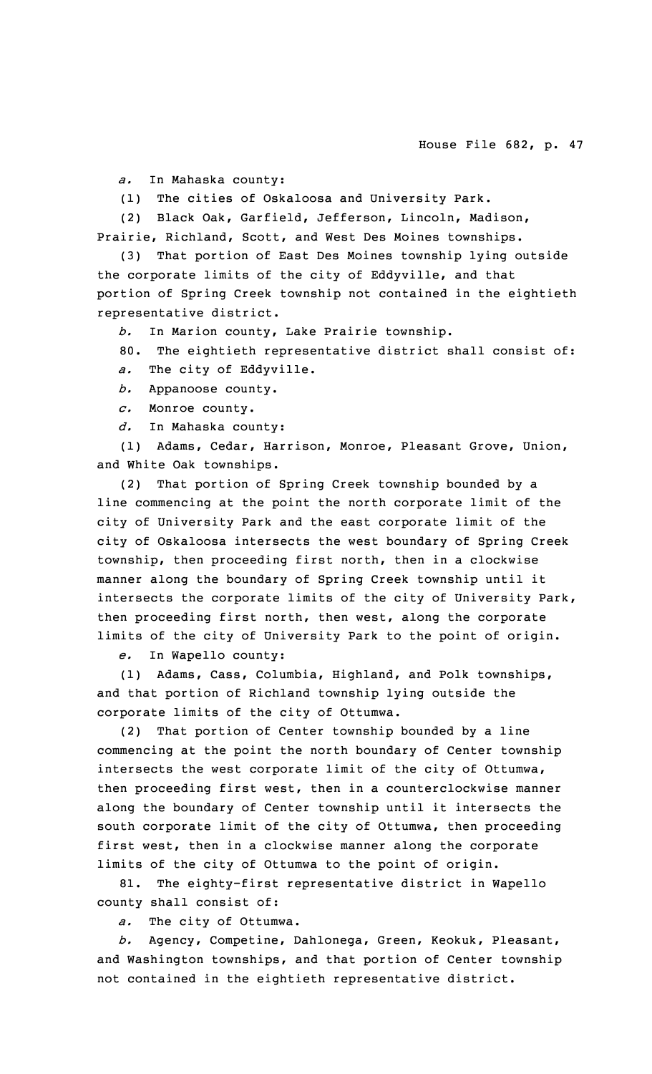*a.* In Mahaska county:

(1) The cities of Oskaloosa and University Park.

(2) Black Oak, Garfield, Jefferson, Lincoln, Madison, Prairie, Richland, Scott, and West Des Moines townships.

(3) That portion of East Des Moines township lying outside the corporate limits of the city of Eddyville, and that portion of Spring Creek township not contained in the eightieth representative district.

*b.* In Marion county, Lake Prairie township.

80. The eightieth representative district shall consist of:

*a.* The city of Eddyville.

*b.* Appanoose county.

*c.* Monroe county.

*d.* In Mahaska county:

(1) Adams, Cedar, Harrison, Monroe, Pleasant Grove, Union, and White Oak townships.

(2) That portion of Spring Creek township bounded by <sup>a</sup> line commencing at the point the north corporate limit of the city of University Park and the east corporate limit of the city of Oskaloosa intersects the west boundary of Spring Creek township, then proceeding first north, then in <sup>a</sup> clockwise manner along the boundary of Spring Creek township until it intersects the corporate limits of the city of University Park, then proceeding first north, then west, along the corporate limits of the city of University Park to the point of origin.

*e.* In Wapello county:

(1) Adams, Cass, Columbia, Highland, and Polk townships, and that portion of Richland township lying outside the corporate limits of the city of Ottumwa.

(2) That portion of Center township bounded by <sup>a</sup> line commencing at the point the north boundary of Center township intersects the west corporate limit of the city of Ottumwa, then proceeding first west, then in <sup>a</sup> counterclockwise manner along the boundary of Center township until it intersects the south corporate limit of the city of Ottumwa, then proceeding first west, then in <sup>a</sup> clockwise manner along the corporate limits of the city of Ottumwa to the point of origin.

81. The eighty-first representative district in Wapello county shall consist of:

*a.* The city of Ottumwa.

*b.* Agency, Competine, Dahlonega, Green, Keokuk, Pleasant, and Washington townships, and that portion of Center township not contained in the eightieth representative district.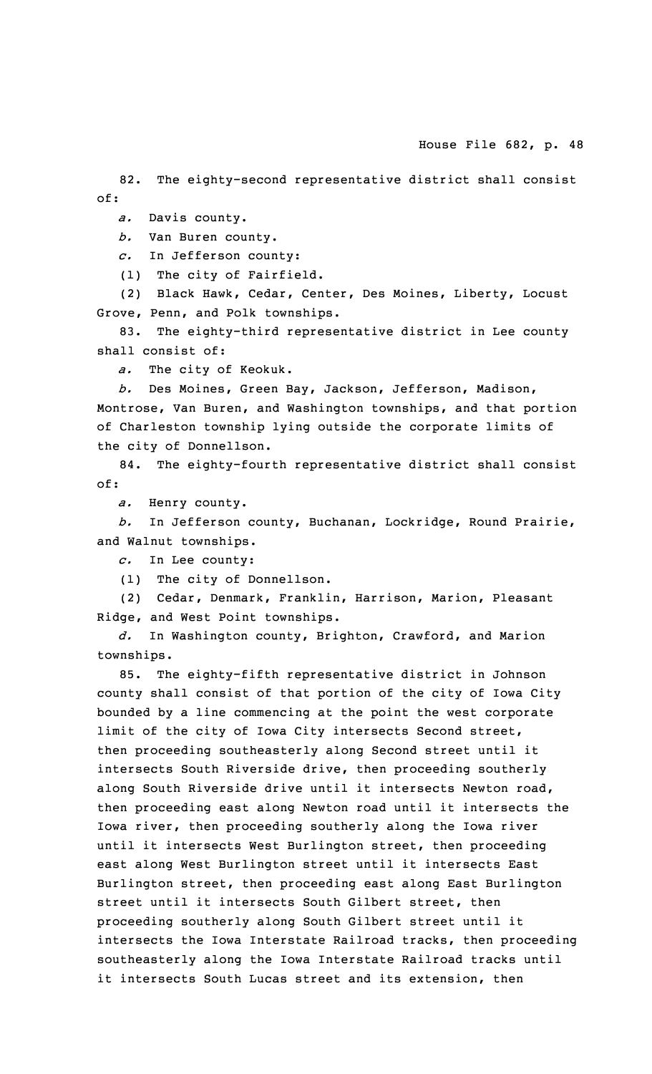82. The eighty-second representative district shall consist of:

*a.* Davis county.

*b.* Van Buren county.

*c.* In Jefferson county:

(1) The city of Fairfield.

(2) Black Hawk, Cedar, Center, Des Moines, Liberty, Locust Grove, Penn, and Polk townships.

83. The eighty-third representative district in Lee county shall consist of:

*a.* The city of Keokuk.

*b.* Des Moines, Green Bay, Jackson, Jefferson, Madison, Montrose, Van Buren, and Washington townships, and that portion of Charleston township lying outside the corporate limits of the city of Donnellson.

84. The eighty-fourth representative district shall consist of:

*a.* Henry county.

*b.* In Jefferson county, Buchanan, Lockridge, Round Prairie, and Walnut townships.

*c.* In Lee county:

(1) The city of Donnellson.

(2) Cedar, Denmark, Franklin, Harrison, Marion, Pleasant Ridge, and West Point townships.

*d.* In Washington county, Brighton, Crawford, and Marion townships.

85. The eighty-fifth representative district in Johnson county shall consist of that portion of the city of Iowa City bounded by <sup>a</sup> line commencing at the point the west corporate limit of the city of Iowa City intersects Second street, then proceeding southeasterly along Second street until it intersects South Riverside drive, then proceeding southerly along South Riverside drive until it intersects Newton road, then proceeding east along Newton road until it intersects the Iowa river, then proceeding southerly along the Iowa river until it intersects West Burlington street, then proceeding east along West Burlington street until it intersects East Burlington street, then proceeding east along East Burlington street until it intersects South Gilbert street, then proceeding southerly along South Gilbert street until it intersects the Iowa Interstate Railroad tracks, then proceeding southeasterly along the Iowa Interstate Railroad tracks until it intersects South Lucas street and its extension, then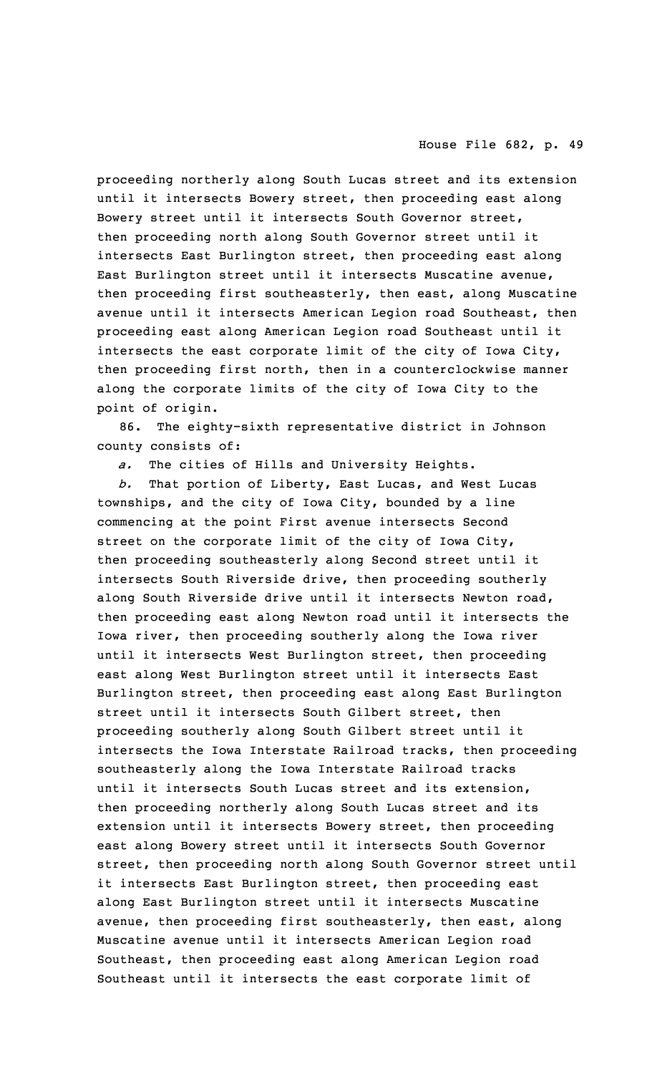proceeding northerly along South Lucas street and its extension until it intersects Bowery street, then proceeding east along Bowery street until it intersects South Governor street, then proceeding north along South Governor street until it intersects East Burlington street, then proceeding east along East Burlington street until it intersects Muscatine avenue, then proceeding first southeasterly, then east, along Muscatine avenue until it intersects American Legion road Southeast, then proceeding east along American Legion road Southeast until it intersects the east corporate limit of the city of Iowa City, then proceeding first north, then in <sup>a</sup> counterclockwise manner along the corporate limits of the city of Iowa City to the point of origin.

86. The eighty-sixth representative district in Johnson county consists of:

*a.* The cities of Hills and University Heights.

*b.* That portion of Liberty, East Lucas, and West Lucas townships, and the city of Iowa City, bounded by <sup>a</sup> line commencing at the point First avenue intersects Second street on the corporate limit of the city of Iowa City, then proceeding southeasterly along Second street until it intersects South Riverside drive, then proceeding southerly along South Riverside drive until it intersects Newton road, then proceeding east along Newton road until it intersects the Iowa river, then proceeding southerly along the Iowa river until it intersects West Burlington street, then proceeding east along West Burlington street until it intersects East Burlington street, then proceeding east along East Burlington street until it intersects South Gilbert street, then proceeding southerly along South Gilbert street until it intersects the Iowa Interstate Railroad tracks, then proceeding southeasterly along the Iowa Interstate Railroad tracks until it intersects South Lucas street and its extension, then proceeding northerly along South Lucas street and its extension until it intersects Bowery street, then proceeding east along Bowery street until it intersects South Governor street, then proceeding north along South Governor street until it intersects East Burlington street, then proceeding east along East Burlington street until it intersects Muscatine avenue, then proceeding first southeasterly, then east, along Muscatine avenue until it intersects American Legion road Southeast, then proceeding east along American Legion road Southeast until it intersects the east corporate limit of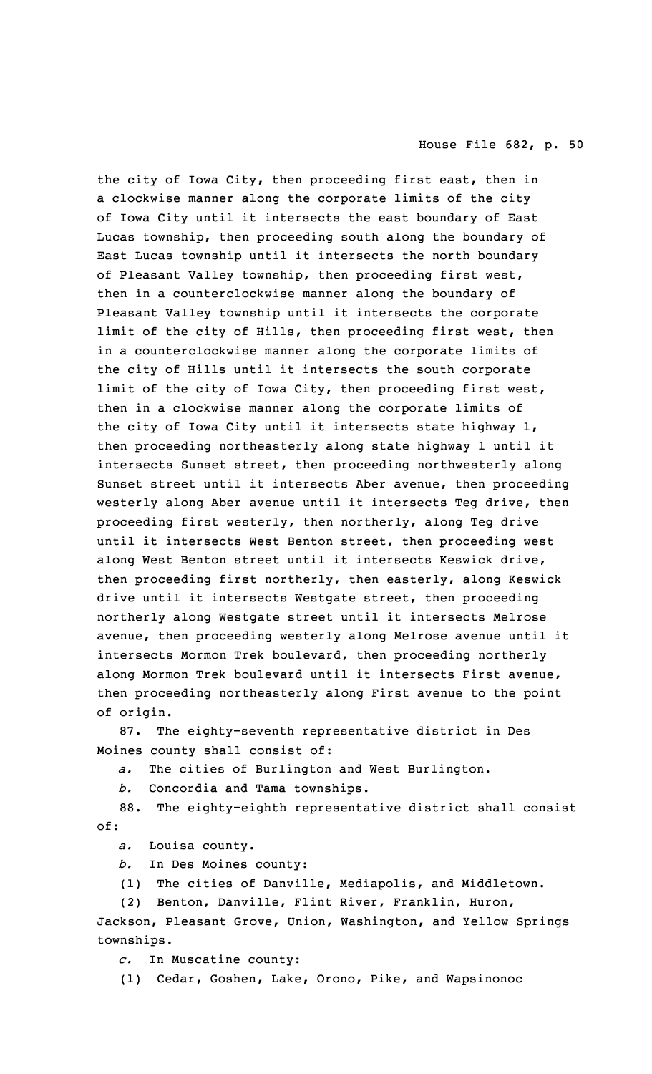the city of Iowa City, then proceeding first east, then in <sup>a</sup> clockwise manner along the corporate limits of the city of Iowa City until it intersects the east boundary of East Lucas township, then proceeding south along the boundary of East Lucas township until it intersects the north boundary of Pleasant Valley township, then proceeding first west, then in <sup>a</sup> counterclockwise manner along the boundary of Pleasant Valley township until it intersects the corporate limit of the city of Hills, then proceeding first west, then in <sup>a</sup> counterclockwise manner along the corporate limits of the city of Hills until it intersects the south corporate limit of the city of Iowa City, then proceeding first west, then in <sup>a</sup> clockwise manner along the corporate limits of the city of Iowa City until it intersects state highway 1, then proceeding northeasterly along state highway 1 until it intersects Sunset street, then proceeding northwesterly along Sunset street until it intersects Aber avenue, then proceeding westerly along Aber avenue until it intersects Teg drive, then proceeding first westerly, then northerly, along Teg drive until it intersects West Benton street, then proceeding west along West Benton street until it intersects Keswick drive, then proceeding first northerly, then easterly, along Keswick drive until it intersects Westgate street, then proceeding northerly along Westgate street until it intersects Melrose avenue, then proceeding westerly along Melrose avenue until it intersects Mormon Trek boulevard, then proceeding northerly along Mormon Trek boulevard until it intersects First avenue, then proceeding northeasterly along First avenue to the point of origin.

87. The eighty-seventh representative district in Des Moines county shall consist of:

*a.* The cities of Burlington and West Burlington.

*b.* Concordia and Tama townships.

88. The eighty-eighth representative district shall consist of:

*a.* Louisa county.

- *b.* In Des Moines county:
- (1) The cities of Danville, Mediapolis, and Middletown.

(2) Benton, Danville, Flint River, Franklin, Huron,

Jackson, Pleasant Grove, Union, Washington, and Yellow Springs townships.

*c.* In Muscatine county:

(1) Cedar, Goshen, Lake, Orono, Pike, and Wapsinonoc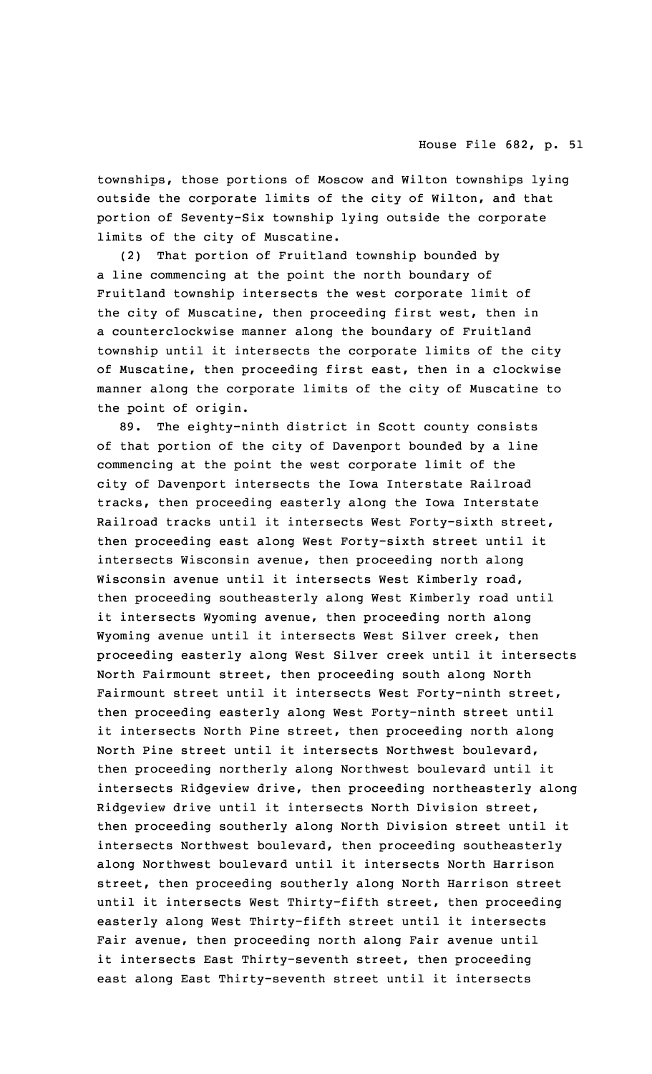townships, those portions of Moscow and Wilton townships lying outside the corporate limits of the city of Wilton, and that portion of Seventy-Six township lying outside the corporate limits of the city of Muscatine.

(2) That portion of Fruitland township bounded by <sup>a</sup> line commencing at the point the north boundary of Fruitland township intersects the west corporate limit of the city of Muscatine, then proceeding first west, then in <sup>a</sup> counterclockwise manner along the boundary of Fruitland township until it intersects the corporate limits of the city of Muscatine, then proceeding first east, then in <sup>a</sup> clockwise manner along the corporate limits of the city of Muscatine to the point of origin.

89. The eighty-ninth district in Scott county consists of that portion of the city of Davenport bounded by <sup>a</sup> line commencing at the point the west corporate limit of the city of Davenport intersects the Iowa Interstate Railroad tracks, then proceeding easterly along the Iowa Interstate Railroad tracks until it intersects West Forty-sixth street, then proceeding east along West Forty-sixth street until it intersects Wisconsin avenue, then proceeding north along Wisconsin avenue until it intersects West Kimberly road, then proceeding southeasterly along West Kimberly road until it intersects Wyoming avenue, then proceeding north along Wyoming avenue until it intersects West Silver creek, then proceeding easterly along West Silver creek until it intersects North Fairmount street, then proceeding south along North Fairmount street until it intersects West Forty-ninth street, then proceeding easterly along West Forty-ninth street until it intersects North Pine street, then proceeding north along North Pine street until it intersects Northwest boulevard, then proceeding northerly along Northwest boulevard until it intersects Ridgeview drive, then proceeding northeasterly along Ridgeview drive until it intersects North Division street, then proceeding southerly along North Division street until it intersects Northwest boulevard, then proceeding southeasterly along Northwest boulevard until it intersects North Harrison street, then proceeding southerly along North Harrison street until it intersects West Thirty-fifth street, then proceeding easterly along West Thirty-fifth street until it intersects Fair avenue, then proceeding north along Fair avenue until it intersects East Thirty-seventh street, then proceeding east along East Thirty-seventh street until it intersects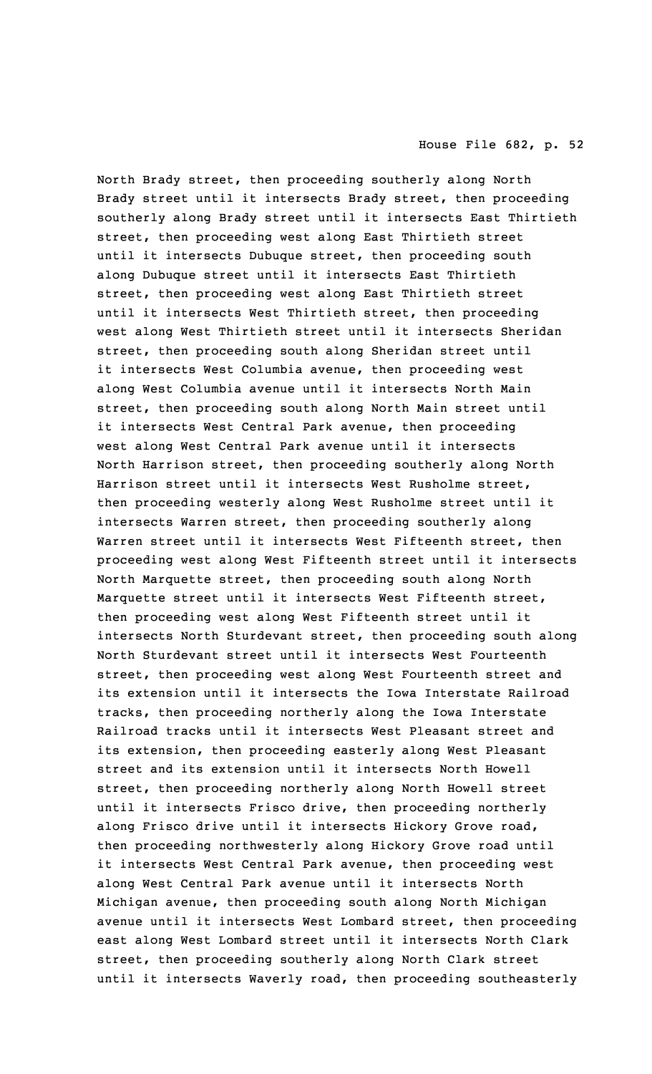North Brady street, then proceeding southerly along North Brady street until it intersects Brady street, then proceeding southerly along Brady street until it intersects East Thirtieth street, then proceeding west along East Thirtieth street until it intersects Dubuque street, then proceeding south along Dubuque street until it intersects East Thirtieth street, then proceeding west along East Thirtieth street until it intersects West Thirtieth street, then proceeding west along West Thirtieth street until it intersects Sheridan street, then proceeding south along Sheridan street until it intersects West Columbia avenue, then proceeding west along West Columbia avenue until it intersects North Main street, then proceeding south along North Main street until it intersects West Central Park avenue, then proceeding west along West Central Park avenue until it intersects North Harrison street, then proceeding southerly along North Harrison street until it intersects West Rusholme street, then proceeding westerly along West Rusholme street until it intersects Warren street, then proceeding southerly along Warren street until it intersects West Fifteenth street, then proceeding west along West Fifteenth street until it intersects North Marquette street, then proceeding south along North Marquette street until it intersects West Fifteenth street, then proceeding west along West Fifteenth street until it intersects North Sturdevant street, then proceeding south along North Sturdevant street until it intersects West Fourteenth street, then proceeding west along West Fourteenth street and its extension until it intersects the Iowa Interstate Railroad tracks, then proceeding northerly along the Iowa Interstate Railroad tracks until it intersects West Pleasant street and its extension, then proceeding easterly along West Pleasant street and its extension until it intersects North Howell street, then proceeding northerly along North Howell street until it intersects Frisco drive, then proceeding northerly along Frisco drive until it intersects Hickory Grove road, then proceeding northwesterly along Hickory Grove road until it intersects West Central Park avenue, then proceeding west along West Central Park avenue until it intersects North Michigan avenue, then proceeding south along North Michigan avenue until it intersects West Lombard street, then proceeding east along West Lombard street until it intersects North Clark street, then proceeding southerly along North Clark street until it intersects Waverly road, then proceeding southeasterly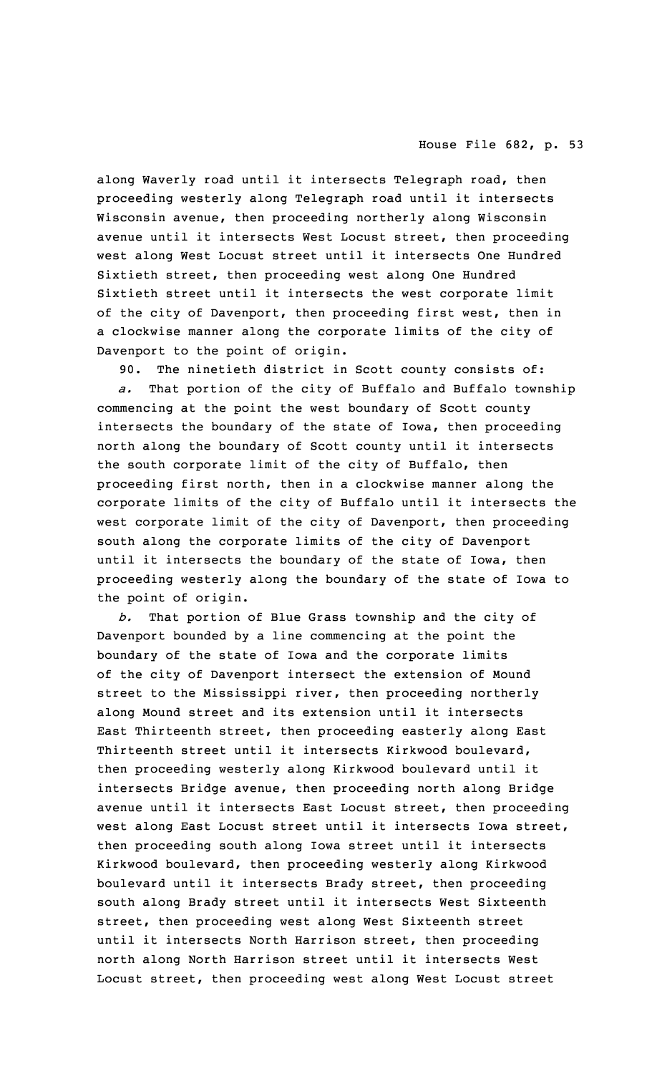along Waverly road until it intersects Telegraph road, then proceeding westerly along Telegraph road until it intersects Wisconsin avenue, then proceeding northerly along Wisconsin avenue until it intersects West Locust street, then proceeding west along West Locust street until it intersects One Hundred Sixtieth street, then proceeding west along One Hundred Sixtieth street until it intersects the west corporate limit of the city of Davenport, then proceeding first west, then in <sup>a</sup> clockwise manner along the corporate limits of the city of Davenport to the point of origin.

90. The ninetieth district in Scott county consists of:

*a.* That portion of the city of Buffalo and Buffalo township commencing at the point the west boundary of Scott county intersects the boundary of the state of Iowa, then proceeding north along the boundary of Scott county until it intersects the south corporate limit of the city of Buffalo, then proceeding first north, then in <sup>a</sup> clockwise manner along the corporate limits of the city of Buffalo until it intersects the west corporate limit of the city of Davenport, then proceeding south along the corporate limits of the city of Davenport until it intersects the boundary of the state of Iowa, then proceeding westerly along the boundary of the state of Iowa to the point of origin.

*b.* That portion of Blue Grass township and the city of Davenport bounded by <sup>a</sup> line commencing at the point the boundary of the state of Iowa and the corporate limits of the city of Davenport intersect the extension of Mound street to the Mississippi river, then proceeding northerly along Mound street and its extension until it intersects East Thirteenth street, then proceeding easterly along East Thirteenth street until it intersects Kirkwood boulevard, then proceeding westerly along Kirkwood boulevard until it intersects Bridge avenue, then proceeding north along Bridge avenue until it intersects East Locust street, then proceeding west along East Locust street until it intersects Iowa street, then proceeding south along Iowa street until it intersects Kirkwood boulevard, then proceeding westerly along Kirkwood boulevard until it intersects Brady street, then proceeding south along Brady street until it intersects West Sixteenth street, then proceeding west along West Sixteenth street until it intersects North Harrison street, then proceeding north along North Harrison street until it intersects West Locust street, then proceeding west along West Locust street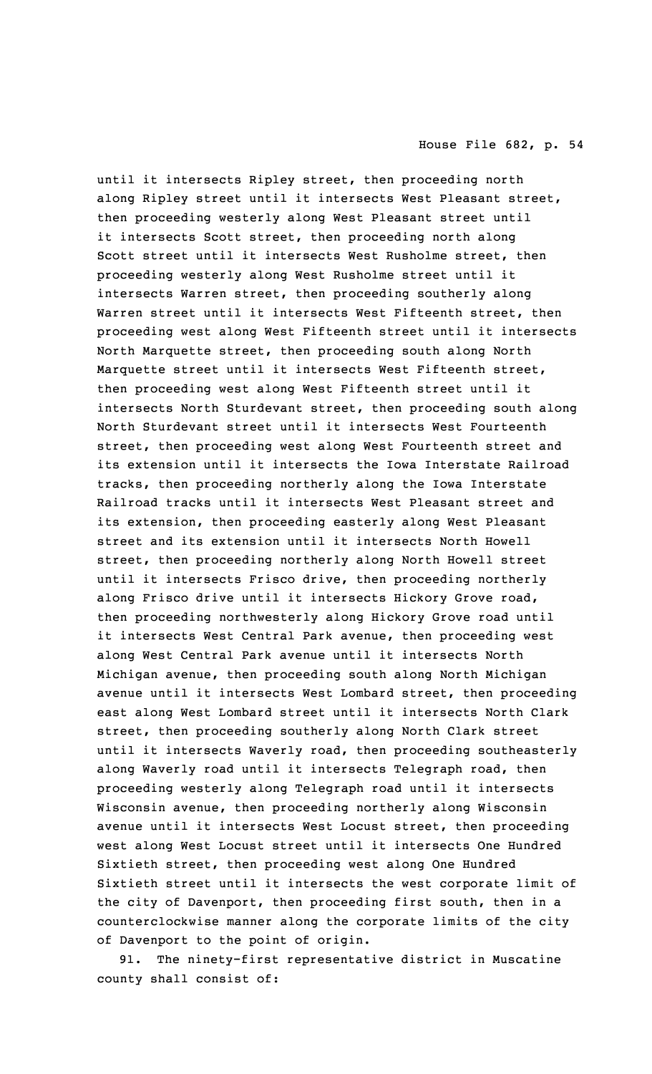until it intersects Ripley street, then proceeding north along Ripley street until it intersects West Pleasant street, then proceeding westerly along West Pleasant street until it intersects Scott street, then proceeding north along Scott street until it intersects West Rusholme street, then proceeding westerly along West Rusholme street until it intersects Warren street, then proceeding southerly along Warren street until it intersects West Fifteenth street, then proceeding west along West Fifteenth street until it intersects North Marquette street, then proceeding south along North Marquette street until it intersects West Fifteenth street, then proceeding west along West Fifteenth street until it intersects North Sturdevant street, then proceeding south along North Sturdevant street until it intersects West Fourteenth street, then proceeding west along West Fourteenth street and its extension until it intersects the Iowa Interstate Railroad tracks, then proceeding northerly along the Iowa Interstate Railroad tracks until it intersects West Pleasant street and its extension, then proceeding easterly along West Pleasant street and its extension until it intersects North Howell street, then proceeding northerly along North Howell street until it intersects Frisco drive, then proceeding northerly along Frisco drive until it intersects Hickory Grove road, then proceeding northwesterly along Hickory Grove road until it intersects West Central Park avenue, then proceeding west along West Central Park avenue until it intersects North Michigan avenue, then proceeding south along North Michigan avenue until it intersects West Lombard street, then proceeding east along West Lombard street until it intersects North Clark street, then proceeding southerly along North Clark street until it intersects Waverly road, then proceeding southeasterly along Waverly road until it intersects Telegraph road, then proceeding westerly along Telegraph road until it intersects Wisconsin avenue, then proceeding northerly along Wisconsin avenue until it intersects West Locust street, then proceeding west along West Locust street until it intersects One Hundred Sixtieth street, then proceeding west along One Hundred Sixtieth street until it intersects the west corporate limit of the city of Davenport, then proceeding first south, then in <sup>a</sup> counterclockwise manner along the corporate limits of the city of Davenport to the point of origin.

91. The ninety-first representative district in Muscatine county shall consist of: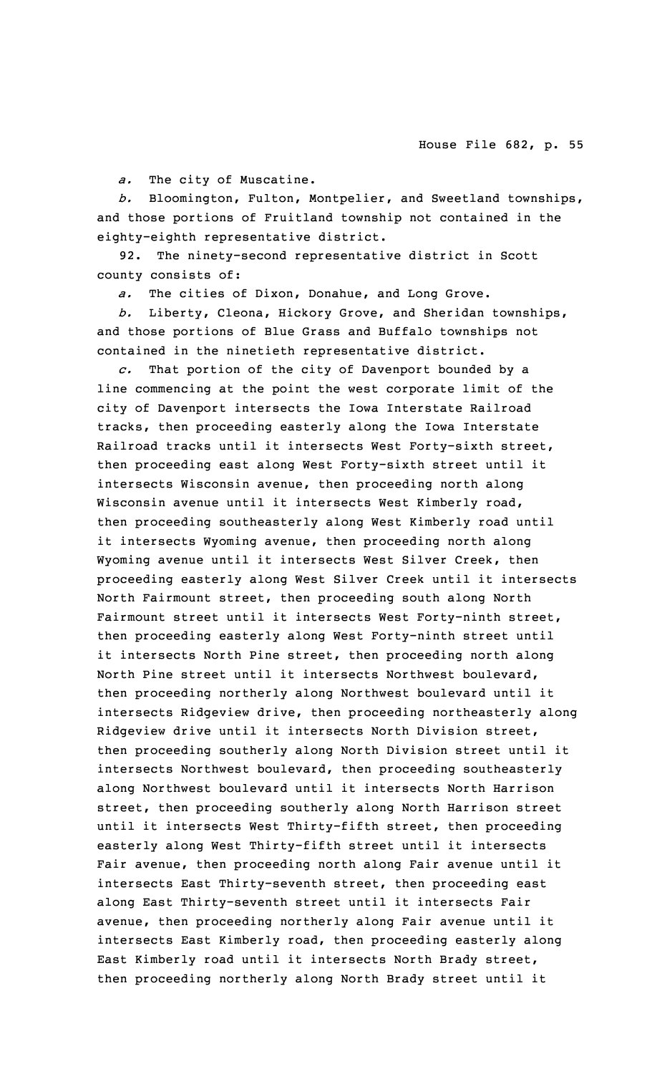*a.* The city of Muscatine.

*b.* Bloomington, Fulton, Montpelier, and Sweetland townships, and those portions of Fruitland township not contained in the eighty-eighth representative district.

92. The ninety-second representative district in Scott county consists of:

*a.* The cities of Dixon, Donahue, and Long Grove.

*b.* Liberty, Cleona, Hickory Grove, and Sheridan townships, and those portions of Blue Grass and Buffalo townships not contained in the ninetieth representative district.

*c.* That portion of the city of Davenport bounded by <sup>a</sup> line commencing at the point the west corporate limit of the city of Davenport intersects the Iowa Interstate Railroad tracks, then proceeding easterly along the Iowa Interstate Railroad tracks until it intersects West Forty-sixth street, then proceeding east along West Forty-sixth street until it intersects Wisconsin avenue, then proceeding north along Wisconsin avenue until it intersects West Kimberly road, then proceeding southeasterly along West Kimberly road until it intersects Wyoming avenue, then proceeding north along Wyoming avenue until it intersects West Silver Creek, then proceeding easterly along West Silver Creek until it intersects North Fairmount street, then proceeding south along North Fairmount street until it intersects West Forty-ninth street, then proceeding easterly along West Forty-ninth street until it intersects North Pine street, then proceeding north along North Pine street until it intersects Northwest boulevard, then proceeding northerly along Northwest boulevard until it intersects Ridgeview drive, then proceeding northeasterly along Ridgeview drive until it intersects North Division street, then proceeding southerly along North Division street until it intersects Northwest boulevard, then proceeding southeasterly along Northwest boulevard until it intersects North Harrison street, then proceeding southerly along North Harrison street until it intersects West Thirty-fifth street, then proceeding easterly along West Thirty-fifth street until it intersects Fair avenue, then proceeding north along Fair avenue until it intersects East Thirty-seventh street, then proceeding east along East Thirty-seventh street until it intersects Fair avenue, then proceeding northerly along Fair avenue until it intersects East Kimberly road, then proceeding easterly along East Kimberly road until it intersects North Brady street, then proceeding northerly along North Brady street until it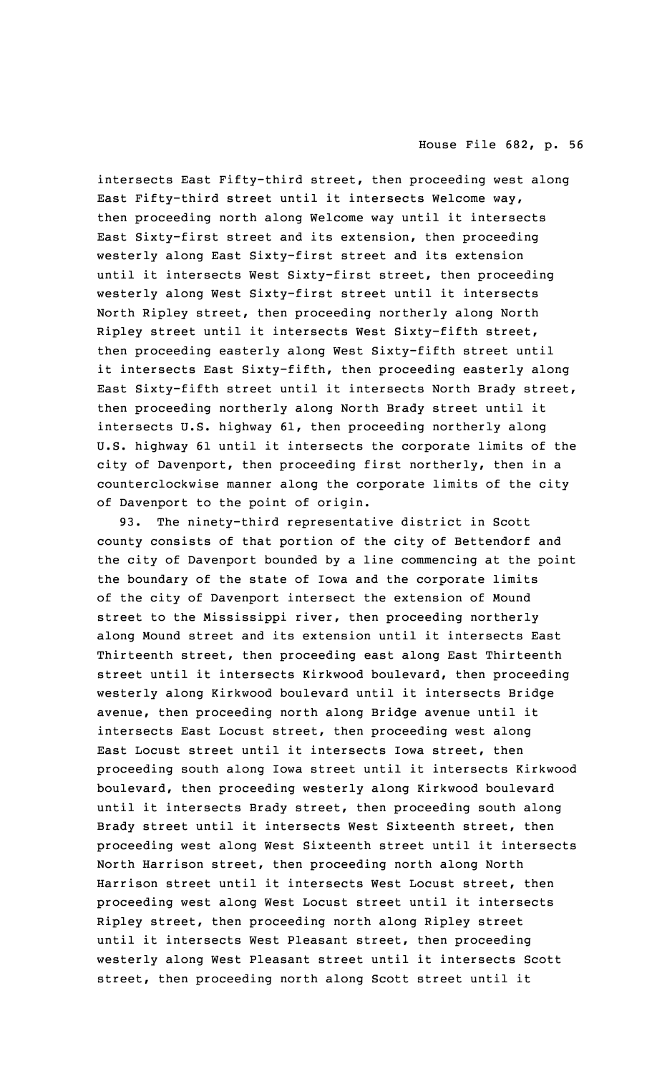intersects East Fifty-third street, then proceeding west along East Fifty-third street until it intersects Welcome way, then proceeding north along Welcome way until it intersects East Sixty-first street and its extension, then proceeding westerly along East Sixty-first street and its extension until it intersects West Sixty-first street, then proceeding westerly along West Sixty-first street until it intersects North Ripley street, then proceeding northerly along North Ripley street until it intersects West Sixty-fifth street, then proceeding easterly along West Sixty-fifth street until it intersects East Sixty-fifth, then proceeding easterly along East Sixty-fifth street until it intersects North Brady street, then proceeding northerly along North Brady street until it intersects U.S. highway 61, then proceeding northerly along U.S. highway 61 until it intersects the corporate limits of the city of Davenport, then proceeding first northerly, then in <sup>a</sup> counterclockwise manner along the corporate limits of the city of Davenport to the point of origin.

93. The ninety-third representative district in Scott county consists of that portion of the city of Bettendorf and the city of Davenport bounded by <sup>a</sup> line commencing at the point the boundary of the state of Iowa and the corporate limits of the city of Davenport intersect the extension of Mound street to the Mississippi river, then proceeding northerly along Mound street and its extension until it intersects East Thirteenth street, then proceeding east along East Thirteenth street until it intersects Kirkwood boulevard, then proceeding westerly along Kirkwood boulevard until it intersects Bridge avenue, then proceeding north along Bridge avenue until it intersects East Locust street, then proceeding west along East Locust street until it intersects Iowa street, then proceeding south along Iowa street until it intersects Kirkwood boulevard, then proceeding westerly along Kirkwood boulevard until it intersects Brady street, then proceeding south along Brady street until it intersects West Sixteenth street, then proceeding west along West Sixteenth street until it intersects North Harrison street, then proceeding north along North Harrison street until it intersects West Locust street, then proceeding west along West Locust street until it intersects Ripley street, then proceeding north along Ripley street until it intersects West Pleasant street, then proceeding westerly along West Pleasant street until it intersects Scott street, then proceeding north along Scott street until it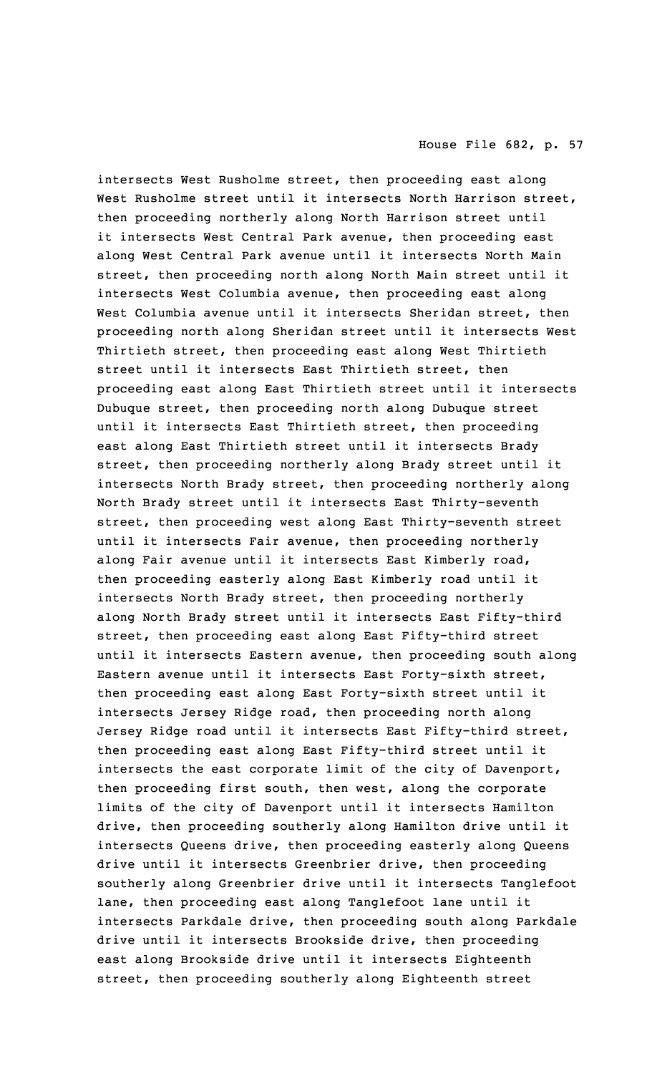intersects West Rusholme street, then proceeding east along West Rusholme street until it intersects North Harrison street, then proceeding northerly along North Harrison street until it intersects West Central Park avenue, then proceeding east along West Central Park avenue until it intersects North Main street, then proceeding north along North Main street until it intersects West Columbia avenue, then proceeding east along West Columbia avenue until it intersects Sheridan street, then proceeding north along Sheridan street until it intersects West Thirtieth street, then proceeding east along West Thirtieth street until it intersects East Thirtieth street, then proceeding east along East Thirtieth street until it intersects Dubuque street, then proceeding north along Dubuque street until it intersects East Thirtieth street, then proceeding east along East Thirtieth street until it intersects Brady street, then proceeding northerly along Brady street until it intersects North Brady street, then proceeding northerly along North Brady street until it intersects East Thirty-seventh street, then proceeding west along East Thirty-seventh street until it intersects Fair avenue, then proceeding northerly along Fair avenue until it intersects East Kimberly road, then proceeding easterly along East Kimberly road until it intersects North Brady street, then proceeding northerly along North Brady street until it intersects East Fifty-third street, then proceeding east along East Fifty-third street until it intersects Eastern avenue, then proceeding south along Eastern avenue until it intersects East Forty-sixth street, then proceeding east along East Forty-sixth street until it intersects Jersey Ridge road, then proceeding north along Jersey Ridge road until it intersects East Fifty-third street, then proceeding east along East Fifty-third street until it intersects the east corporate limit of the city of Davenport, then proceeding first south, then west, along the corporate limits of the city of Davenport until it intersects Hamilton drive, then proceeding southerly along Hamilton drive until it intersects Queens drive, then proceeding easterly along Queens drive until it intersects Greenbrier drive, then proceeding southerly along Greenbrier drive until it intersects Tanglefoot lane, then proceeding east along Tanglefoot lane until it intersects Parkdale drive, then proceeding south along Parkdale drive until it intersects Brookside drive, then proceeding east along Brookside drive until it intersects Eighteenth street, then proceeding southerly along Eighteenth street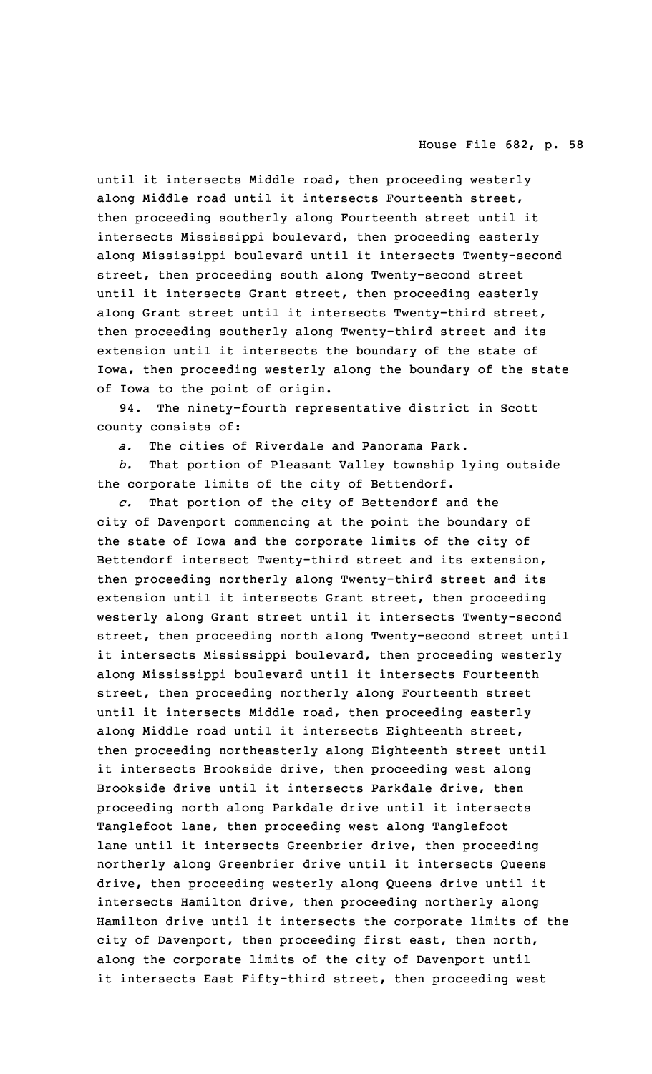until it intersects Middle road, then proceeding westerly along Middle road until it intersects Fourteenth street, then proceeding southerly along Fourteenth street until it intersects Mississippi boulevard, then proceeding easterly along Mississippi boulevard until it intersects Twenty-second street, then proceeding south along Twenty-second street until it intersects Grant street, then proceeding easterly along Grant street until it intersects Twenty-third street, then proceeding southerly along Twenty-third street and its extension until it intersects the boundary of the state of Iowa, then proceeding westerly along the boundary of the state of Iowa to the point of origin.

94. The ninety-fourth representative district in Scott county consists of:

*a.* The cities of Riverdale and Panorama Park.

*b.* That portion of Pleasant Valley township lying outside the corporate limits of the city of Bettendorf.

*c.* That portion of the city of Bettendorf and the city of Davenport commencing at the point the boundary of the state of Iowa and the corporate limits of the city of Bettendorf intersect Twenty-third street and its extension, then proceeding northerly along Twenty-third street and its extension until it intersects Grant street, then proceeding westerly along Grant street until it intersects Twenty-second street, then proceeding north along Twenty-second street until it intersects Mississippi boulevard, then proceeding westerly along Mississippi boulevard until it intersects Fourteenth street, then proceeding northerly along Fourteenth street until it intersects Middle road, then proceeding easterly along Middle road until it intersects Eighteenth street, then proceeding northeasterly along Eighteenth street until it intersects Brookside drive, then proceeding west along Brookside drive until it intersects Parkdale drive, then proceeding north along Parkdale drive until it intersects Tanglefoot lane, then proceeding west along Tanglefoot lane until it intersects Greenbrier drive, then proceeding northerly along Greenbrier drive until it intersects Queens drive, then proceeding westerly along Queens drive until it intersects Hamilton drive, then proceeding northerly along Hamilton drive until it intersects the corporate limits of the city of Davenport, then proceeding first east, then north, along the corporate limits of the city of Davenport until it intersects East Fifty-third street, then proceeding west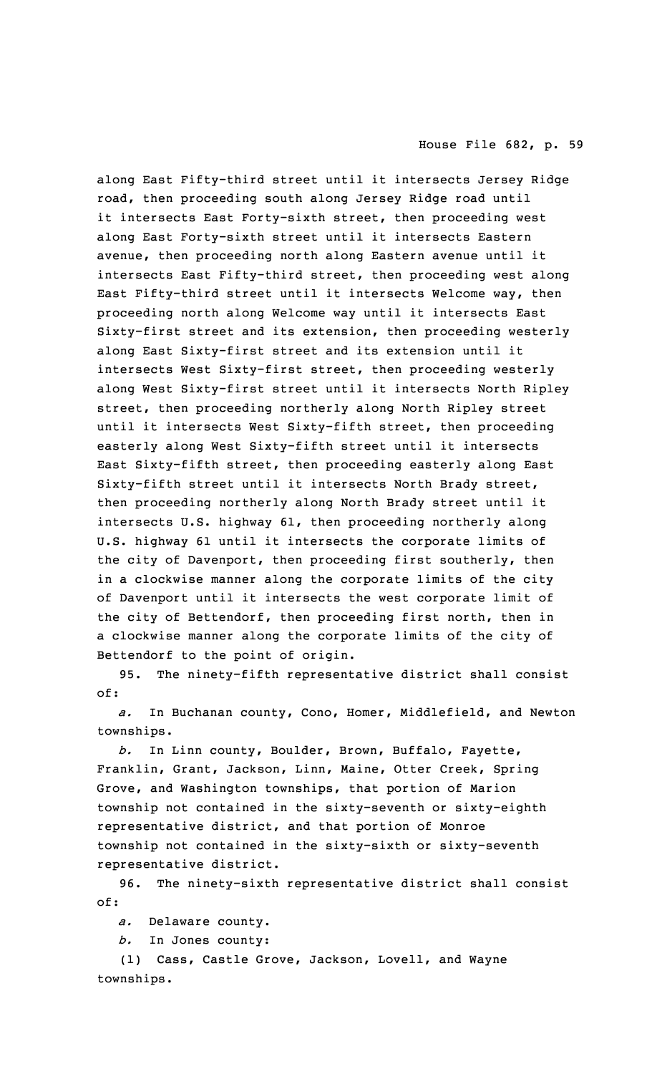along East Fifty-third street until it intersects Jersey Ridge road, then proceeding south along Jersey Ridge road until it intersects East Forty-sixth street, then proceeding west along East Forty-sixth street until it intersects Eastern avenue, then proceeding north along Eastern avenue until it intersects East Fifty-third street, then proceeding west along East Fifty-third street until it intersects Welcome way, then proceeding north along Welcome way until it intersects East Sixty-first street and its extension, then proceeding westerly along East Sixty-first street and its extension until it intersects West Sixty-first street, then proceeding westerly along West Sixty-first street until it intersects North Ripley street, then proceeding northerly along North Ripley street until it intersects West Sixty-fifth street, then proceeding easterly along West Sixty-fifth street until it intersects East Sixty-fifth street, then proceeding easterly along East Sixty-fifth street until it intersects North Brady street, then proceeding northerly along North Brady street until it intersects U.S. highway 61, then proceeding northerly along U.S. highway 61 until it intersects the corporate limits of the city of Davenport, then proceeding first southerly, then in <sup>a</sup> clockwise manner along the corporate limits of the city of Davenport until it intersects the west corporate limit of the city of Bettendorf, then proceeding first north, then in <sup>a</sup> clockwise manner along the corporate limits of the city of Bettendorf to the point of origin.

95. The ninety-fifth representative district shall consist of:

*a.* In Buchanan county, Cono, Homer, Middlefield, and Newton townships.

*b.* In Linn county, Boulder, Brown, Buffalo, Fayette, Franklin, Grant, Jackson, Linn, Maine, Otter Creek, Spring Grove, and Washington townships, that portion of Marion township not contained in the sixty-seventh or sixty-eighth representative district, and that portion of Monroe township not contained in the sixty-sixth or sixty-seventh representative district.

96. The ninety-sixth representative district shall consist of:

*a.* Delaware county.

*b.* In Jones county:

(1) Cass, Castle Grove, Jackson, Lovell, and Wayne townships.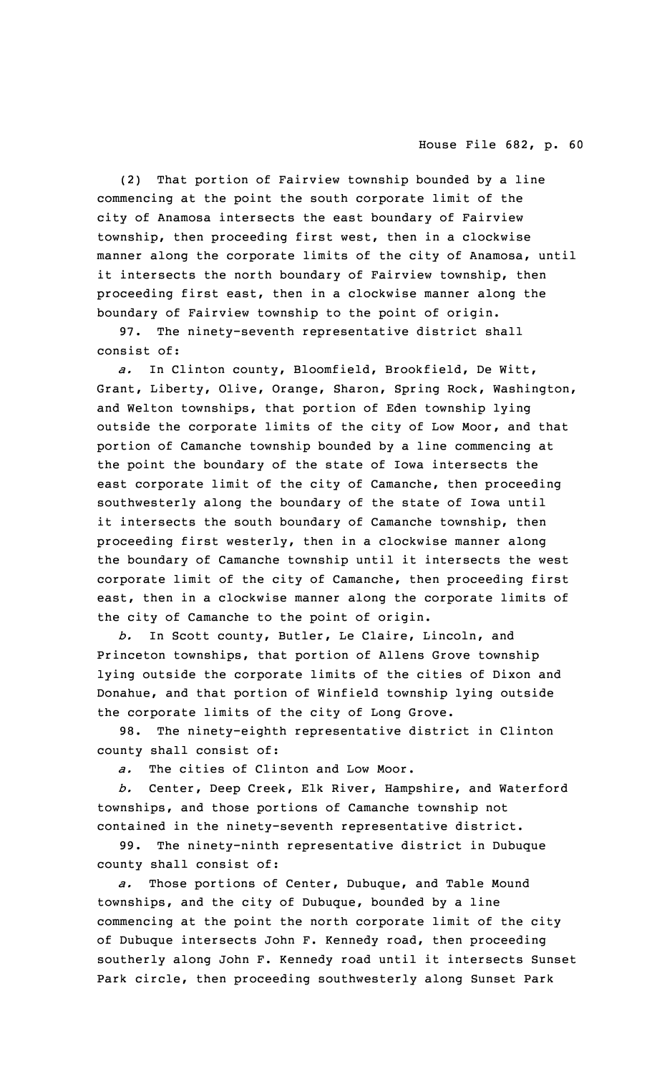(2) That portion of Fairview township bounded by <sup>a</sup> line commencing at the point the south corporate limit of the city of Anamosa intersects the east boundary of Fairview township, then proceeding first west, then in <sup>a</sup> clockwise manner along the corporate limits of the city of Anamosa, until it intersects the north boundary of Fairview township, then proceeding first east, then in <sup>a</sup> clockwise manner along the boundary of Fairview township to the point of origin.

97. The ninety-seventh representative district shall consist of:

*a.* In Clinton county, Bloomfield, Brookfield, De Witt, Grant, Liberty, Olive, Orange, Sharon, Spring Rock, Washington, and Welton townships, that portion of Eden township lying outside the corporate limits of the city of Low Moor, and that portion of Camanche township bounded by <sup>a</sup> line commencing at the point the boundary of the state of Iowa intersects the east corporate limit of the city of Camanche, then proceeding southwesterly along the boundary of the state of Iowa until it intersects the south boundary of Camanche township, then proceeding first westerly, then in <sup>a</sup> clockwise manner along the boundary of Camanche township until it intersects the west corporate limit of the city of Camanche, then proceeding first east, then in <sup>a</sup> clockwise manner along the corporate limits of the city of Camanche to the point of origin.

*b.* In Scott county, Butler, Le Claire, Lincoln, and Princeton townships, that portion of Allens Grove township lying outside the corporate limits of the cities of Dixon and Donahue, and that portion of Winfield township lying outside the corporate limits of the city of Long Grove.

98. The ninety-eighth representative district in Clinton county shall consist of:

*a.* The cities of Clinton and Low Moor.

*b.* Center, Deep Creek, Elk River, Hampshire, and Waterford townships, and those portions of Camanche township not contained in the ninety-seventh representative district.

99. The ninety-ninth representative district in Dubuque county shall consist of:

*a.* Those portions of Center, Dubuque, and Table Mound townships, and the city of Dubuque, bounded by <sup>a</sup> line commencing at the point the north corporate limit of the city of Dubuque intersects John F. Kennedy road, then proceeding southerly along John F. Kennedy road until it intersects Sunset Park circle, then proceeding southwesterly along Sunset Park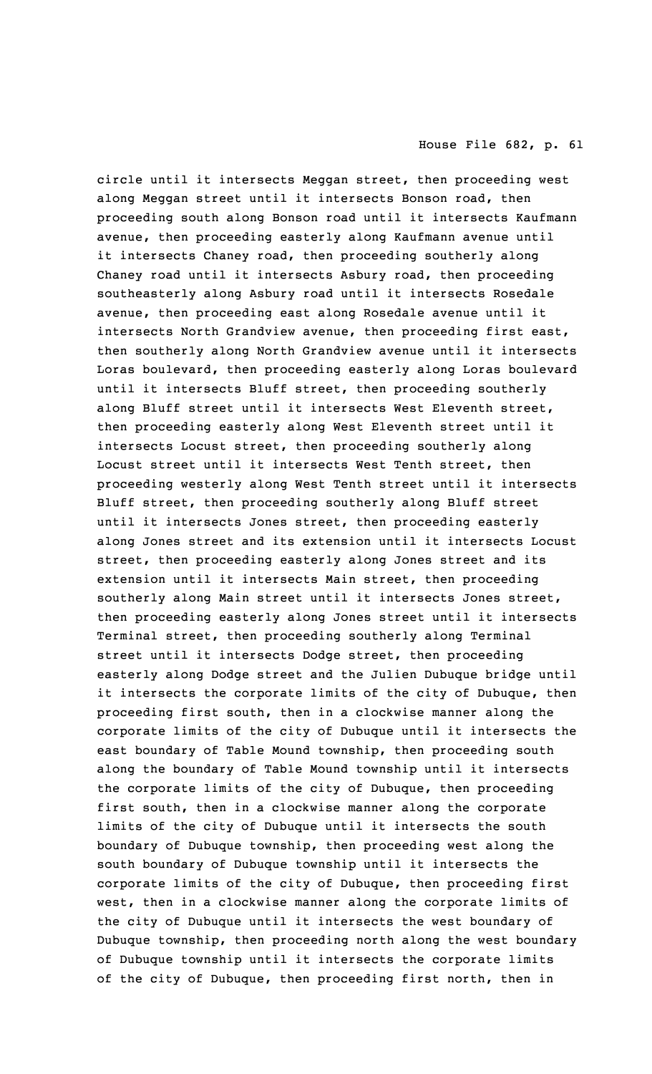circle until it intersects Meggan street, then proceeding west along Meggan street until it intersects Bonson road, then proceeding south along Bonson road until it intersects Kaufmann avenue, then proceeding easterly along Kaufmann avenue until it intersects Chaney road, then proceeding southerly along Chaney road until it intersects Asbury road, then proceeding southeasterly along Asbury road until it intersects Rosedale avenue, then proceeding east along Rosedale avenue until it intersects North Grandview avenue, then proceeding first east, then southerly along North Grandview avenue until it intersects Loras boulevard, then proceeding easterly along Loras boulevard until it intersects Bluff street, then proceeding southerly along Bluff street until it intersects West Eleventh street, then proceeding easterly along West Eleventh street until it intersects Locust street, then proceeding southerly along Locust street until it intersects West Tenth street, then proceeding westerly along West Tenth street until it intersects Bluff street, then proceeding southerly along Bluff street until it intersects Jones street, then proceeding easterly along Jones street and its extension until it intersects Locust street, then proceeding easterly along Jones street and its extension until it intersects Main street, then proceeding southerly along Main street until it intersects Jones street, then proceeding easterly along Jones street until it intersects Terminal street, then proceeding southerly along Terminal street until it intersects Dodge street, then proceeding easterly along Dodge street and the Julien Dubuque bridge until it intersects the corporate limits of the city of Dubuque, then proceeding first south, then in <sup>a</sup> clockwise manner along the corporate limits of the city of Dubuque until it intersects the east boundary of Table Mound township, then proceeding south along the boundary of Table Mound township until it intersects the corporate limits of the city of Dubuque, then proceeding first south, then in <sup>a</sup> clockwise manner along the corporate limits of the city of Dubuque until it intersects the south boundary of Dubuque township, then proceeding west along the south boundary of Dubuque township until it intersects the corporate limits of the city of Dubuque, then proceeding first west, then in <sup>a</sup> clockwise manner along the corporate limits of the city of Dubuque until it intersects the west boundary of Dubuque township, then proceeding north along the west boundary of Dubuque township until it intersects the corporate limits of the city of Dubuque, then proceeding first north, then in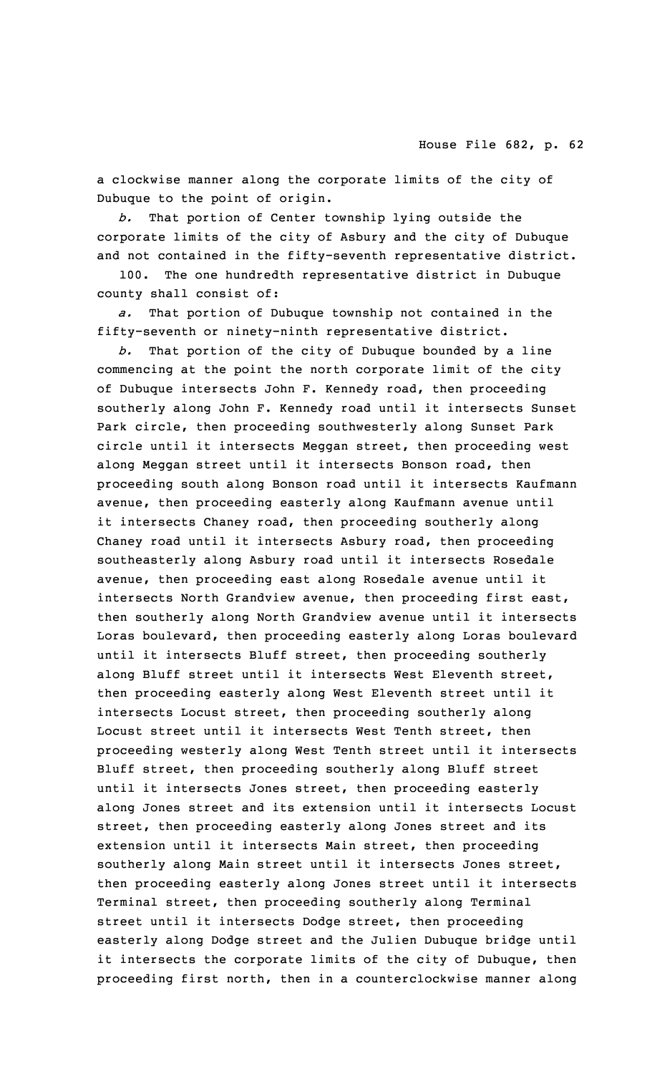<sup>a</sup> clockwise manner along the corporate limits of the city of Dubuque to the point of origin.

*b.* That portion of Center township lying outside the corporate limits of the city of Asbury and the city of Dubuque and not contained in the fifty-seventh representative district.

100. The one hundredth representative district in Dubuque county shall consist of:

*a.* That portion of Dubuque township not contained in the fifty-seventh or ninety-ninth representative district.

*b.* That portion of the city of Dubuque bounded by <sup>a</sup> line commencing at the point the north corporate limit of the city of Dubuque intersects John F. Kennedy road, then proceeding southerly along John F. Kennedy road until it intersects Sunset Park circle, then proceeding southwesterly along Sunset Park circle until it intersects Meggan street, then proceeding west along Meggan street until it intersects Bonson road, then proceeding south along Bonson road until it intersects Kaufmann avenue, then proceeding easterly along Kaufmann avenue until it intersects Chaney road, then proceeding southerly along Chaney road until it intersects Asbury road, then proceeding southeasterly along Asbury road until it intersects Rosedale avenue, then proceeding east along Rosedale avenue until it intersects North Grandview avenue, then proceeding first east, then southerly along North Grandview avenue until it intersects Loras boulevard, then proceeding easterly along Loras boulevard until it intersects Bluff street, then proceeding southerly along Bluff street until it intersects West Eleventh street, then proceeding easterly along West Eleventh street until it intersects Locust street, then proceeding southerly along Locust street until it intersects West Tenth street, then proceeding westerly along West Tenth street until it intersects Bluff street, then proceeding southerly along Bluff street until it intersects Jones street, then proceeding easterly along Jones street and its extension until it intersects Locust street, then proceeding easterly along Jones street and its extension until it intersects Main street, then proceeding southerly along Main street until it intersects Jones street, then proceeding easterly along Jones street until it intersects Terminal street, then proceeding southerly along Terminal street until it intersects Dodge street, then proceeding easterly along Dodge street and the Julien Dubuque bridge until it intersects the corporate limits of the city of Dubuque, then proceeding first north, then in <sup>a</sup> counterclockwise manner along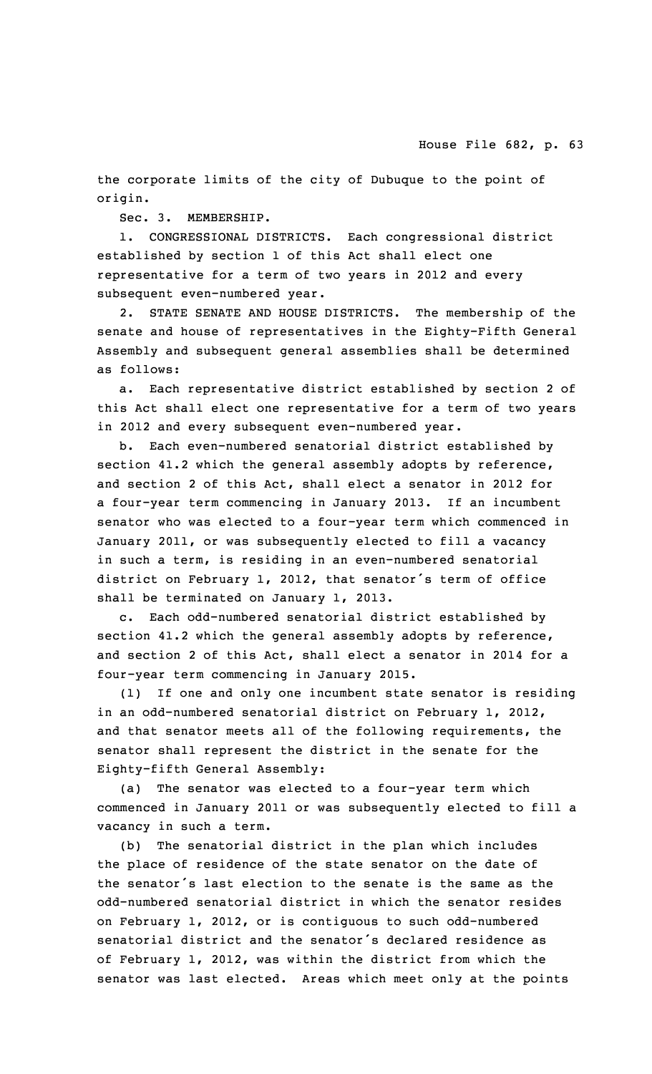the corporate limits of the city of Dubuque to the point of origin.

Sec. 3. MEMBERSHIP.

1. CONGRESSIONAL DISTRICTS. Each congressional district established by section 1 of this Act shall elect one representative for <sup>a</sup> term of two years in 2012 and every subsequent even-numbered year.

2. STATE SENATE AND HOUSE DISTRICTS. The membership of the senate and house of representatives in the Eighty-Fifth General Assembly and subsequent general assemblies shall be determined as follows:

a. Each representative district established by section 2 of this Act shall elect one representative for <sup>a</sup> term of two years in 2012 and every subsequent even-numbered year.

b. Each even-numbered senatorial district established by section 41.2 which the general assembly adopts by reference, and section 2 of this Act, shall elect <sup>a</sup> senator in 2012 for <sup>a</sup> four-year term commencing in January 2013. If an incumbent senator who was elected to <sup>a</sup> four-year term which commenced in January 2011, or was subsequently elected to fill <sup>a</sup> vacancy in such <sup>a</sup> term, is residing in an even-numbered senatorial district on February 1, 2012, that senator's term of office shall be terminated on January 1, 2013.

c. Each odd-numbered senatorial district established by section 41.2 which the general assembly adopts by reference, and section 2 of this Act, shall elect <sup>a</sup> senator in 2014 for <sup>a</sup> four-year term commencing in January 2015.

(1) If one and only one incumbent state senator is residing in an odd-numbered senatorial district on February 1, 2012, and that senator meets all of the following requirements, the senator shall represent the district in the senate for the Eighty-fifth General Assembly:

(a) The senator was elected to <sup>a</sup> four-year term which commenced in January 2011 or was subsequently elected to fill <sup>a</sup> vacancy in such <sup>a</sup> term.

(b) The senatorial district in the plan which includes the place of residence of the state senator on the date of the senator's last election to the senate is the same as the odd-numbered senatorial district in which the senator resides on February 1, 2012, or is contiguous to such odd-numbered senatorial district and the senator's declared residence as of February 1, 2012, was within the district from which the senator was last elected. Areas which meet only at the points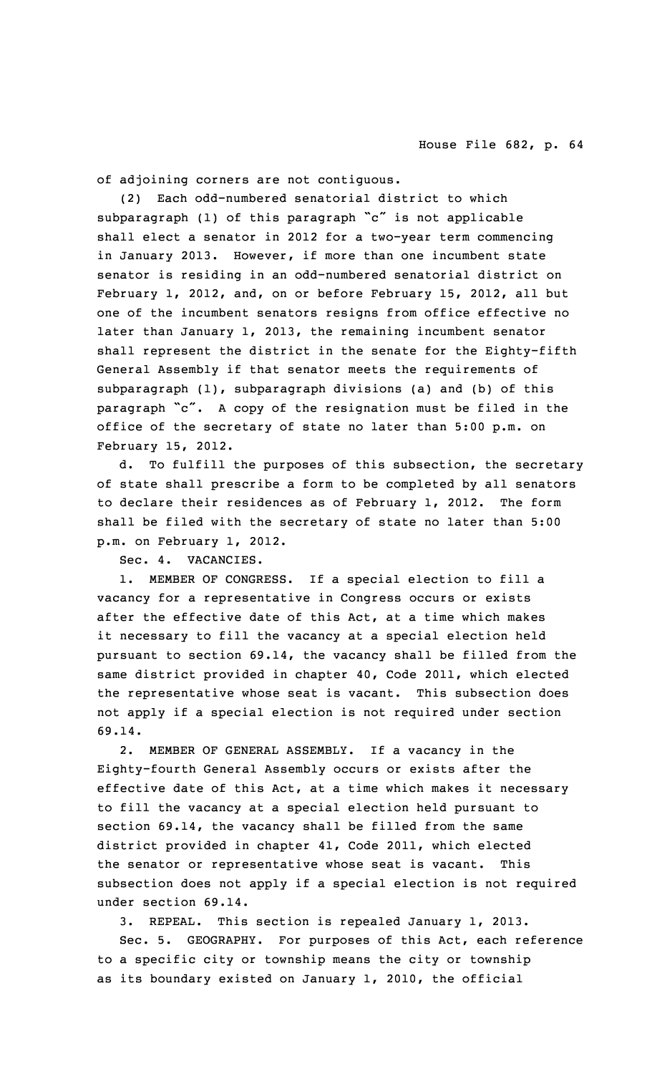of adjoining corners are not contiguous.

(2) Each odd-numbered senatorial district to which subparagraph (1) of this paragraph "c" is not applicable shall elect <sup>a</sup> senator in 2012 for <sup>a</sup> two-year term commencing in January 2013. However, if more than one incumbent state senator is residing in an odd-numbered senatorial district on February 1, 2012, and, on or before February 15, 2012, all but one of the incumbent senators resigns from office effective no later than January 1, 2013, the remaining incumbent senator shall represent the district in the senate for the Eighty-fifth General Assembly if that senator meets the requirements of subparagraph (1), subparagraph divisions (a) and (b) of this paragraph "c". <sup>A</sup> copy of the resignation must be filed in the office of the secretary of state no later than 5:00 p.m. on February 15, 2012.

d. To fulfill the purposes of this subsection, the secretary of state shall prescribe <sup>a</sup> form to be completed by all senators to declare their residences as of February 1, 2012. The form shall be filed with the secretary of state no later than 5:00 p.m. on February 1, 2012.

Sec. 4. VACANCIES.

1. MEMBER OF CONGRESS. If <sup>a</sup> special election to fill <sup>a</sup> vacancy for <sup>a</sup> representative in Congress occurs or exists after the effective date of this Act, at <sup>a</sup> time which makes it necessary to fill the vacancy at <sup>a</sup> special election held pursuant to section 69.14, the vacancy shall be filled from the same district provided in chapter 40, Code 2011, which elected the representative whose seat is vacant. This subsection does not apply if <sup>a</sup> special election is not required under section 69.14.

2. MEMBER OF GENERAL ASSEMBLY. If <sup>a</sup> vacancy in the Eighty-fourth General Assembly occurs or exists after the effective date of this Act, at <sup>a</sup> time which makes it necessary to fill the vacancy at <sup>a</sup> special election held pursuant to section 69.14, the vacancy shall be filled from the same district provided in chapter 41, Code 2011, which elected the senator or representative whose seat is vacant. This subsection does not apply if <sup>a</sup> special election is not required under section 69.14.

3. REPEAL. This section is repealed January 1, 2013.

Sec. 5. GEOGRAPHY. For purposes of this Act, each reference to <sup>a</sup> specific city or township means the city or township as its boundary existed on January 1, 2010, the official